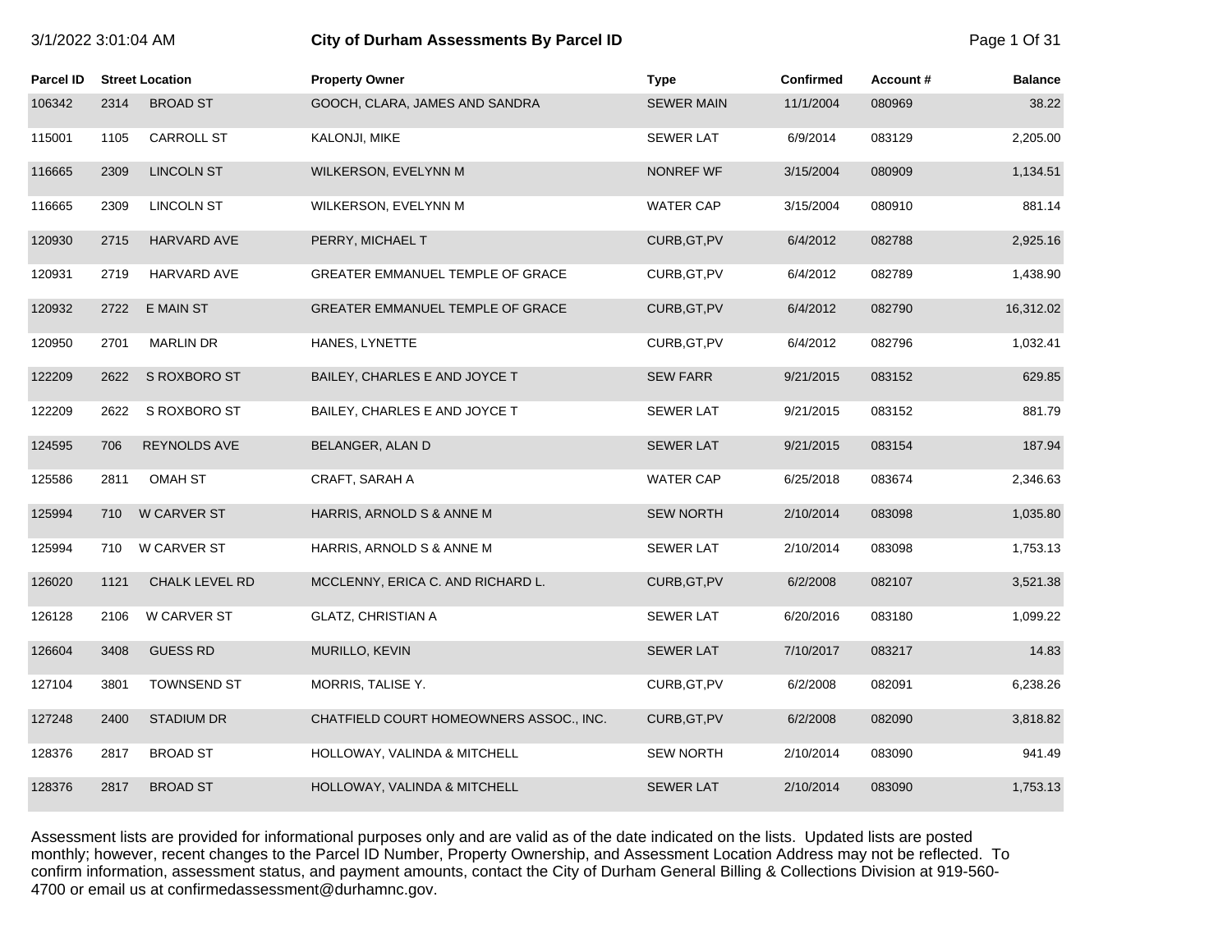|  | 3/1/2022 3:01:04 AM |
|--|---------------------|
|  |                     |

# **31/2022 3:01:02:02:04 ASSessments By Parcel ID 2:02:02:02:02:02:04 Page 1 Of 31**

| Parcel ID |      | <b>Street Location</b> | <b>Property Owner</b>                   | <b>Type</b>       | <b>Confirmed</b> | Account# | <b>Balance</b> |
|-----------|------|------------------------|-----------------------------------------|-------------------|------------------|----------|----------------|
| 106342    | 2314 | <b>BROAD ST</b>        | GOOCH, CLARA, JAMES AND SANDRA          | <b>SEWER MAIN</b> | 11/1/2004        | 080969   | 38.22          |
| 115001    | 1105 | CARROLL ST             | KALONJI, MIKE                           | <b>SEWER LAT</b>  | 6/9/2014         | 083129   | 2,205.00       |
| 116665    | 2309 | <b>LINCOLN ST</b>      | WILKERSON, EVELYNN M                    | NONREF WF         | 3/15/2004        | 080909   | 1,134.51       |
| 116665    | 2309 | <b>LINCOLN ST</b>      | WILKERSON, EVELYNN M                    | <b>WATER CAP</b>  | 3/15/2004        | 080910   | 881.14         |
| 120930    | 2715 | HARVARD AVE            | PERRY, MICHAEL T                        | CURB, GT, PV      | 6/4/2012         | 082788   | 2,925.16       |
| 120931    | 2719 | <b>HARVARD AVE</b>     | GREATER EMMANUEL TEMPLE OF GRACE        | CURB, GT, PV      | 6/4/2012         | 082789   | 1,438.90       |
| 120932    | 2722 | <b>E MAIN ST</b>       | GREATER EMMANUEL TEMPLE OF GRACE        | CURB, GT, PV      | 6/4/2012         | 082790   | 16,312.02      |
| 120950    | 2701 | <b>MARLIN DR</b>       | HANES, LYNETTE                          | CURB, GT, PV      | 6/4/2012         | 082796   | 1,032.41       |
| 122209    | 2622 | S ROXBORO ST           | BAILEY, CHARLES E AND JOYCE T           | <b>SEW FARR</b>   | 9/21/2015        | 083152   | 629.85         |
| 122209    | 2622 | S ROXBORO ST           | BAILEY, CHARLES E AND JOYCE T           | <b>SEWER LAT</b>  | 9/21/2015        | 083152   | 881.79         |
| 124595    | 706  | <b>REYNOLDS AVE</b>    | BELANGER, ALAN D                        | <b>SEWER LAT</b>  | 9/21/2015        | 083154   | 187.94         |
| 125586    | 2811 | <b>OMAH ST</b>         | CRAFT, SARAH A                          | <b>WATER CAP</b>  | 6/25/2018        | 083674   | 2,346.63       |
| 125994    | 710  | <b>W CARVER ST</b>     | HARRIS, ARNOLD S & ANNE M               | <b>SEW NORTH</b>  | 2/10/2014        | 083098   | 1,035.80       |
| 125994    | 710  | W CARVER ST            | HARRIS, ARNOLD S & ANNE M               | SEWER LAT         | 2/10/2014        | 083098   | 1,753.13       |
| 126020    | 1121 | CHALK LEVEL RD         | MCCLENNY, ERICA C. AND RICHARD L.       | CURB, GT, PV      | 6/2/2008         | 082107   | 3,521.38       |
| 126128    | 2106 | W CARVER ST            | <b>GLATZ, CHRISTIAN A</b>               | <b>SEWER LAT</b>  | 6/20/2016        | 083180   | 1,099.22       |
| 126604    | 3408 | <b>GUESS RD</b>        | MURILLO, KEVIN                          | <b>SEWER LAT</b>  | 7/10/2017        | 083217   | 14.83          |
| 127104    | 3801 | <b>TOWNSEND ST</b>     | MORRIS, TALISE Y.                       | CURB, GT, PV      | 6/2/2008         | 082091   | 6,238.26       |
| 127248    | 2400 | <b>STADIUM DR</b>      | CHATFIELD COURT HOMEOWNERS ASSOC., INC. | CURB, GT, PV      | 6/2/2008         | 082090   | 3,818.82       |
| 128376    | 2817 | <b>BROAD ST</b>        | HOLLOWAY, VALINDA & MITCHELL            | <b>SEW NORTH</b>  | 2/10/2014        | 083090   | 941.49         |
| 128376    | 2817 | <b>BROAD ST</b>        | HOLLOWAY, VALINDA & MITCHELL            | <b>SEWER LAT</b>  | 2/10/2014        | 083090   | 1,753.13       |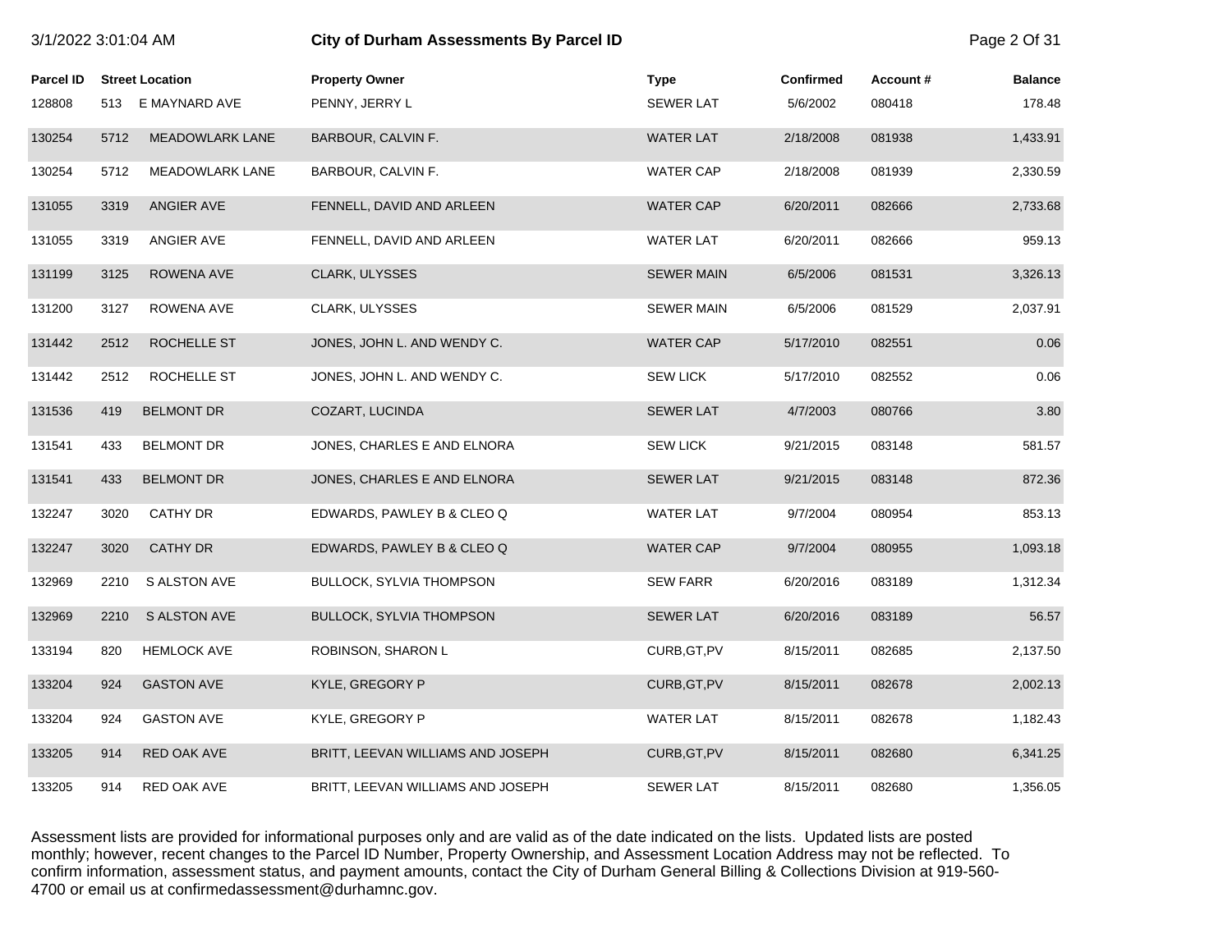| 3/1/2022 3:01:04 AM |      |                        | City of Durham Assessments By Parcel ID |                   |           |          | Page 2 Of 31   |
|---------------------|------|------------------------|-----------------------------------------|-------------------|-----------|----------|----------------|
| Parcel ID           |      | <b>Street Location</b> | <b>Property Owner</b>                   | <b>Type</b>       | Confirmed | Account# | <b>Balance</b> |
| 128808              |      | 513 E MAYNARD AVE      | PENNY, JERRY L                          | <b>SEWER LAT</b>  | 5/6/2002  | 080418   | 178.48         |
| 130254              | 5712 | <b>MEADOWLARK LANE</b> | BARBOUR, CALVIN F.                      | <b>WATER LAT</b>  | 2/18/2008 | 081938   | 1,433.91       |
| 130254              | 5712 | <b>MEADOWLARK LANE</b> | BARBOUR, CALVIN F.                      | <b>WATER CAP</b>  | 2/18/2008 | 081939   | 2,330.59       |
| 131055              | 3319 | ANGIER AVE             | FENNELL, DAVID AND ARLEEN               | <b>WATER CAP</b>  | 6/20/2011 | 082666   | 2,733.68       |
| 131055              | 3319 | ANGIER AVE             | FENNELL, DAVID AND ARLEEN               | <b>WATER LAT</b>  | 6/20/2011 | 082666   | 959.13         |
| 131199              | 3125 | ROWENA AVE             | CLARK, ULYSSES                          | <b>SEWER MAIN</b> | 6/5/2006  | 081531   | 3,326.13       |
| 131200              | 3127 | ROWENA AVE             | CLARK, ULYSSES                          | <b>SEWER MAIN</b> | 6/5/2006  | 081529   | 2,037.91       |
| 131442              | 2512 | ROCHELLE ST            | JONES, JOHN L. AND WENDY C.             | <b>WATER CAP</b>  | 5/17/2010 | 082551   | 0.06           |
| 131442              | 2512 | ROCHELLE ST            | JONES, JOHN L. AND WENDY C.             | <b>SEW LICK</b>   | 5/17/2010 | 082552   | 0.06           |
| 131536              | 419  | <b>BELMONT DR</b>      | COZART, LUCINDA                         | <b>SEWER LAT</b>  | 4/7/2003  | 080766   | 3.80           |
| 131541              | 433  | <b>BELMONT DR</b>      | JONES, CHARLES E AND ELNORA             | <b>SEW LICK</b>   | 9/21/2015 | 083148   | 581.57         |
| 131541              | 433  | <b>BELMONT DR</b>      | JONES, CHARLES E AND ELNORA             | <b>SEWER LAT</b>  | 9/21/2015 | 083148   | 872.36         |
| 132247              | 3020 | <b>CATHY DR</b>        | EDWARDS, PAWLEY B & CLEO Q              | <b>WATER LAT</b>  | 9/7/2004  | 080954   | 853.13         |
| 132247              | 3020 | <b>CATHY DR</b>        | EDWARDS, PAWLEY B & CLEO Q              | <b>WATER CAP</b>  | 9/7/2004  | 080955   | 1,093.18       |
| 132969              | 2210 | S ALSTON AVE           | <b>BULLOCK, SYLVIA THOMPSON</b>         | <b>SEW FARR</b>   | 6/20/2016 | 083189   | 1,312.34       |
| 132969              | 2210 | <b>S ALSTON AVE</b>    | <b>BULLOCK, SYLVIA THOMPSON</b>         | <b>SEWER LAT</b>  | 6/20/2016 | 083189   | 56.57          |
| 133194              | 820  | <b>HEMLOCK AVE</b>     | ROBINSON, SHARON L                      | CURB, GT, PV      | 8/15/2011 | 082685   | 2,137.50       |
| 133204              | 924  | <b>GASTON AVE</b>      | KYLE, GREGORY P                         | CURB, GT, PV      | 8/15/2011 | 082678   | 2,002.13       |
| 133204              | 924  | <b>GASTON AVE</b>      | KYLE, GREGORY P                         | <b>WATER LAT</b>  | 8/15/2011 | 082678   | 1,182.43       |
| 133205              | 914  | <b>RED OAK AVE</b>     | BRITT, LEEVAN WILLIAMS AND JOSEPH       | CURB, GT, PV      | 8/15/2011 | 082680   | 6,341.25       |
| 133205              | 914  | RED OAK AVE            | BRITT, LEEVAN WILLIAMS AND JOSEPH       | <b>SEWER LAT</b>  | 8/15/2011 | 082680   | 1,356.05       |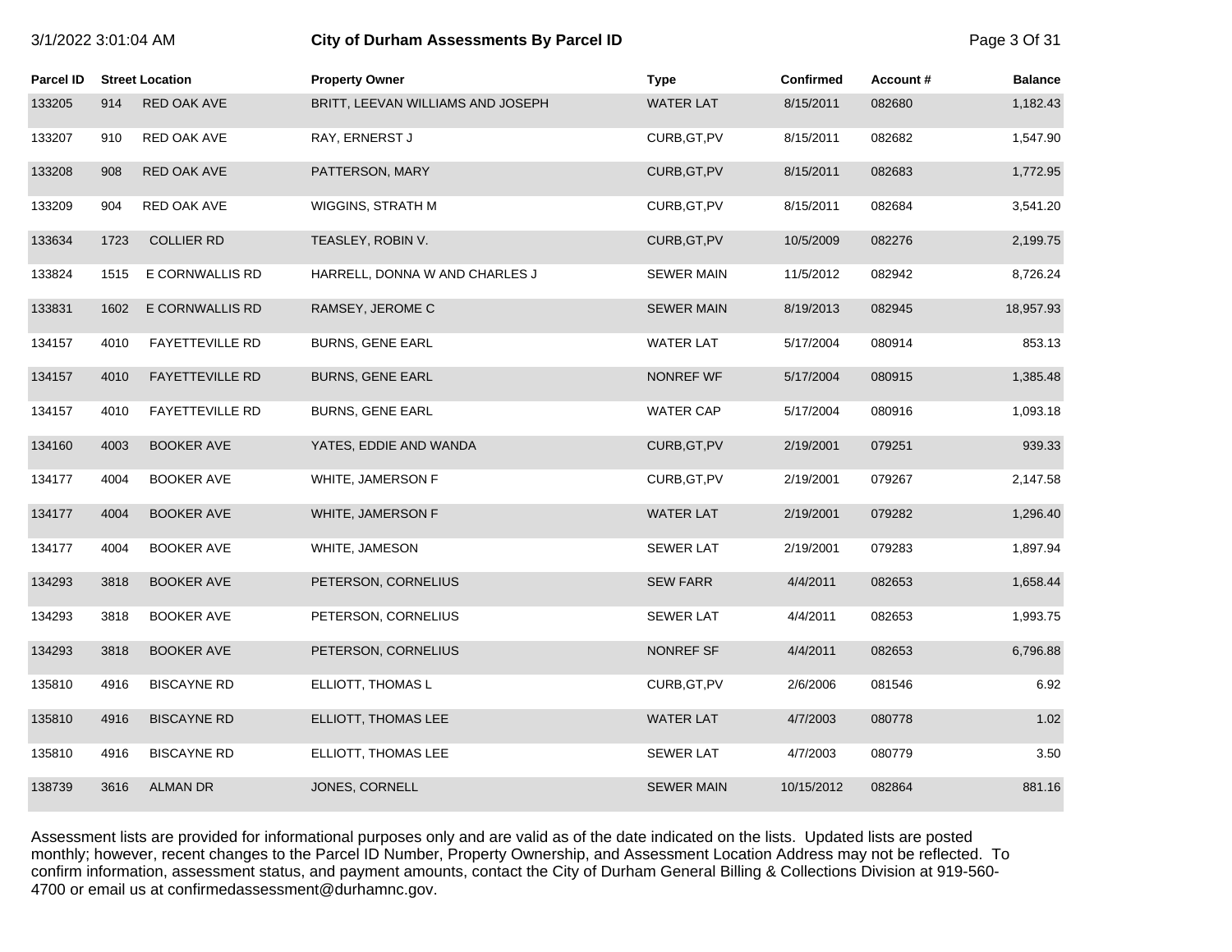| 3/1/2022 3:01:04 AM |      |                        | City of Durham Assessments By Parcel ID |                   |                  |          | Page 3 Of 31   |
|---------------------|------|------------------------|-----------------------------------------|-------------------|------------------|----------|----------------|
| <b>Parcel ID</b>    |      | <b>Street Location</b> | <b>Property Owner</b>                   | <b>Type</b>       | <b>Confirmed</b> | Account# | <b>Balance</b> |
| 133205              | 914  | RED OAK AVE            | BRITT, LEEVAN WILLIAMS AND JOSEPH       | <b>WATER LAT</b>  | 8/15/2011        | 082680   | 1,182.43       |
| 133207              | 910  | RED OAK AVE            | RAY, ERNERST J                          | CURB, GT, PV      | 8/15/2011        | 082682   | 1,547.90       |
| 133208              | 908  | RED OAK AVE            | PATTERSON, MARY                         | CURB, GT, PV      | 8/15/2011        | 082683   | 1,772.95       |
| 133209              | 904  | RED OAK AVE            | WIGGINS, STRATH M                       | CURB, GT, PV      | 8/15/2011        | 082684   | 3,541.20       |
| 133634              | 1723 | <b>COLLIER RD</b>      | TEASLEY, ROBIN V.                       | CURB, GT, PV      | 10/5/2009        | 082276   | 2,199.75       |
| 133824              | 1515 | E CORNWALLIS RD        | HARRELL, DONNA W AND CHARLES J          | <b>SEWER MAIN</b> | 11/5/2012        | 082942   | 8,726.24       |
| 133831              | 1602 | E CORNWALLIS RD        | RAMSEY, JEROME C                        | <b>SEWER MAIN</b> | 8/19/2013        | 082945   | 18,957.93      |
| 134157              | 4010 | <b>FAYETTEVILLE RD</b> | <b>BURNS, GENE EARL</b>                 | <b>WATER LAT</b>  | 5/17/2004        | 080914   | 853.13         |
| 134157              | 4010 | <b>FAYETTEVILLE RD</b> | <b>BURNS, GENE EARL</b>                 | NONREF WF         | 5/17/2004        | 080915   | 1,385.48       |
| 134157              | 4010 | <b>FAYETTEVILLE RD</b> | <b>BURNS, GENE EARL</b>                 | <b>WATER CAP</b>  | 5/17/2004        | 080916   | 1,093.18       |
| 134160              | 4003 | <b>BOOKER AVE</b>      | YATES, EDDIE AND WANDA                  | CURB, GT, PV      | 2/19/2001        | 079251   | 939.33         |
| 134177              | 4004 | <b>BOOKER AVE</b>      | WHITE, JAMERSON F                       | CURB, GT, PV      | 2/19/2001        | 079267   | 2,147.58       |
| 134177              | 4004 | <b>BOOKER AVE</b>      | WHITE, JAMERSON F                       | <b>WATER LAT</b>  | 2/19/2001        | 079282   | 1,296.40       |
| 134177              | 4004 | <b>BOOKER AVE</b>      | WHITE, JAMESON                          | <b>SEWER LAT</b>  | 2/19/2001        | 079283   | 1,897.94       |
| 134293              | 3818 | <b>BOOKER AVE</b>      | PETERSON, CORNELIUS                     | <b>SEW FARR</b>   | 4/4/2011         | 082653   | 1,658.44       |
| 134293              | 3818 | <b>BOOKER AVE</b>      | PETERSON, CORNELIUS                     | <b>SEWER LAT</b>  | 4/4/2011         | 082653   | 1,993.75       |
| 134293              | 3818 | <b>BOOKER AVE</b>      | PETERSON, CORNELIUS                     | NONREF SF         | 4/4/2011         | 082653   | 6,796.88       |
| 135810              | 4916 | <b>BISCAYNE RD</b>     | ELLIOTT, THOMAS L                       | CURB, GT, PV      | 2/6/2006         | 081546   | 6.92           |
| 135810              | 4916 | <b>BISCAYNE RD</b>     | ELLIOTT, THOMAS LEE                     | <b>WATER LAT</b>  | 4/7/2003         | 080778   | 1.02           |
| 135810              | 4916 | <b>BISCAYNE RD</b>     | ELLIOTT, THOMAS LEE                     | <b>SEWER LAT</b>  | 4/7/2003         | 080779   | 3.50           |
| 138739              | 3616 | <b>ALMAN DR</b>        | JONES, CORNELL                          | <b>SEWER MAIN</b> | 10/15/2012       | 082864   | 881.16         |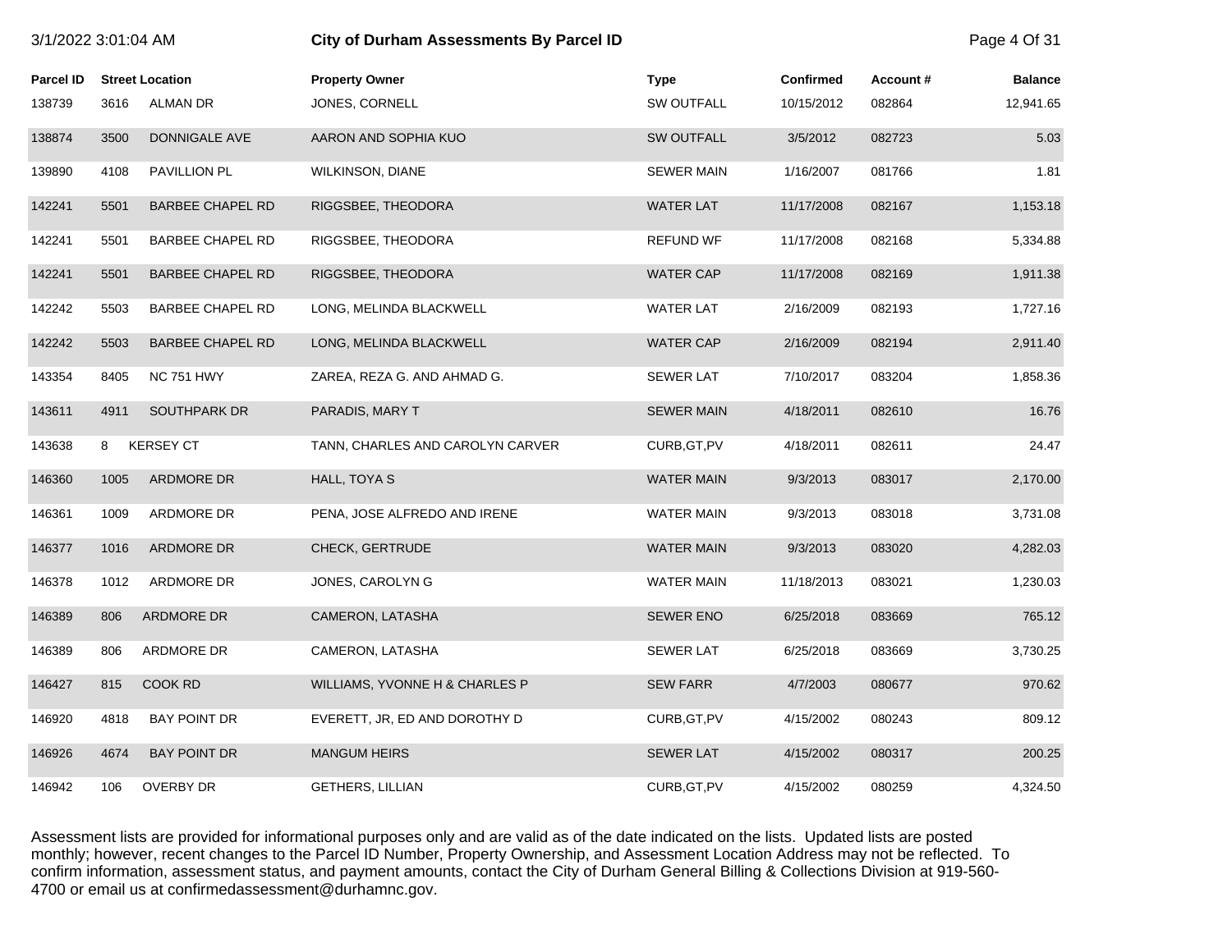| 3/1/2022 3:01:04 AM |      |                         | City of Durham Assessments By Parcel ID |                   |                  |          | Page 4 Of 31   |
|---------------------|------|-------------------------|-----------------------------------------|-------------------|------------------|----------|----------------|
| Parcel ID           |      | <b>Street Location</b>  | <b>Property Owner</b>                   | <b>Type</b>       | <b>Confirmed</b> | Account# | <b>Balance</b> |
| 138739              | 3616 | <b>ALMAN DR</b>         | JONES, CORNELL                          | <b>SW OUTFALL</b> | 10/15/2012       | 082864   | 12,941.65      |
| 138874              | 3500 | DONNIGALE AVE           | AARON AND SOPHIA KUO                    | <b>SW OUTFALL</b> | 3/5/2012         | 082723   | 5.03           |
| 139890              | 4108 | PAVILLION PL            | <b>WILKINSON, DIANE</b>                 | <b>SEWER MAIN</b> | 1/16/2007        | 081766   | 1.81           |
| 142241              | 5501 | <b>BARBEE CHAPEL RD</b> | RIGGSBEE, THEODORA                      | <b>WATER LAT</b>  | 11/17/2008       | 082167   | 1,153.18       |
| 142241              | 5501 | <b>BARBEE CHAPEL RD</b> | RIGGSBEE, THEODORA                      | <b>REFUND WF</b>  | 11/17/2008       | 082168   | 5,334.88       |
| 142241              | 5501 | <b>BARBEE CHAPEL RD</b> | RIGGSBEE, THEODORA                      | <b>WATER CAP</b>  | 11/17/2008       | 082169   | 1,911.38       |
| 142242              | 5503 | <b>BARBEE CHAPEL RD</b> | LONG, MELINDA BLACKWELL                 | <b>WATER LAT</b>  | 2/16/2009        | 082193   | 1,727.16       |
| 142242              | 5503 | <b>BARBEE CHAPEL RD</b> | LONG, MELINDA BLACKWELL                 | <b>WATER CAP</b>  | 2/16/2009        | 082194   | 2,911.40       |
| 143354              | 8405 | <b>NC 751 HWY</b>       | ZAREA, REZA G. AND AHMAD G.             | <b>SEWER LAT</b>  | 7/10/2017        | 083204   | 1,858.36       |
| 143611              | 4911 | SOUTHPARK DR            | PARADIS, MARY T                         | <b>SEWER MAIN</b> | 4/18/2011        | 082610   | 16.76          |
| 143638              | 8    | <b>KERSEY CT</b>        | TANN, CHARLES AND CAROLYN CARVER        | CURB, GT, PV      | 4/18/2011        | 082611   | 24.47          |
| 146360              | 1005 | ARDMORE DR              | HALL, TOYA S                            | <b>WATER MAIN</b> | 9/3/2013         | 083017   | 2,170.00       |
| 146361              | 1009 | ARDMORE DR              | PENA, JOSE ALFREDO AND IRENE            | <b>WATER MAIN</b> | 9/3/2013         | 083018   | 3,731.08       |
| 146377              | 1016 | ARDMORE DR              | CHECK, GERTRUDE                         | <b>WATER MAIN</b> | 9/3/2013         | 083020   | 4,282.03       |
| 146378              | 1012 | ARDMORE DR              | JONES, CAROLYN G                        | WATER MAIN        | 11/18/2013       | 083021   | 1,230.03       |
| 146389              | 806  | ARDMORE DR              | CAMERON, LATASHA                        | <b>SEWER ENO</b>  | 6/25/2018        | 083669   | 765.12         |
| 146389              | 806  | ARDMORE DR              | CAMERON, LATASHA                        | <b>SEWER LAT</b>  | 6/25/2018        | 083669   | 3,730.25       |
| 146427              | 815  | COOK RD                 | WILLIAMS, YVONNE H & CHARLES P          | <b>SEW FARR</b>   | 4/7/2003         | 080677   | 970.62         |
| 146920              | 4818 | <b>BAY POINT DR</b>     | EVERETT, JR, ED AND DOROTHY D           | CURB, GT, PV      | 4/15/2002        | 080243   | 809.12         |
| 146926              | 4674 | <b>BAY POINT DR</b>     | <b>MANGUM HEIRS</b>                     | <b>SEWER LAT</b>  | 4/15/2002        | 080317   | 200.25         |
| 146942              | 106  | <b>OVERBY DR</b>        | <b>GETHERS, LILLIAN</b>                 | CURB, GT, PV      | 4/15/2002        | 080259   | 4,324.50       |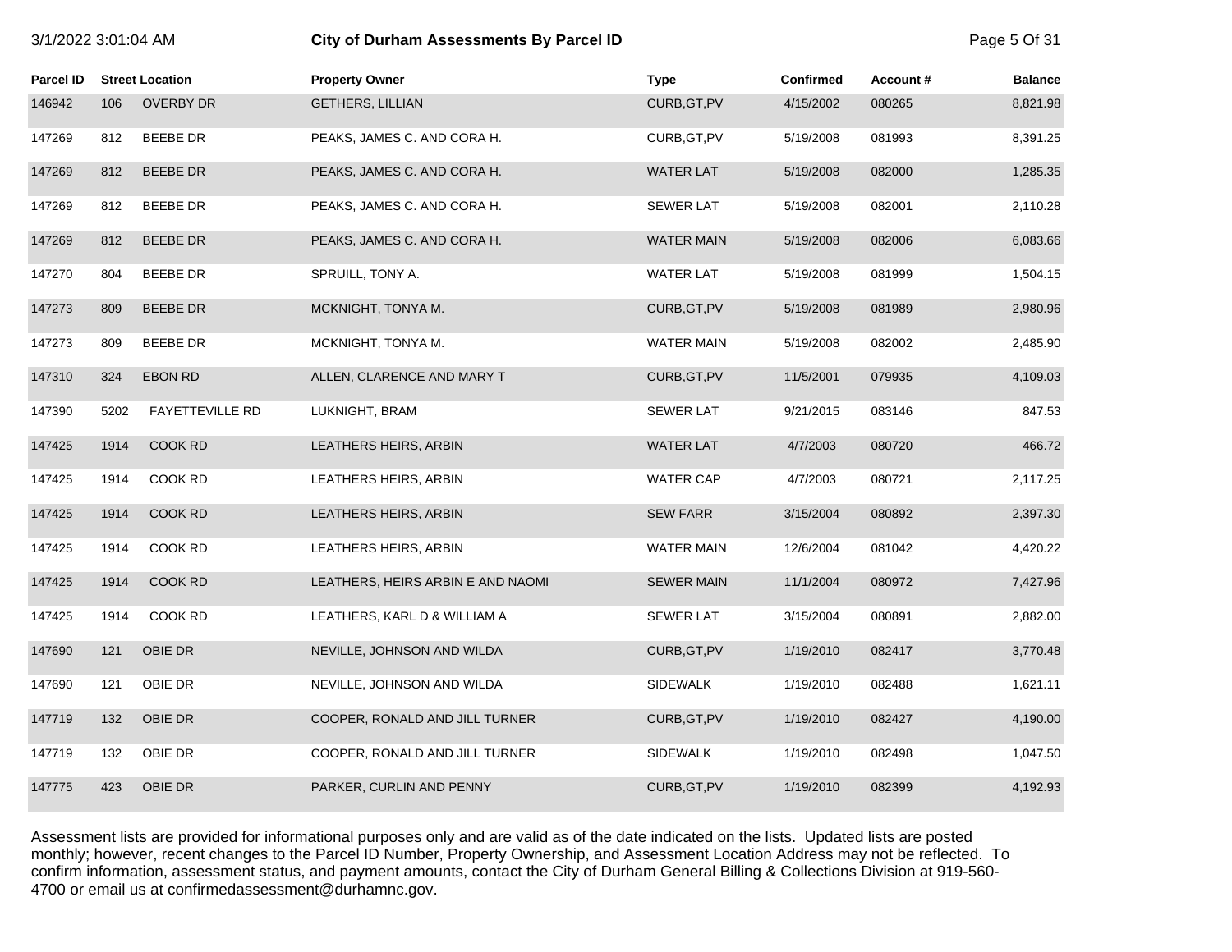Parcel ID Street Location **Property Owner Account # Property Owner** Parcel **Type** Confirmed Account # Balance 146942 106 OVERBY DR GETHERS, LILLIAN CURB,GT,PV 4/15/2002 080265 8,821.98 147269 812 BEEBE DR PEAKS, JAMES C. AND CORA H. CURB,GT,PV 5/19/2008 081993 8,391.25 147269 812 BEEBE DR PEAKS, JAMES C. AND CORA H. WATER LAT 5/19/2008 082000 1,285.35 147269 812 BEEBE DR PEAKS, JAMES C. AND CORA H. SEWER LAT 5/19/2008 082001 2,110.28 147269 812 BEEBE DR PEAKS, JAMES C. AND CORA H. WATER MAIN 5/19/2008 082006 6,083.66 147270 804 BEEBE DR SPRUILL, TONY A. WATER LAT 5/19/2008 081999 1,504.15 147273 809 BEEBE DR MCKNIGHT, TONYA M. CURB,GT,PV 5/19/2008 081989 2,980.96 147273 809 BEEBE DR MCKNIGHT, TONYA M. WATER MAIN 5/19/2008 082002 2,485.90 147310 324 EBON RD ALLEN, CLARENCE AND MARY T CURB,GT,PV 11/5/2001 079935 4,109.03 147390 5202 FAYETTEVILLE RD LUKNIGHT, BRAM SEWER LAT 9/21/2015 083146 847.53 147425 1914 COOK RD LEATHERS HEIRS, ARBIN WATER LAT 4/7/2003 080720 466.72 147425 1914 COOK RD LEATHERS HEIRS, ARBIN WATER CAP 4/7/2003 080721 2,117.25 147425 1914 COOK RD LEATHERS HEIRS, ARBIN SEW FARR 3/15/2004 080892 2,397.30 147425 1914 COOK RD LEATHERS HEIRS, ARBIN WATER MAIN 12/6/2004 081042 4,420.22 147425 1914 COOK RD LEATHERS, HEIRS ARBIN E AND NAOMI SEWER MAIN 11/1/2004 080972 7,427.96 147425 1914 COOK RD LEATHERS, KARL D & WILLIAM A SEWER LAT 3/15/2004 080891 2,882.00 147690 121 OBIE DR NEVILLE, JOHNSON AND WILDA CURB,GT,PV 1/19/2010 082417 3,770.48 147690 121 OBIE DR NEVILLE, JOHNSON AND WILDA SIDEWALK 1/19/2010 082488 1,621.11 147719 132 OBIE DR COOPER, RONALD AND JILL TURNER CURB,GT,PV 1/19/2010 082427 4,190.00 147719 132 OBIE DR COOPER, RONALD AND JILL TURNER SIDEWALK 1/19/2010 082498 1,047.50 147775 423 OBIE DR PARKER, CURLIN AND PENNY CURB,GT,PV 1/19/2010 082399 4,192.93

3/1/2022 3:01:04 AM **City of Durham Assessments By Parcel ID** Page 5 Of 31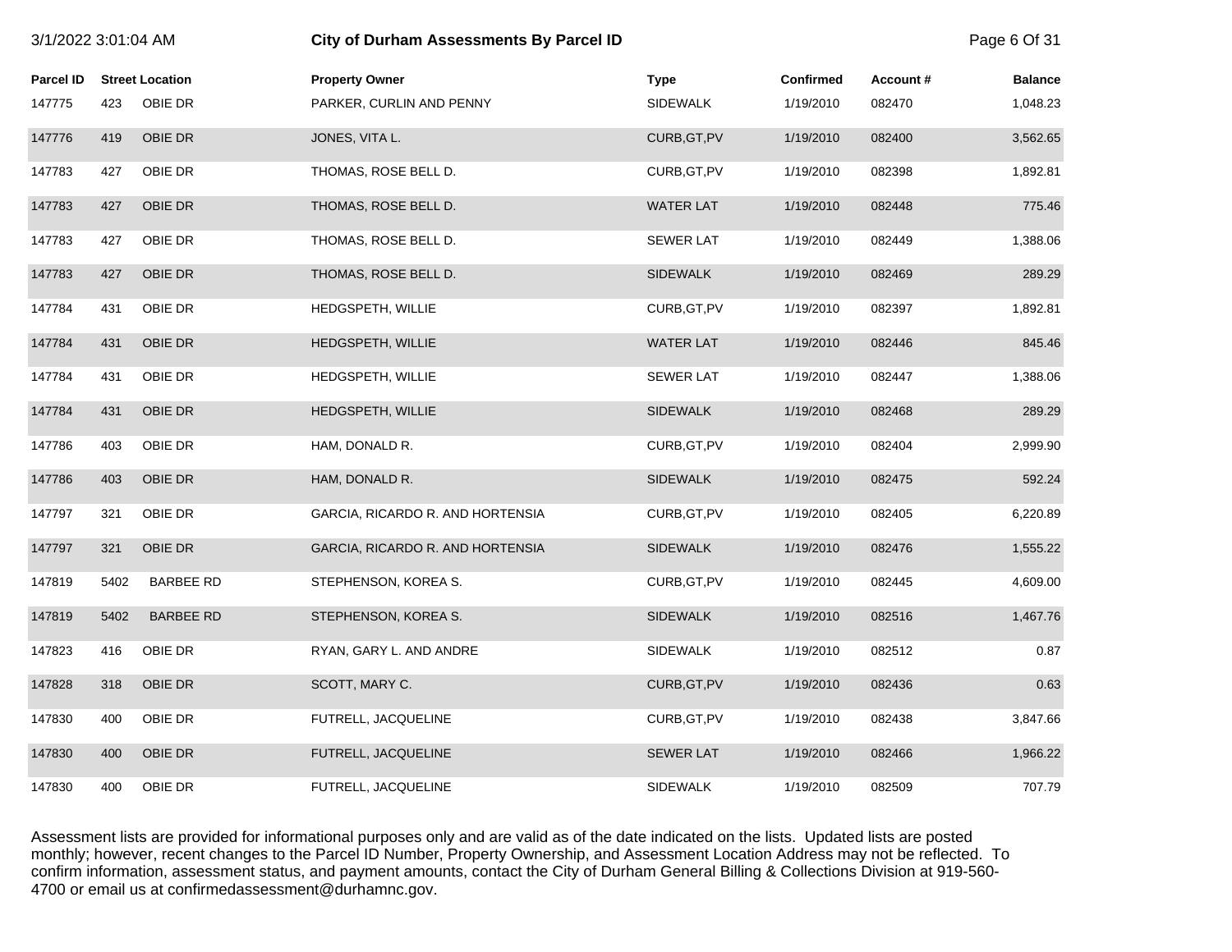| 3/1/2022 3:01:04 AM |      |                        | City of Durham Assessments By Parcel ID |                  |                  |          | Page 6 Of 31   |
|---------------------|------|------------------------|-----------------------------------------|------------------|------------------|----------|----------------|
| <b>Parcel ID</b>    |      | <b>Street Location</b> | <b>Property Owner</b>                   | <b>Type</b>      | <b>Confirmed</b> | Account# | <b>Balance</b> |
| 147775              | 423  | OBIE DR                | PARKER, CURLIN AND PENNY                | <b>SIDEWALK</b>  | 1/19/2010        | 082470   | 1,048.23       |
| 147776              | 419  | OBIE DR                | JONES, VITA L.                          | CURB, GT, PV     | 1/19/2010        | 082400   | 3,562.65       |
| 147783              | 427  | OBIE DR                | THOMAS, ROSE BELL D.                    | CURB, GT, PV     | 1/19/2010        | 082398   | 1,892.81       |
| 147783              | 427  | OBIE DR                | THOMAS, ROSE BELL D.                    | <b>WATER LAT</b> | 1/19/2010        | 082448   | 775.46         |
| 147783              | 427  | OBIE DR                | THOMAS, ROSE BELL D.                    | <b>SEWER LAT</b> | 1/19/2010        | 082449   | 1,388.06       |
| 147783              | 427  | OBIE DR                | THOMAS, ROSE BELL D.                    | <b>SIDEWALK</b>  | 1/19/2010        | 082469   | 289.29         |
| 147784              | 431  | OBIE DR                | HEDGSPETH, WILLIE                       | CURB, GT, PV     | 1/19/2010        | 082397   | 1,892.81       |
| 147784              | 431  | <b>OBIE DR</b>         | HEDGSPETH, WILLIE                       | <b>WATER LAT</b> | 1/19/2010        | 082446   | 845.46         |
| 147784              | 431  | OBIE DR                | HEDGSPETH, WILLIE                       | <b>SEWER LAT</b> | 1/19/2010        | 082447   | 1,388.06       |
| 147784              | 431  | OBIE DR                | HEDGSPETH, WILLIE                       | <b>SIDEWALK</b>  | 1/19/2010        | 082468   | 289.29         |
| 147786              | 403  | OBIE DR                | HAM, DONALD R.                          | CURB, GT, PV     | 1/19/2010        | 082404   | 2,999.90       |
| 147786              | 403  | OBIE DR                | HAM, DONALD R.                          | <b>SIDEWALK</b>  | 1/19/2010        | 082475   | 592.24         |
| 147797              | 321  | OBIE DR                | GARCIA, RICARDO R. AND HORTENSIA        | CURB, GT, PV     | 1/19/2010        | 082405   | 6,220.89       |
| 147797              | 321  | OBIE DR                | GARCIA, RICARDO R. AND HORTENSIA        | <b>SIDEWALK</b>  | 1/19/2010        | 082476   | 1,555.22       |
| 147819              | 5402 | <b>BARBEE RD</b>       | STEPHENSON, KOREA S.                    | CURB, GT, PV     | 1/19/2010        | 082445   | 4,609.00       |
| 147819              | 5402 | <b>BARBEE RD</b>       | STEPHENSON, KOREA S.                    | <b>SIDEWALK</b>  | 1/19/2010        | 082516   | 1,467.76       |
| 147823              | 416  | OBIE DR                | RYAN, GARY L. AND ANDRE                 | <b>SIDEWALK</b>  | 1/19/2010        | 082512   | 0.87           |
| 147828              | 318  | OBIE DR                | SCOTT, MARY C.                          | CURB, GT, PV     | 1/19/2010        | 082436   | 0.63           |
| 147830              | 400  | OBIE DR                | FUTRELL, JACQUELINE                     | CURB, GT, PV     | 1/19/2010        | 082438   | 3,847.66       |
| 147830              | 400  | OBIE DR                | FUTRELL, JACQUELINE                     | <b>SEWER LAT</b> | 1/19/2010        | 082466   | 1,966.22       |
| 147830              | 400  | OBIE DR                | FUTRELL, JACQUELINE                     | <b>SIDEWALK</b>  | 1/19/2010        | 082509   | 707.79         |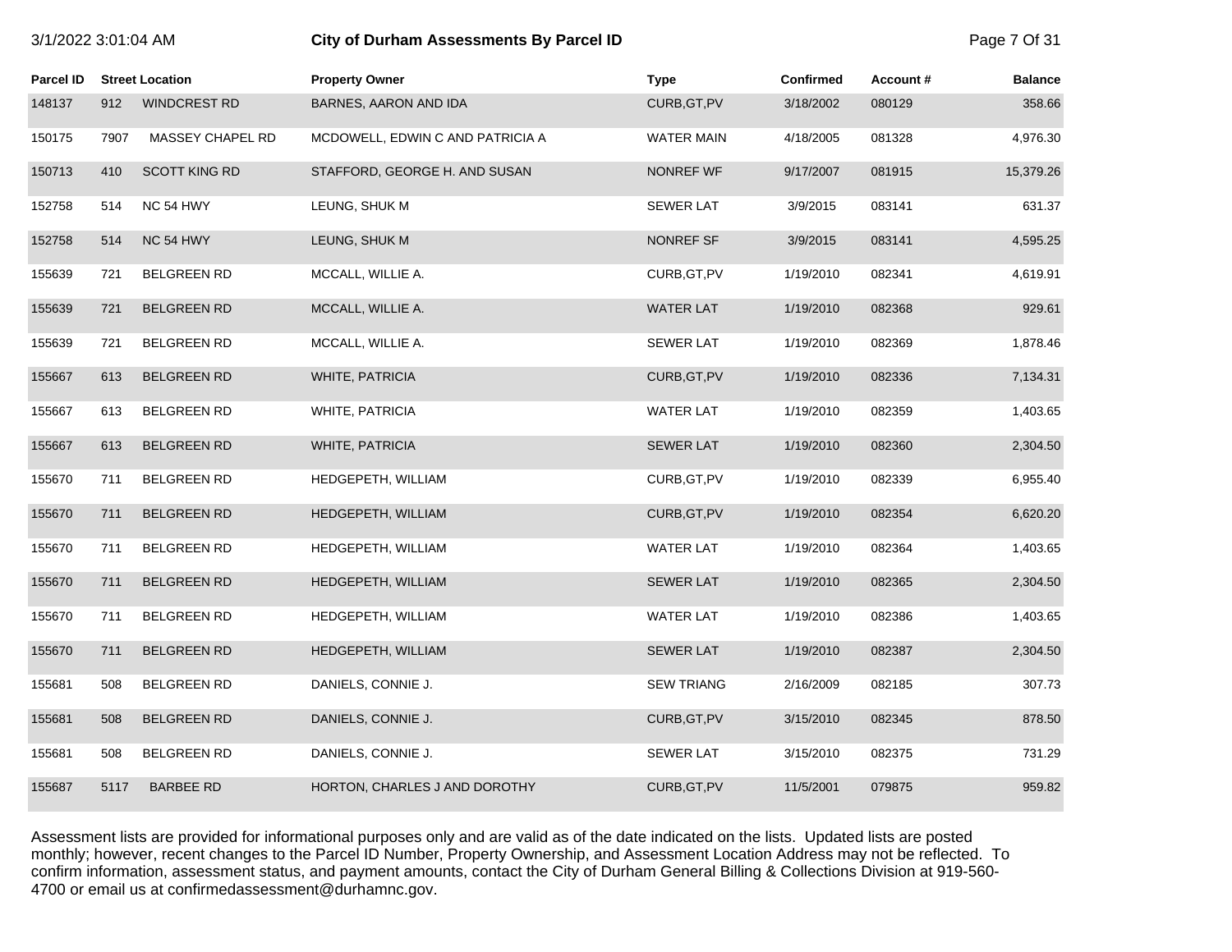| ויווד דט ויט ט בבטביו וט |      |                        | ony or Burnam Assessments By Fareer IB |                   |                  |          | $1$ agu $1$ OI OI |
|--------------------------|------|------------------------|----------------------------------------|-------------------|------------------|----------|-------------------|
| Parcel ID                |      | <b>Street Location</b> | <b>Property Owner</b>                  | <b>Type</b>       | <b>Confirmed</b> | Account# | <b>Balance</b>    |
| 148137                   | 912  | <b>WINDCREST RD</b>    | BARNES, AARON AND IDA                  | CURB, GT, PV      | 3/18/2002        | 080129   | 358.66            |
| 150175                   | 7907 | MASSEY CHAPEL RD       | MCDOWELL, EDWIN C AND PATRICIA A       | <b>WATER MAIN</b> | 4/18/2005        | 081328   | 4,976.30          |
| 150713                   | 410  | <b>SCOTT KING RD</b>   | STAFFORD, GEORGE H. AND SUSAN          | <b>NONREF WF</b>  | 9/17/2007        | 081915   | 15,379.26         |
| 152758                   | 514  | NC 54 HWY              | LEUNG, SHUK M                          | <b>SEWER LAT</b>  | 3/9/2015         | 083141   | 631.37            |
| 152758                   | 514  | NC 54 HWY              | LEUNG, SHUK M                          | NONREF SF         | 3/9/2015         | 083141   | 4,595.25          |
| 155639                   | 721  | <b>BELGREEN RD</b>     | MCCALL, WILLIE A.                      | CURB, GT, PV      | 1/19/2010        | 082341   | 4,619.91          |
| 155639                   | 721  | <b>BELGREEN RD</b>     | MCCALL, WILLIE A.                      | <b>WATER LAT</b>  | 1/19/2010        | 082368   | 929.61            |
| 155639                   | 721  | <b>BELGREEN RD</b>     | MCCALL, WILLIE A.                      | SEWER LAT         | 1/19/2010        | 082369   | 1,878.46          |
| 155667                   | 613  | <b>BELGREEN RD</b>     | WHITE, PATRICIA                        | CURB, GT, PV      | 1/19/2010        | 082336   | 7,134.31          |
| 155667                   | 613  | BELGREEN RD            | <b>WHITE, PATRICIA</b>                 | <b>WATER LAT</b>  | 1/19/2010        | 082359   | 1,403.65          |
| 155667                   | 613  | <b>BELGREEN RD</b>     | WHITE, PATRICIA                        | <b>SEWER LAT</b>  | 1/19/2010        | 082360   | 2,304.50          |
| 155670                   | 711  | <b>BELGREEN RD</b>     | HEDGEPETH, WILLIAM                     | CURB, GT, PV      | 1/19/2010        | 082339   | 6,955.40          |
| 155670                   | 711  | <b>BELGREEN RD</b>     | HEDGEPETH, WILLIAM                     | CURB, GT, PV      | 1/19/2010        | 082354   | 6,620.20          |
| 155670                   | 711  | <b>BELGREEN RD</b>     | HEDGEPETH, WILLIAM                     | <b>WATER LAT</b>  | 1/19/2010        | 082364   | 1,403.65          |
| 155670                   | 711  | <b>BELGREEN RD</b>     | HEDGEPETH, WILLIAM                     | <b>SEWER LAT</b>  | 1/19/2010        | 082365   | 2,304.50          |
| 155670                   | 711  | <b>BELGREEN RD</b>     | HEDGEPETH, WILLIAM                     | <b>WATER LAT</b>  | 1/19/2010        | 082386   | 1,403.65          |
| 155670                   | 711  | <b>BELGREEN RD</b>     | HEDGEPETH, WILLIAM                     | <b>SEWER LAT</b>  | 1/19/2010        | 082387   | 2,304.50          |
| 155681                   | 508  | <b>BELGREEN RD</b>     | DANIELS, CONNIE J.                     | <b>SEW TRIANG</b> | 2/16/2009        | 082185   | 307.73            |
| 155681                   | 508  | <b>BELGREEN RD</b>     | DANIELS, CONNIE J.                     | CURB, GT, PV      | 3/15/2010        | 082345   | 878.50            |
| 155681                   | 508  | <b>BELGREEN RD</b>     | DANIELS, CONNIE J.                     | <b>SEWER LAT</b>  | 3/15/2010        | 082375   | 731.29            |
| 155687                   | 5117 | <b>BARBEE RD</b>       | HORTON, CHARLES J AND DOROTHY          | CURB, GT, PV      | 11/5/2001        | 079875   | 959.82            |

3/1/2022 3:01:04 AM **City of Durham Assessments By Parcel ID** Page 7 Of 31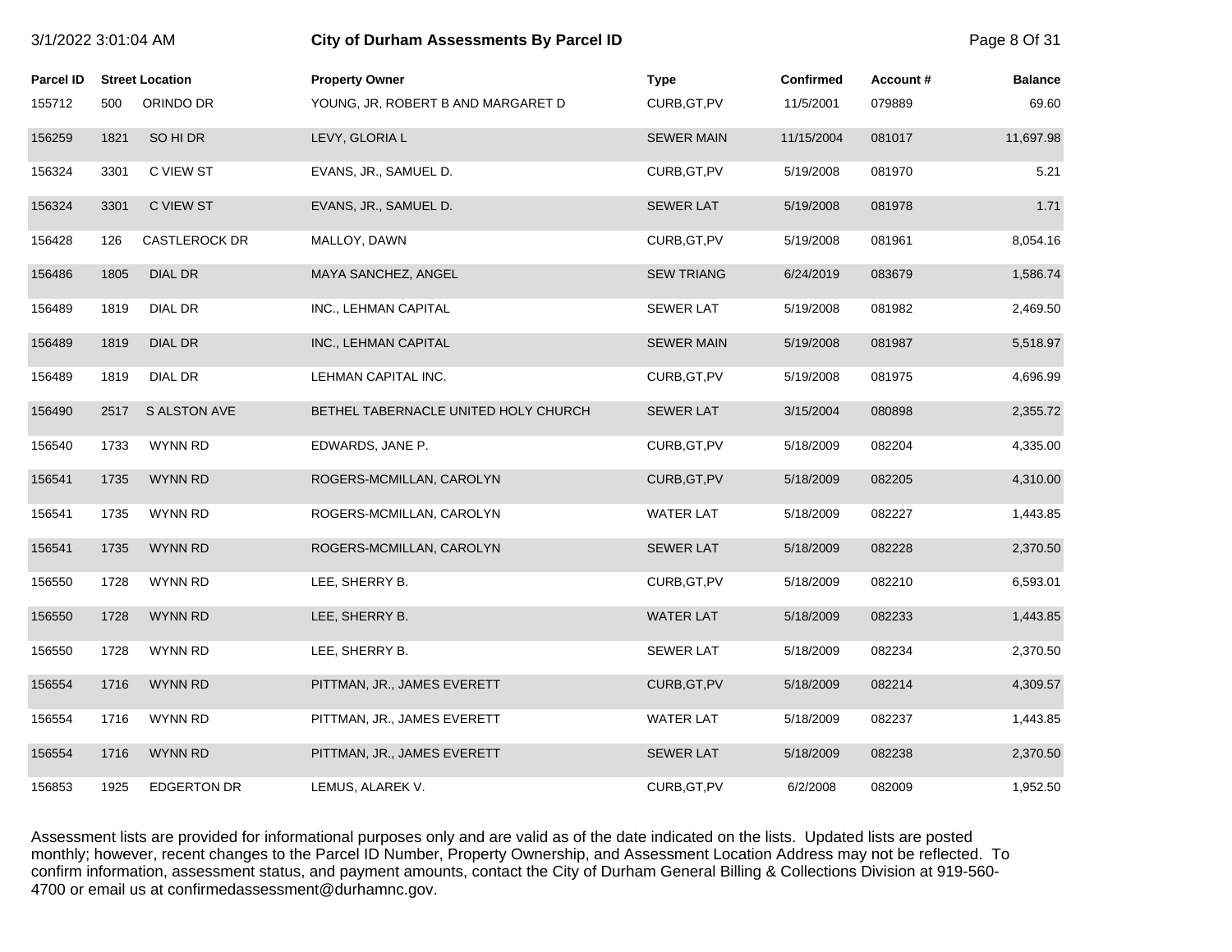| 3/1/2022 3:01:04 AM |      |                        | <b>City of Durham Assessments By Parcel ID</b> |                   |                  |          | Page 8 Of 31   |
|---------------------|------|------------------------|------------------------------------------------|-------------------|------------------|----------|----------------|
| <b>Parcel ID</b>    |      | <b>Street Location</b> | <b>Property Owner</b>                          | <b>Type</b>       | <b>Confirmed</b> | Account# | <b>Balance</b> |
| 155712              | 500  | ORINDO DR              | YOUNG, JR, ROBERT B AND MARGARET D             | CURB, GT, PV      | 11/5/2001        | 079889   | 69.60          |
| 156259              | 1821 | SO HI DR               | LEVY, GLORIA L                                 | <b>SEWER MAIN</b> | 11/15/2004       | 081017   | 11,697.98      |
| 156324              | 3301 | C VIEW ST              | EVANS, JR., SAMUEL D.                          | CURB, GT, PV      | 5/19/2008        | 081970   | 5.21           |
| 156324              | 3301 | C VIEW ST              | EVANS, JR., SAMUEL D.                          | <b>SEWER LAT</b>  | 5/19/2008        | 081978   | 1.71           |
| 156428              | 126  | <b>CASTLEROCK DR</b>   | MALLOY, DAWN                                   | CURB, GT, PV      | 5/19/2008        | 081961   | 8,054.16       |
| 156486              | 1805 | <b>DIAL DR</b>         | MAYA SANCHEZ, ANGEL                            | <b>SEW TRIANG</b> | 6/24/2019        | 083679   | 1,586.74       |
| 156489              | 1819 | DIAL DR                | INC., LEHMAN CAPITAL                           | <b>SEWER LAT</b>  | 5/19/2008        | 081982   | 2,469.50       |
| 156489              | 1819 | <b>DIAL DR</b>         | INC., LEHMAN CAPITAL                           | <b>SEWER MAIN</b> | 5/19/2008        | 081987   | 5,518.97       |
| 156489              | 1819 | DIAL DR                | LEHMAN CAPITAL INC.                            | CURB, GT, PV      | 5/19/2008        | 081975   | 4,696.99       |
| 156490              | 2517 | S ALSTON AVE           | BETHEL TABERNACLE UNITED HOLY CHURCH           | <b>SEWER LAT</b>  | 3/15/2004        | 080898   | 2,355.72       |
| 156540              | 1733 | <b>WYNN RD</b>         | EDWARDS, JANE P.                               | CURB, GT, PV      | 5/18/2009        | 082204   | 4,335.00       |
| 156541              | 1735 | <b>WYNN RD</b>         | ROGERS-MCMILLAN, CAROLYN                       | CURB, GT, PV      | 5/18/2009        | 082205   | 4,310.00       |
| 156541              | 1735 | WYNN RD                | ROGERS-MCMILLAN, CAROLYN                       | <b>WATER LAT</b>  | 5/18/2009        | 082227   | 1,443.85       |
| 156541              | 1735 | <b>WYNN RD</b>         | ROGERS-MCMILLAN, CAROLYN                       | <b>SEWER LAT</b>  | 5/18/2009        | 082228   | 2,370.50       |
| 156550              | 1728 | <b>WYNN RD</b>         | LEE, SHERRY B.                                 | CURB, GT, PV      | 5/18/2009        | 082210   | 6,593.01       |
| 156550              | 1728 | <b>WYNN RD</b>         | LEE, SHERRY B.                                 | <b>WATER LAT</b>  | 5/18/2009        | 082233   | 1,443.85       |
| 156550              | 1728 | <b>WYNN RD</b>         | LEE, SHERRY B.                                 | <b>SEWER LAT</b>  | 5/18/2009        | 082234   | 2,370.50       |
| 156554              | 1716 | <b>WYNN RD</b>         | PITTMAN, JR., JAMES EVERETT                    | CURB, GT, PV      | 5/18/2009        | 082214   | 4,309.57       |
| 156554              | 1716 | WYNN RD                | PITTMAN, JR., JAMES EVERETT                    | <b>WATER LAT</b>  | 5/18/2009        | 082237   | 1,443.85       |
| 156554              | 1716 | <b>WYNN RD</b>         | PITTMAN, JR., JAMES EVERETT                    | <b>SEWER LAT</b>  | 5/18/2009        | 082238   | 2,370.50       |
| 156853              | 1925 | <b>EDGERTON DR</b>     | LEMUS, ALAREK V.                               | CURB, GT, PV      | 6/2/2008         | 082009   | 1,952.50       |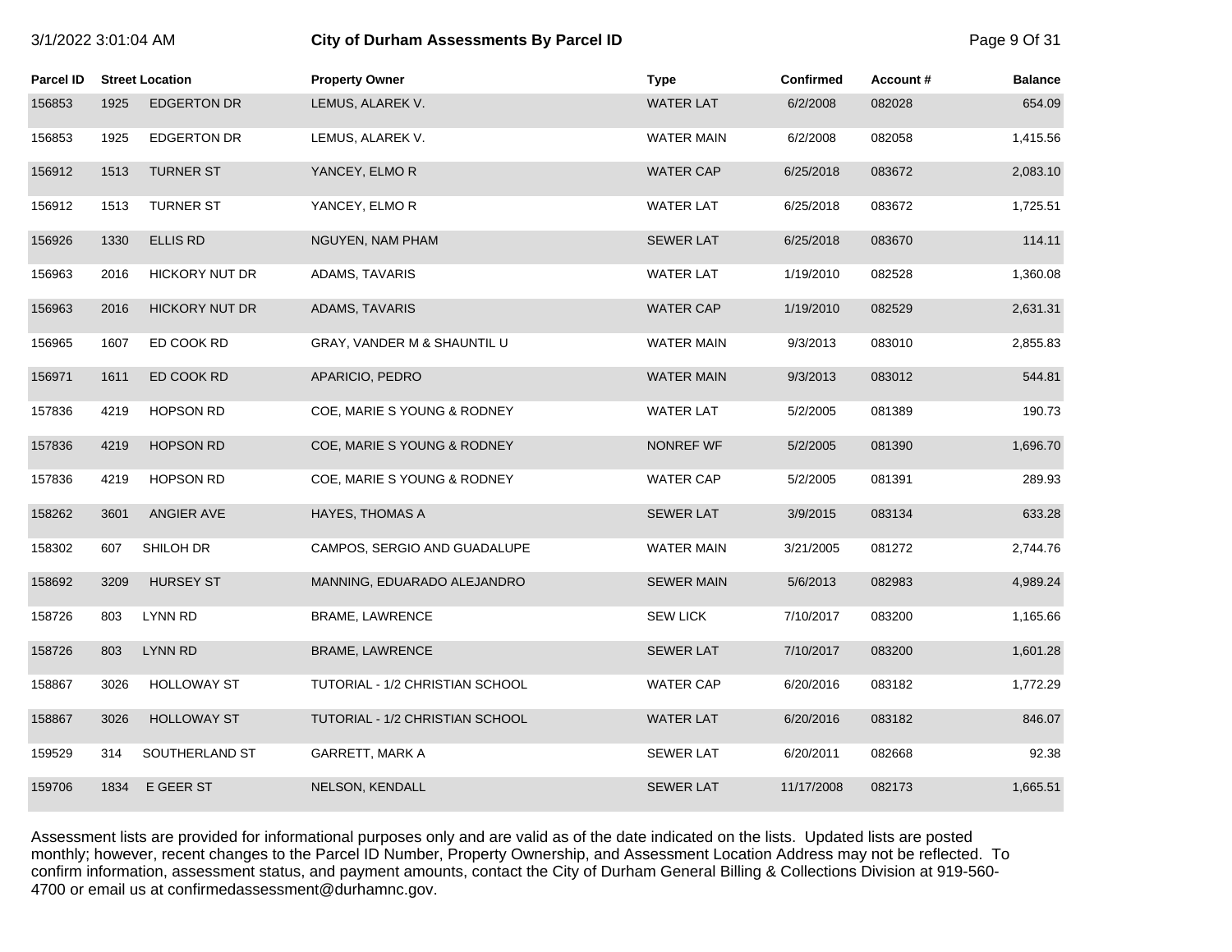# 3/1/2022 3:01:04 AM **City of Durham Assessments By Parcel ID** Page 9 Of 31

| Parcel ID |      | <b>Street Location</b> | <b>Property Owner</b>           | <b>Type</b>       | <b>Confirmed</b> | Account# | <b>Balance</b> |
|-----------|------|------------------------|---------------------------------|-------------------|------------------|----------|----------------|
| 156853    | 1925 | <b>EDGERTON DR</b>     | LEMUS, ALAREK V.                | <b>WATER LAT</b>  | 6/2/2008         | 082028   | 654.09         |
| 156853    | 1925 | <b>EDGERTON DR</b>     | LEMUS, ALAREK V.                | <b>WATER MAIN</b> | 6/2/2008         | 082058   | 1,415.56       |
| 156912    | 1513 | <b>TURNER ST</b>       | YANCEY, ELMOR                   | <b>WATER CAP</b>  | 6/25/2018        | 083672   | 2,083.10       |
| 156912    | 1513 | <b>TURNER ST</b>       | YANCEY, ELMO R                  | <b>WATER LAT</b>  | 6/25/2018        | 083672   | 1,725.51       |
| 156926    | 1330 | <b>ELLIS RD</b>        | NGUYEN, NAM PHAM                | <b>SEWER LAT</b>  | 6/25/2018        | 083670   | 114.11         |
| 156963    | 2016 | <b>HICKORY NUT DR</b>  | ADAMS, TAVARIS                  | <b>WATER LAT</b>  | 1/19/2010        | 082528   | 1,360.08       |
| 156963    | 2016 | <b>HICKORY NUT DR</b>  | <b>ADAMS, TAVARIS</b>           | <b>WATER CAP</b>  | 1/19/2010        | 082529   | 2,631.31       |
| 156965    | 1607 | ED COOK RD             | GRAY, VANDER M & SHAUNTIL U     | <b>WATER MAIN</b> | 9/3/2013         | 083010   | 2,855.83       |
| 156971    | 1611 | ED COOK RD             | APARICIO, PEDRO                 | <b>WATER MAIN</b> | 9/3/2013         | 083012   | 544.81         |
| 157836    | 4219 | <b>HOPSON RD</b>       | COE, MARIE S YOUNG & RODNEY     | <b>WATER LAT</b>  | 5/2/2005         | 081389   | 190.73         |
| 157836    | 4219 | <b>HOPSON RD</b>       | COE, MARIE S YOUNG & RODNEY     | NONREF WF         | 5/2/2005         | 081390   | 1,696.70       |
| 157836    | 4219 | <b>HOPSON RD</b>       | COE, MARIE S YOUNG & RODNEY     | <b>WATER CAP</b>  | 5/2/2005         | 081391   | 289.93         |
| 158262    | 3601 | ANGIER AVE             | <b>HAYES, THOMAS A</b>          | <b>SEWER LAT</b>  | 3/9/2015         | 083134   | 633.28         |
| 158302    | 607  | SHILOH DR              | CAMPOS, SERGIO AND GUADALUPE    | <b>WATER MAIN</b> | 3/21/2005        | 081272   | 2,744.76       |
| 158692    | 3209 | <b>HURSEY ST</b>       | MANNING, EDUARADO ALEJANDRO     | <b>SEWER MAIN</b> | 5/6/2013         | 082983   | 4,989.24       |
| 158726    | 803  | <b>LYNN RD</b>         | BRAME, LAWRENCE                 | <b>SEW LICK</b>   | 7/10/2017        | 083200   | 1,165.66       |
| 158726    | 803  | <b>LYNN RD</b>         | BRAME, LAWRENCE                 | <b>SEWER LAT</b>  | 7/10/2017        | 083200   | 1,601.28       |
| 158867    | 3026 | <b>HOLLOWAY ST</b>     | TUTORIAL - 1/2 CHRISTIAN SCHOOL | <b>WATER CAP</b>  | 6/20/2016        | 083182   | 1,772.29       |
| 158867    | 3026 | <b>HOLLOWAY ST</b>     | TUTORIAL - 1/2 CHRISTIAN SCHOOL | <b>WATER LAT</b>  | 6/20/2016        | 083182   | 846.07         |
| 159529    | 314  | SOUTHERLAND ST         | GARRETT, MARK A                 | <b>SEWER LAT</b>  | 6/20/2011        | 082668   | 92.38          |
| 159706    | 1834 | E GEER ST              | NELSON, KENDALL                 | <b>SEWER LAT</b>  | 11/17/2008       | 082173   | 1,665.51       |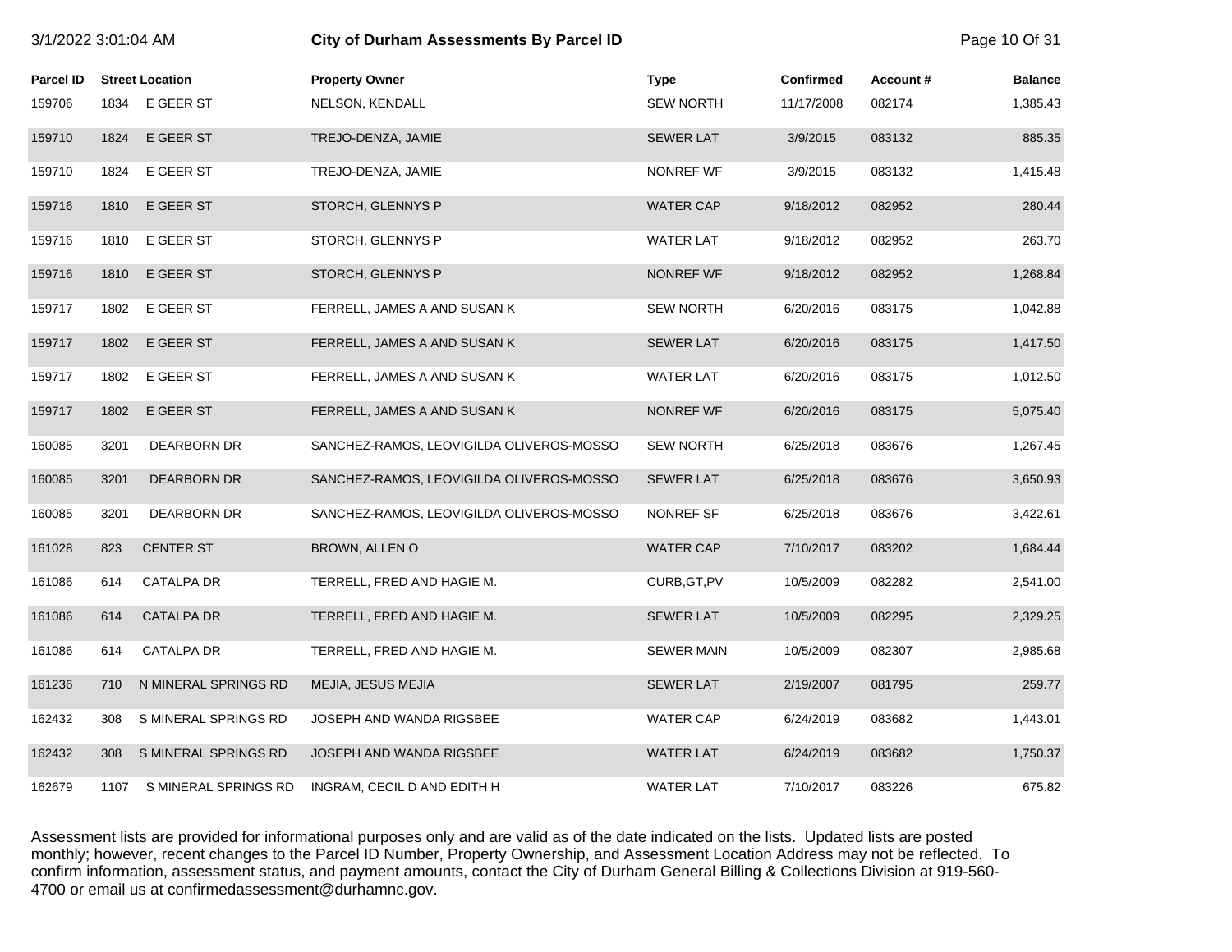| 3/1/2022 3:01:04 AM |      |                        | <b>City of Durham Assessments By Parcel ID</b> |                   |                  |          | Page 10 Of 31  |
|---------------------|------|------------------------|------------------------------------------------|-------------------|------------------|----------|----------------|
| <b>Parcel ID</b>    |      | <b>Street Location</b> | <b>Property Owner</b>                          | <b>Type</b>       | <b>Confirmed</b> | Account# | <b>Balance</b> |
| 159706              | 1834 | E GEER ST              | NELSON, KENDALL                                | <b>SEW NORTH</b>  | 11/17/2008       | 082174   | 1,385.43       |
| 159710              | 1824 | E GEER ST              | TREJO-DENZA, JAMIE                             | <b>SEWER LAT</b>  | 3/9/2015         | 083132   | 885.35         |
| 159710              | 1824 | E GEER ST              | TREJO-DENZA, JAMIE                             | NONREF WF         | 3/9/2015         | 083132   | 1,415.48       |
| 159716              | 1810 | E GEER ST              | STORCH, GLENNYS P                              | <b>WATER CAP</b>  | 9/18/2012        | 082952   | 280.44         |
| 159716              | 1810 | E GEER ST              | STORCH, GLENNYS P                              | <b>WATER LAT</b>  | 9/18/2012        | 082952   | 263.70         |
| 159716              | 1810 | E GEER ST              | STORCH, GLENNYS P                              | NONREF WF         | 9/18/2012        | 082952   | 1,268.84       |
| 159717              | 1802 | E GEER ST              | FERRELL, JAMES A AND SUSAN K                   | <b>SEW NORTH</b>  | 6/20/2016        | 083175   | 1,042.88       |
| 159717              | 1802 | E GEER ST              | FERRELL, JAMES A AND SUSAN K                   | <b>SEWER LAT</b>  | 6/20/2016        | 083175   | 1,417.50       |
| 159717              | 1802 | E GEER ST              | FERRELL, JAMES A AND SUSAN K                   | <b>WATER LAT</b>  | 6/20/2016        | 083175   | 1,012.50       |
| 159717              | 1802 | E GEER ST              | FERRELL, JAMES A AND SUSAN K                   | NONREF WF         | 6/20/2016        | 083175   | 5,075.40       |
| 160085              | 3201 | DEARBORN DR            | SANCHEZ-RAMOS, LEOVIGILDA OLIVEROS-MOSSO       | <b>SEW NORTH</b>  | 6/25/2018        | 083676   | 1,267.45       |
| 160085              | 3201 | <b>DEARBORN DR</b>     | SANCHEZ-RAMOS, LEOVIGILDA OLIVEROS-MOSSO       | <b>SEWER LAT</b>  | 6/25/2018        | 083676   | 3,650.93       |
| 160085              | 3201 | DEARBORN DR            | SANCHEZ-RAMOS, LEOVIGILDA OLIVEROS-MOSSO       | NONREF SF         | 6/25/2018        | 083676   | 3,422.61       |
| 161028              | 823  | <b>CENTER ST</b>       | BROWN, ALLEN O                                 | <b>WATER CAP</b>  | 7/10/2017        | 083202   | 1,684.44       |
| 161086              | 614  | <b>CATALPA DR</b>      | TERRELL, FRED AND HAGIE M.                     | CURB, GT, PV      | 10/5/2009        | 082282   | 2,541.00       |
| 161086              | 614  | <b>CATALPA DR</b>      | TERRELL, FRED AND HAGIE M.                     | <b>SEWER LAT</b>  | 10/5/2009        | 082295   | 2,329.25       |
| 161086              | 614  | CATALPA DR             | TERRELL, FRED AND HAGIE M.                     | <b>SEWER MAIN</b> | 10/5/2009        | 082307   | 2,985.68       |
| 161236              | 710  | N MINERAL SPRINGS RD   | MEJIA, JESUS MEJIA                             | <b>SEWER LAT</b>  | 2/19/2007        | 081795   | 259.77         |
| 162432              | 308  | S MINERAL SPRINGS RD   | JOSEPH AND WANDA RIGSBEE                       | <b>WATER CAP</b>  | 6/24/2019        | 083682   | 1,443.01       |
| 162432              | 308  | S MINERAL SPRINGS RD   | JOSEPH AND WANDA RIGSBEE                       | <b>WATER LAT</b>  | 6/24/2019        | 083682   | 1,750.37       |
| 162679              | 1107 | S MINERAL SPRINGS RD   | INGRAM, CECIL D AND EDITH H                    | <b>WATER LAT</b>  | 7/10/2017        | 083226   | 675.82         |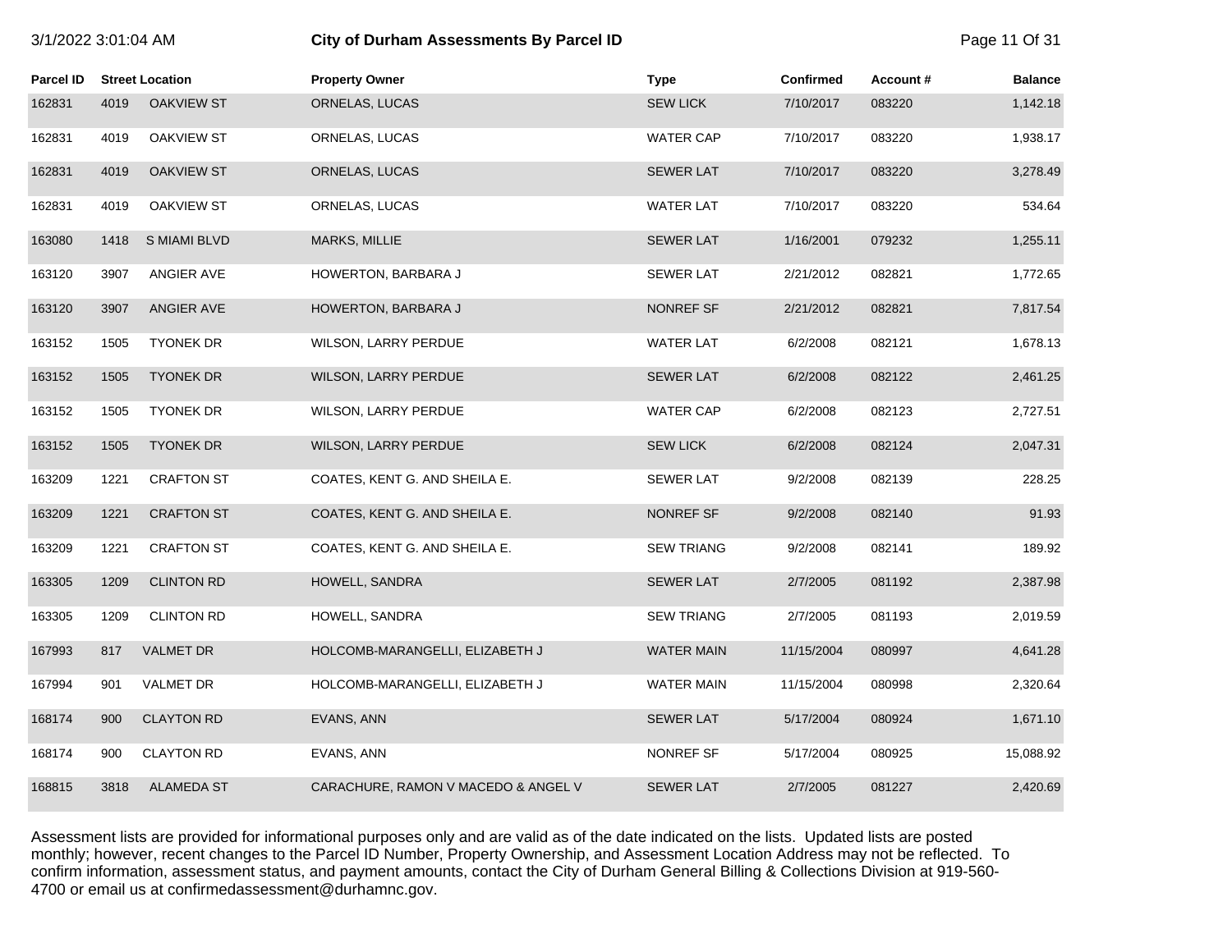# 3/1/2022 3:01:04 AM **City of Durham Assessments By Parcel ID** Page 11 Of 31

| Parcel ID |      | <b>Street Location</b> | <b>Property Owner</b>               | <b>Type</b>       | <b>Confirmed</b> | Account# | <b>Balance</b> |
|-----------|------|------------------------|-------------------------------------|-------------------|------------------|----------|----------------|
| 162831    | 4019 | <b>OAKVIEW ST</b>      | ORNELAS, LUCAS                      | <b>SEW LICK</b>   | 7/10/2017        | 083220   | 1,142.18       |
| 162831    | 4019 | <b>OAKVIEW ST</b>      | ORNELAS, LUCAS                      | <b>WATER CAP</b>  | 7/10/2017        | 083220   | 1,938.17       |
| 162831    | 4019 | <b>OAKVIEW ST</b>      | ORNELAS, LUCAS                      | <b>SEWER LAT</b>  | 7/10/2017        | 083220   | 3,278.49       |
| 162831    | 4019 | OAKVIEW ST             | ORNELAS, LUCAS                      | <b>WATER LAT</b>  | 7/10/2017        | 083220   | 534.64         |
| 163080    | 1418 | S MIAMI BLVD           | <b>MARKS, MILLIE</b>                | <b>SEWER LAT</b>  | 1/16/2001        | 079232   | 1,255.11       |
| 163120    | 3907 | ANGIER AVE             | HOWERTON, BARBARA J                 | <b>SEWER LAT</b>  | 2/21/2012        | 082821   | 1,772.65       |
| 163120    | 3907 | ANGIER AVE             | HOWERTON, BARBARA J                 | NONREF SF         | 2/21/2012        | 082821   | 7,817.54       |
| 163152    | 1505 | <b>TYONEK DR</b>       | WILSON, LARRY PERDUE                | <b>WATER LAT</b>  | 6/2/2008         | 082121   | 1,678.13       |
| 163152    | 1505 | <b>TYONEK DR</b>       | WILSON, LARRY PERDUE                | <b>SEWER LAT</b>  | 6/2/2008         | 082122   | 2,461.25       |
| 163152    | 1505 | <b>TYONEK DR</b>       | WILSON, LARRY PERDUE                | <b>WATER CAP</b>  | 6/2/2008         | 082123   | 2,727.51       |
| 163152    | 1505 | <b>TYONEK DR</b>       | WILSON, LARRY PERDUE                | <b>SEW LICK</b>   | 6/2/2008         | 082124   | 2,047.31       |
| 163209    | 1221 | <b>CRAFTON ST</b>      | COATES, KENT G. AND SHEILA E.       | <b>SEWER LAT</b>  | 9/2/2008         | 082139   | 228.25         |
| 163209    | 1221 | <b>CRAFTON ST</b>      | COATES, KENT G. AND SHEILA E.       | NONREF SF         | 9/2/2008         | 082140   | 91.93          |
| 163209    | 1221 | <b>CRAFTON ST</b>      | COATES, KENT G. AND SHEILA E.       | <b>SEW TRIANG</b> | 9/2/2008         | 082141   | 189.92         |
| 163305    | 1209 | <b>CLINTON RD</b>      | HOWELL, SANDRA                      | <b>SEWER LAT</b>  | 2/7/2005         | 081192   | 2,387.98       |
| 163305    | 1209 | <b>CLINTON RD</b>      | HOWELL, SANDRA                      | <b>SEW TRIANG</b> | 2/7/2005         | 081193   | 2,019.59       |
| 167993    | 817  | <b>VALMET DR</b>       | HOLCOMB-MARANGELLI, ELIZABETH J     | <b>WATER MAIN</b> | 11/15/2004       | 080997   | 4,641.28       |
| 167994    | 901  | VALMET DR              | HOLCOMB-MARANGELLI, ELIZABETH J     | <b>WATER MAIN</b> | 11/15/2004       | 080998   | 2,320.64       |
| 168174    | 900  | <b>CLAYTON RD</b>      | EVANS, ANN                          | <b>SEWER LAT</b>  | 5/17/2004        | 080924   | 1,671.10       |
| 168174    | 900  | <b>CLAYTON RD</b>      | EVANS, ANN                          | NONREF SF         | 5/17/2004        | 080925   | 15,088.92      |
| 168815    | 3818 | <b>ALAMEDA ST</b>      | CARACHURE, RAMON V MACEDO & ANGEL V | <b>SEWER LAT</b>  | 2/7/2005         | 081227   | 2,420.69       |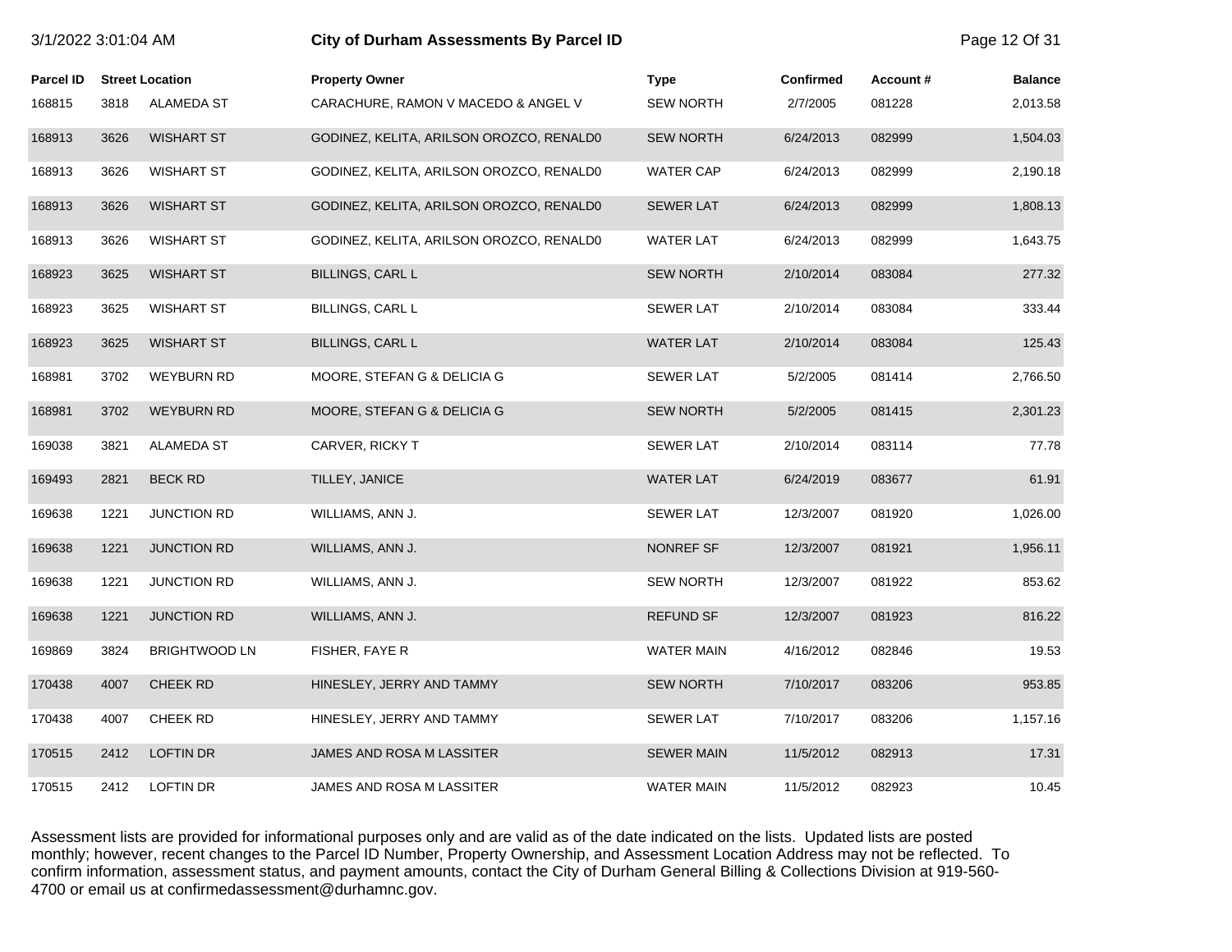| 3/1/2022 3:01:04 AM |      |                        | City of Durham Assessments By Parcel ID  |                   |                  |          | Page 12 Of 31  |
|---------------------|------|------------------------|------------------------------------------|-------------------|------------------|----------|----------------|
| <b>Parcel ID</b>    |      | <b>Street Location</b> | <b>Property Owner</b>                    | <b>Type</b>       | <b>Confirmed</b> | Account# | <b>Balance</b> |
| 168815              | 3818 | ALAMEDA ST             | CARACHURE, RAMON V MACEDO & ANGEL V      | <b>SEW NORTH</b>  | 2/7/2005         | 081228   | 2,013.58       |
| 168913              | 3626 | <b>WISHART ST</b>      | GODINEZ, KELITA, ARILSON OROZCO, RENALDO | <b>SEW NORTH</b>  | 6/24/2013        | 082999   | 1,504.03       |
| 168913              | 3626 | <b>WISHART ST</b>      | GODINEZ, KELITA, ARILSON OROZCO, RENALD0 | <b>WATER CAP</b>  | 6/24/2013        | 082999   | 2,190.18       |
| 168913              | 3626 | <b>WISHART ST</b>      | GODINEZ, KELITA, ARILSON OROZCO, RENALDO | <b>SEWER LAT</b>  | 6/24/2013        | 082999   | 1,808.13       |
| 168913              | 3626 | <b>WISHART ST</b>      | GODINEZ, KELITA, ARILSON OROZCO, RENALDO | <b>WATER LAT</b>  | 6/24/2013        | 082999   | 1,643.75       |
| 168923              | 3625 | <b>WISHART ST</b>      | <b>BILLINGS, CARL L</b>                  | <b>SEW NORTH</b>  | 2/10/2014        | 083084   | 277.32         |
| 168923              | 3625 | <b>WISHART ST</b>      | BILLINGS, CARL L                         | <b>SEWER LAT</b>  | 2/10/2014        | 083084   | 333.44         |
| 168923              | 3625 | <b>WISHART ST</b>      | <b>BILLINGS, CARL L</b>                  | <b>WATER LAT</b>  | 2/10/2014        | 083084   | 125.43         |
| 168981              | 3702 | <b>WEYBURN RD</b>      | MOORE, STEFAN G & DELICIA G              | <b>SEWER LAT</b>  | 5/2/2005         | 081414   | 2,766.50       |
| 168981              | 3702 | <b>WEYBURN RD</b>      | MOORE, STEFAN G & DELICIA G              | <b>SEW NORTH</b>  | 5/2/2005         | 081415   | 2,301.23       |
| 169038              | 3821 | ALAMEDA ST             | CARVER, RICKY T                          | <b>SEWER LAT</b>  | 2/10/2014        | 083114   | 77.78          |
| 169493              | 2821 | <b>BECK RD</b>         | TILLEY, JANICE                           | <b>WATER LAT</b>  | 6/24/2019        | 083677   | 61.91          |
| 169638              | 1221 | <b>JUNCTION RD</b>     | WILLIAMS, ANN J.                         | <b>SEWER LAT</b>  | 12/3/2007        | 081920   | 1,026.00       |
| 169638              | 1221 | <b>JUNCTION RD</b>     | WILLIAMS, ANN J.                         | NONREF SF         | 12/3/2007        | 081921   | 1,956.11       |
| 169638              | 1221 | <b>JUNCTION RD</b>     | WILLIAMS, ANN J.                         | <b>SEW NORTH</b>  | 12/3/2007        | 081922   | 853.62         |
| 169638              | 1221 | <b>JUNCTION RD</b>     | WILLIAMS, ANN J.                         | <b>REFUND SF</b>  | 12/3/2007        | 081923   | 816.22         |
| 169869              | 3824 | <b>BRIGHTWOOD LN</b>   | FISHER, FAYE R                           | <b>WATER MAIN</b> | 4/16/2012        | 082846   | 19.53          |
| 170438              | 4007 | <b>CHEEK RD</b>        | HINESLEY, JERRY AND TAMMY                | <b>SEW NORTH</b>  | 7/10/2017        | 083206   | 953.85         |
| 170438              | 4007 | <b>CHEEK RD</b>        | HINESLEY, JERRY AND TAMMY                | <b>SEWER LAT</b>  | 7/10/2017        | 083206   | 1,157.16       |
| 170515              | 2412 | <b>LOFTIN DR</b>       | JAMES AND ROSA M LASSITER                | <b>SEWER MAIN</b> | 11/5/2012        | 082913   | 17.31          |
| 170515              | 2412 | <b>LOFTIN DR</b>       | JAMES AND ROSA M LASSITER                | <b>WATER MAIN</b> | 11/5/2012        | 082923   | 10.45          |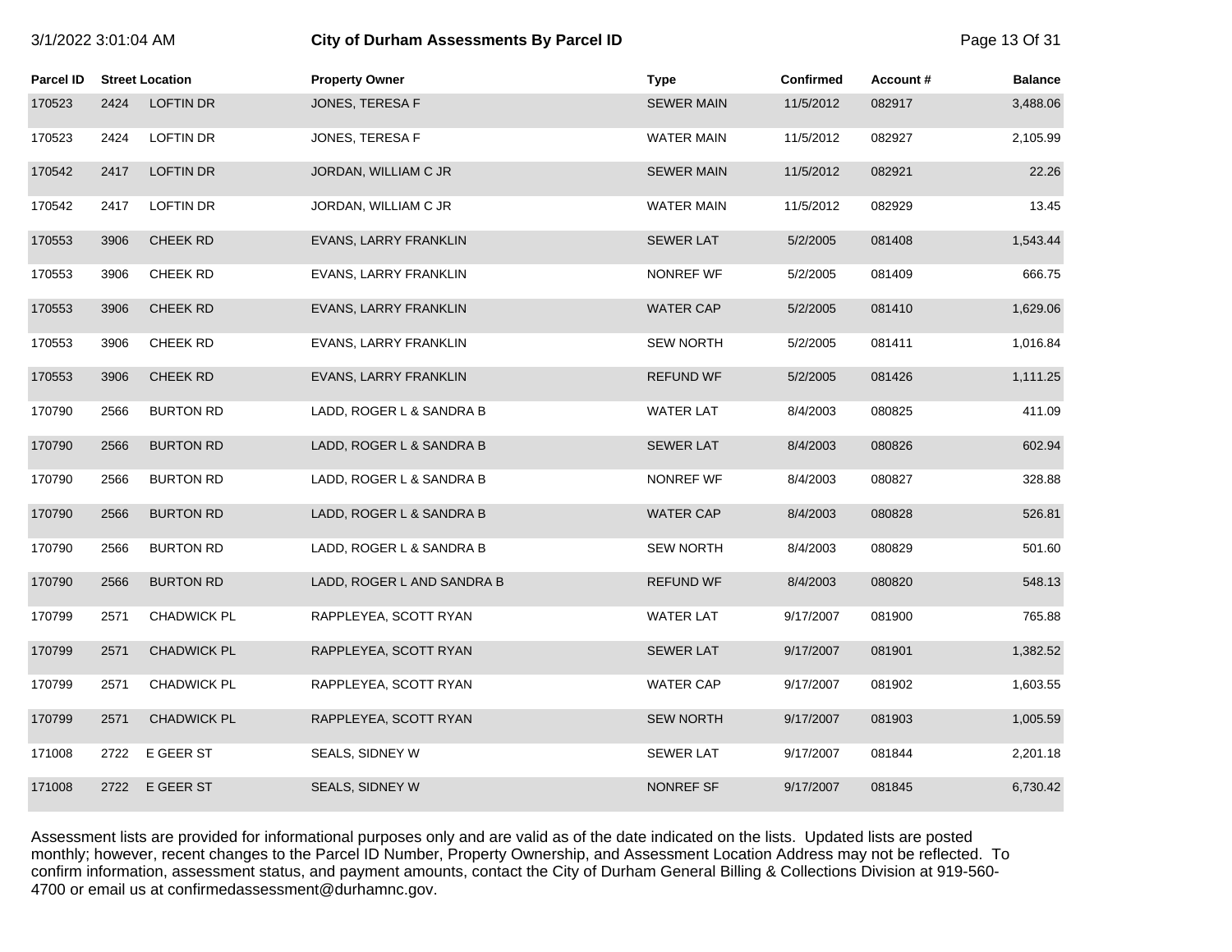# 3/1/2022 3:01:04 AM **City of Durham Assessments By Parcel ID** Page 13 Of 31

| Parcel ID |      | <b>Street Location</b> | <b>Property Owner</b>      | <b>Type</b>       | <b>Confirmed</b> | Account# | <b>Balance</b> |
|-----------|------|------------------------|----------------------------|-------------------|------------------|----------|----------------|
| 170523    | 2424 | <b>LOFTIN DR</b>       | JONES, TERESA F            | <b>SEWER MAIN</b> | 11/5/2012        | 082917   | 3,488.06       |
| 170523    | 2424 | LOFTIN DR              | JONES, TERESA F            | <b>WATER MAIN</b> | 11/5/2012        | 082927   | 2,105.99       |
| 170542    | 2417 | <b>LOFTIN DR</b>       | JORDAN, WILLIAM C JR       | <b>SEWER MAIN</b> | 11/5/2012        | 082921   | 22.26          |
| 170542    | 2417 | LOFTIN DR              | JORDAN, WILLIAM C JR       | <b>WATER MAIN</b> | 11/5/2012        | 082929   | 13.45          |
| 170553    | 3906 | CHEEK RD               | EVANS, LARRY FRANKLIN      | <b>SEWER LAT</b>  | 5/2/2005         | 081408   | 1,543.44       |
| 170553    | 3906 | CHEEK RD               | EVANS, LARRY FRANKLIN      | NONREF WF         | 5/2/2005         | 081409   | 666.75         |
| 170553    | 3906 | CHEEK RD               | EVANS, LARRY FRANKLIN      | <b>WATER CAP</b>  | 5/2/2005         | 081410   | 1,629.06       |
| 170553    | 3906 | <b>CHEEK RD</b>        | EVANS, LARRY FRANKLIN      | <b>SEW NORTH</b>  | 5/2/2005         | 081411   | 1,016.84       |
| 170553    | 3906 | <b>CHEEK RD</b>        | EVANS, LARRY FRANKLIN      | <b>REFUND WF</b>  | 5/2/2005         | 081426   | 1,111.25       |
| 170790    | 2566 | <b>BURTON RD</b>       | LADD, ROGER L & SANDRA B   | <b>WATER LAT</b>  | 8/4/2003         | 080825   | 411.09         |
| 170790    | 2566 | <b>BURTON RD</b>       | LADD, ROGER L & SANDRA B   | <b>SEWER LAT</b>  | 8/4/2003         | 080826   | 602.94         |
| 170790    | 2566 | <b>BURTON RD</b>       | LADD, ROGER L & SANDRA B   | NONREF WF         | 8/4/2003         | 080827   | 328.88         |
| 170790    | 2566 | <b>BURTON RD</b>       | LADD, ROGER L & SANDRA B   | <b>WATER CAP</b>  | 8/4/2003         | 080828   | 526.81         |
| 170790    | 2566 | <b>BURTON RD</b>       | LADD, ROGER L & SANDRA B   | <b>SEW NORTH</b>  | 8/4/2003         | 080829   | 501.60         |
| 170790    | 2566 | <b>BURTON RD</b>       | LADD, ROGER L AND SANDRA B | <b>REFUND WF</b>  | 8/4/2003         | 080820   | 548.13         |
| 170799    | 2571 | <b>CHADWICK PL</b>     | RAPPLEYEA, SCOTT RYAN      | <b>WATER LAT</b>  | 9/17/2007        | 081900   | 765.88         |
| 170799    | 2571 | <b>CHADWICK PL</b>     | RAPPLEYEA, SCOTT RYAN      | <b>SEWER LAT</b>  | 9/17/2007        | 081901   | 1,382.52       |
| 170799    | 2571 | <b>CHADWICK PL</b>     | RAPPLEYEA, SCOTT RYAN      | <b>WATER CAP</b>  | 9/17/2007        | 081902   | 1,603.55       |
| 170799    | 2571 | <b>CHADWICK PL</b>     | RAPPLEYEA, SCOTT RYAN      | <b>SEW NORTH</b>  | 9/17/2007        | 081903   | 1,005.59       |
| 171008    | 2722 | E GEER ST              | SEALS, SIDNEY W            | <b>SEWER LAT</b>  | 9/17/2007        | 081844   | 2,201.18       |
| 171008    | 2722 | E GEER ST              | SEALS, SIDNEY W            | NONREF SF         | 9/17/2007        | 081845   | 6,730.42       |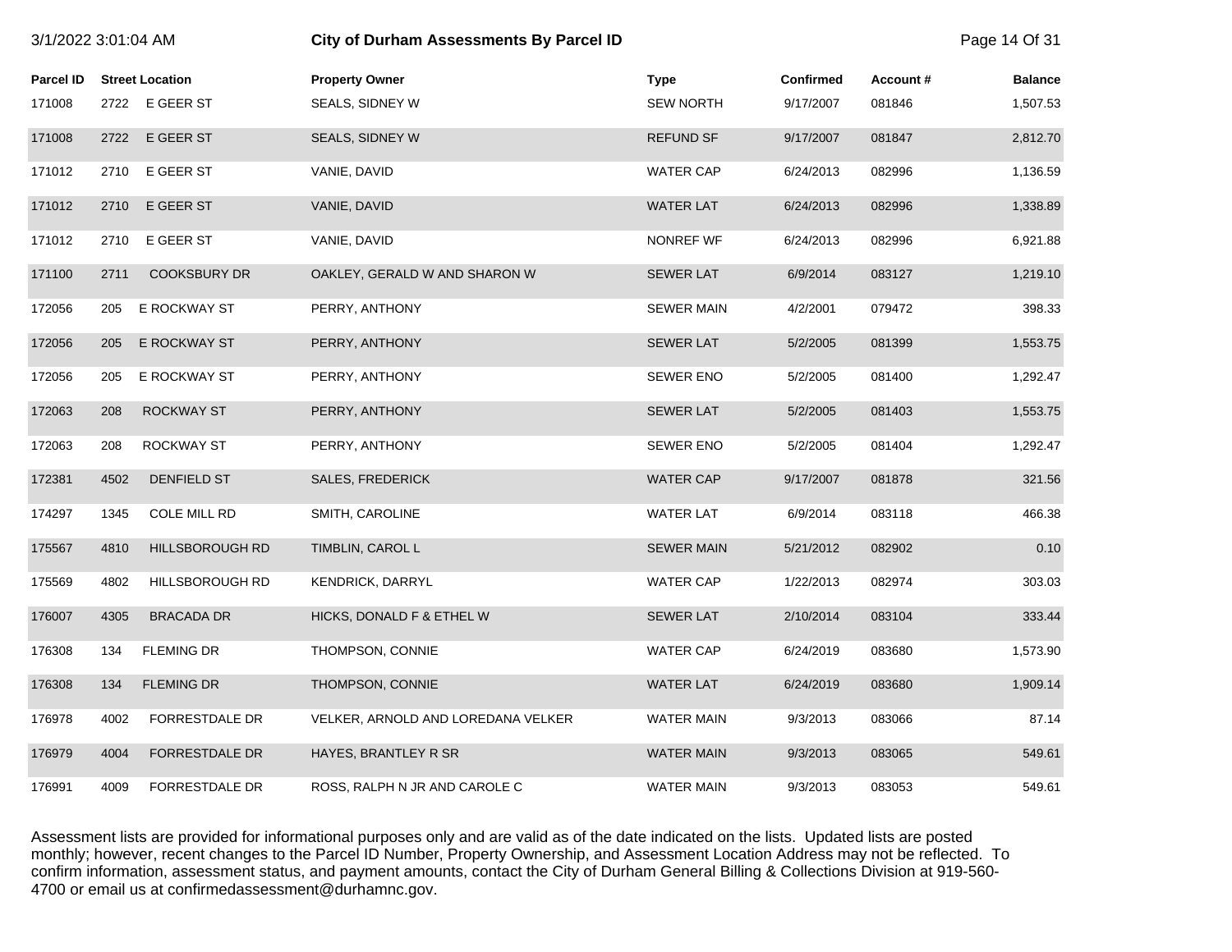| 3/1/2022 3:01:04 AM |      |                        | City of Durham Assessments By Parcel ID |                   |                  |          | Page 14 Of 31  |
|---------------------|------|------------------------|-----------------------------------------|-------------------|------------------|----------|----------------|
| <b>Parcel ID</b>    |      | <b>Street Location</b> | <b>Property Owner</b>                   | <b>Type</b>       | <b>Confirmed</b> | Account# | <b>Balance</b> |
| 171008              |      | 2722 E GEER ST         | SEALS, SIDNEY W                         | <b>SEW NORTH</b>  | 9/17/2007        | 081846   | 1,507.53       |
| 171008              | 2722 | E GEER ST              | SEALS, SIDNEY W                         | <b>REFUND SF</b>  | 9/17/2007        | 081847   | 2,812.70       |
| 171012              | 2710 | E GEER ST              | VANIE, DAVID                            | <b>WATER CAP</b>  | 6/24/2013        | 082996   | 1,136.59       |
| 171012              | 2710 | E GEER ST              | VANIE, DAVID                            | <b>WATER LAT</b>  | 6/24/2013        | 082996   | 1,338.89       |
| 171012              | 2710 | E GEER ST              | VANIE, DAVID                            | NONREF WF         | 6/24/2013        | 082996   | 6,921.88       |
| 171100              | 2711 | <b>COOKSBURY DR</b>    | OAKLEY, GERALD W AND SHARON W           | <b>SEWER LAT</b>  | 6/9/2014         | 083127   | 1,219.10       |
| 172056              | 205  | E ROCKWAY ST           | PERRY, ANTHONY                          | <b>SEWER MAIN</b> | 4/2/2001         | 079472   | 398.33         |
| 172056              | 205  | E ROCKWAY ST           | PERRY, ANTHONY                          | <b>SEWER LAT</b>  | 5/2/2005         | 081399   | 1,553.75       |
| 172056              | 205  | E ROCKWAY ST           | PERRY, ANTHONY                          | <b>SEWER ENO</b>  | 5/2/2005         | 081400   | 1,292.47       |
| 172063              | 208  | ROCKWAY ST             | PERRY, ANTHONY                          | <b>SEWER LAT</b>  | 5/2/2005         | 081403   | 1,553.75       |
| 172063              | 208  | ROCKWAY ST             | PERRY, ANTHONY                          | <b>SEWER ENO</b>  | 5/2/2005         | 081404   | 1,292.47       |
| 172381              | 4502 | DENFIELD ST            | <b>SALES, FREDERICK</b>                 | <b>WATER CAP</b>  | 9/17/2007        | 081878   | 321.56         |
| 174297              | 1345 | COLE MILL RD           | SMITH, CAROLINE                         | <b>WATER LAT</b>  | 6/9/2014         | 083118   | 466.38         |
| 175567              | 4810 | HILLSBOROUGH RD        | TIMBLIN, CAROL L                        | <b>SEWER MAIN</b> | 5/21/2012        | 082902   | 0.10           |
| 175569              | 4802 | HILLSBOROUGH RD        | <b>KENDRICK, DARRYL</b>                 | <b>WATER CAP</b>  | 1/22/2013        | 082974   | 303.03         |
| 176007              | 4305 | <b>BRACADA DR</b>      | HICKS, DONALD F & ETHEL W               | <b>SEWER LAT</b>  | 2/10/2014        | 083104   | 333.44         |
| 176308              | 134  | <b>FLEMING DR</b>      | THOMPSON, CONNIE                        | <b>WATER CAP</b>  | 6/24/2019        | 083680   | 1,573.90       |
| 176308              | 134  | <b>FLEMING DR</b>      | THOMPSON, CONNIE                        | <b>WATER LAT</b>  | 6/24/2019        | 083680   | 1,909.14       |
| 176978              | 4002 | FORRESTDALE DR         | VELKER, ARNOLD AND LOREDANA VELKER      | <b>WATER MAIN</b> | 9/3/2013         | 083066   | 87.14          |
| 176979              | 4004 | <b>FORRESTDALE DR</b>  | HAYES, BRANTLEY R SR                    | <b>WATER MAIN</b> | 9/3/2013         | 083065   | 549.61         |
| 176991              | 4009 | FORRESTDALE DR         | ROSS, RALPH N JR AND CAROLE C           | <b>WATER MAIN</b> | 9/3/2013         | 083053   | 549.61         |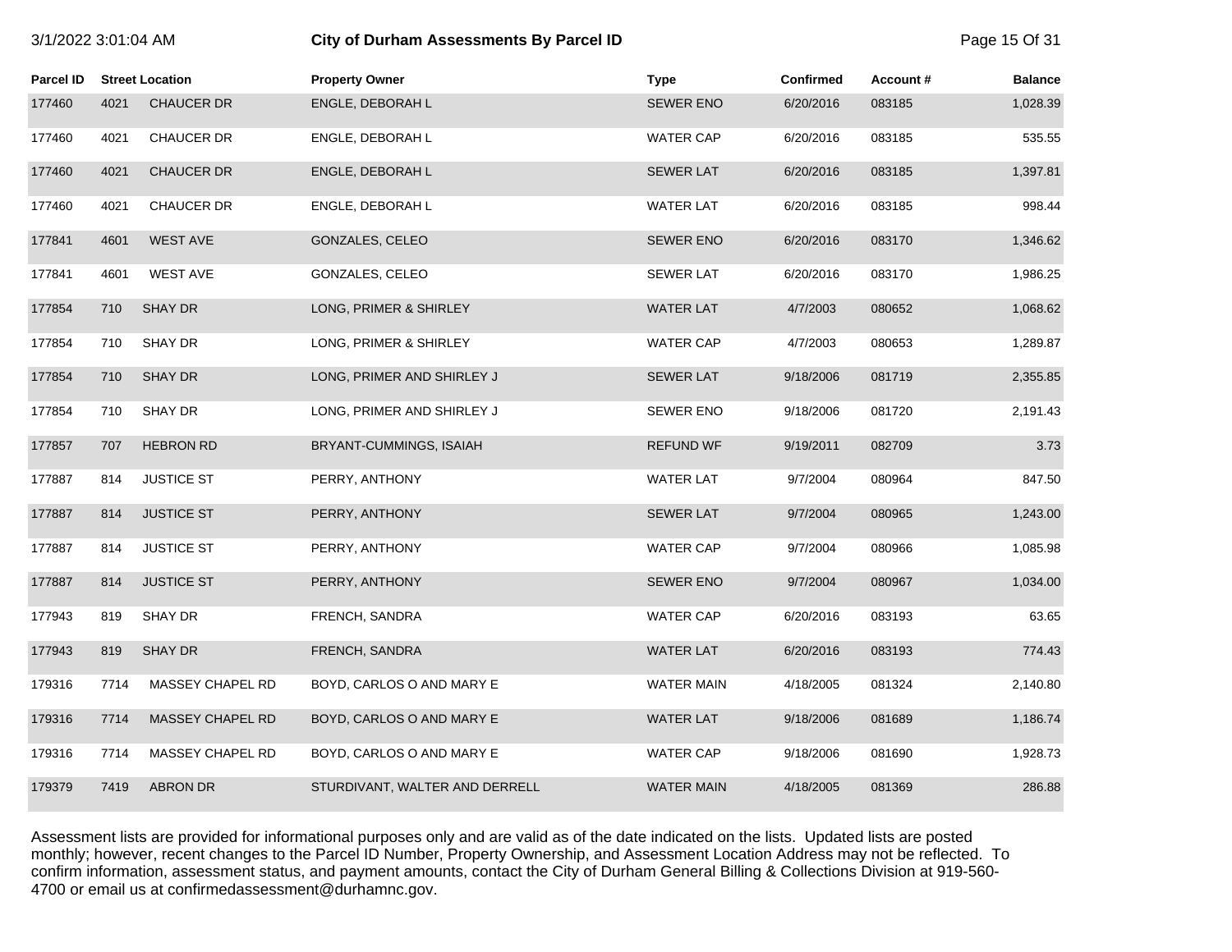|  | 3/1/2022 3:01:04 AM |
|--|---------------------|
|  |                     |

# **31/2022 3:01:02:02 City of Durham Assessments By Parcel ID <b>City of Durham Assessments By Parcel ID**

| Parcel ID |      | <b>Street Location</b>  | <b>Property Owner</b>          | <b>Type</b>       | <b>Confirmed</b> | Account# | <b>Balance</b> |
|-----------|------|-------------------------|--------------------------------|-------------------|------------------|----------|----------------|
| 177460    | 4021 | <b>CHAUCER DR</b>       | ENGLE, DEBORAH L               | <b>SEWER ENO</b>  | 6/20/2016        | 083185   | 1,028.39       |
| 177460    | 4021 | CHAUCER DR              | ENGLE, DEBORAH L               | <b>WATER CAP</b>  | 6/20/2016        | 083185   | 535.55         |
| 177460    | 4021 | <b>CHAUCER DR</b>       | ENGLE, DEBORAH L               | <b>SEWER LAT</b>  | 6/20/2016        | 083185   | 1,397.81       |
| 177460    | 4021 | <b>CHAUCER DR</b>       | ENGLE, DEBORAH L               | <b>WATER LAT</b>  | 6/20/2016        | 083185   | 998.44         |
| 177841    | 4601 | <b>WEST AVE</b>         | GONZALES, CELEO                | <b>SEWER ENO</b>  | 6/20/2016        | 083170   | 1,346.62       |
| 177841    | 4601 | <b>WEST AVE</b>         | GONZALES, CELEO                | <b>SEWER LAT</b>  | 6/20/2016        | 083170   | 1,986.25       |
| 177854    | 710  | <b>SHAY DR</b>          | LONG, PRIMER & SHIRLEY         | <b>WATER LAT</b>  | 4/7/2003         | 080652   | 1,068.62       |
| 177854    | 710  | SHAY DR                 | LONG, PRIMER & SHIRLEY         | <b>WATER CAP</b>  | 4/7/2003         | 080653   | 1,289.87       |
| 177854    | 710  | <b>SHAY DR</b>          | LONG, PRIMER AND SHIRLEY J     | <b>SEWER LAT</b>  | 9/18/2006        | 081719   | 2,355.85       |
| 177854    | 710  | SHAY DR                 | LONG, PRIMER AND SHIRLEY J     | <b>SEWER ENO</b>  | 9/18/2006        | 081720   | 2,191.43       |
| 177857    | 707  | <b>HEBRON RD</b>        | BRYANT-CUMMINGS, ISAIAH        | <b>REFUND WF</b>  | 9/19/2011        | 082709   | 3.73           |
| 177887    | 814  | <b>JUSTICE ST</b>       | PERRY, ANTHONY                 | <b>WATER LAT</b>  | 9/7/2004         | 080964   | 847.50         |
| 177887    | 814  | <b>JUSTICE ST</b>       | PERRY, ANTHONY                 | <b>SEWER LAT</b>  | 9/7/2004         | 080965   | 1,243.00       |
| 177887    | 814  | <b>JUSTICE ST</b>       | PERRY, ANTHONY                 | <b>WATER CAP</b>  | 9/7/2004         | 080966   | 1,085.98       |
| 177887    | 814  | <b>JUSTICE ST</b>       | PERRY, ANTHONY                 | <b>SEWER ENO</b>  | 9/7/2004         | 080967   | 1,034.00       |
| 177943    | 819  | SHAY DR                 | FRENCH, SANDRA                 | <b>WATER CAP</b>  | 6/20/2016        | 083193   | 63.65          |
| 177943    | 819  | <b>SHAY DR</b>          | FRENCH, SANDRA                 | <b>WATER LAT</b>  | 6/20/2016        | 083193   | 774.43         |
| 179316    | 7714 | MASSEY CHAPEL RD        | BOYD, CARLOS O AND MARY E      | <b>WATER MAIN</b> | 4/18/2005        | 081324   | 2,140.80       |
| 179316    | 7714 | <b>MASSEY CHAPEL RD</b> | BOYD, CARLOS O AND MARY E      | <b>WATER LAT</b>  | 9/18/2006        | 081689   | 1,186.74       |
| 179316    | 7714 | MASSEY CHAPEL RD        | BOYD, CARLOS O AND MARY E      | <b>WATER CAP</b>  | 9/18/2006        | 081690   | 1,928.73       |
| 179379    | 7419 | ABRON DR                | STURDIVANT, WALTER AND DERRELL | <b>WATER MAIN</b> | 4/18/2005        | 081369   | 286.88         |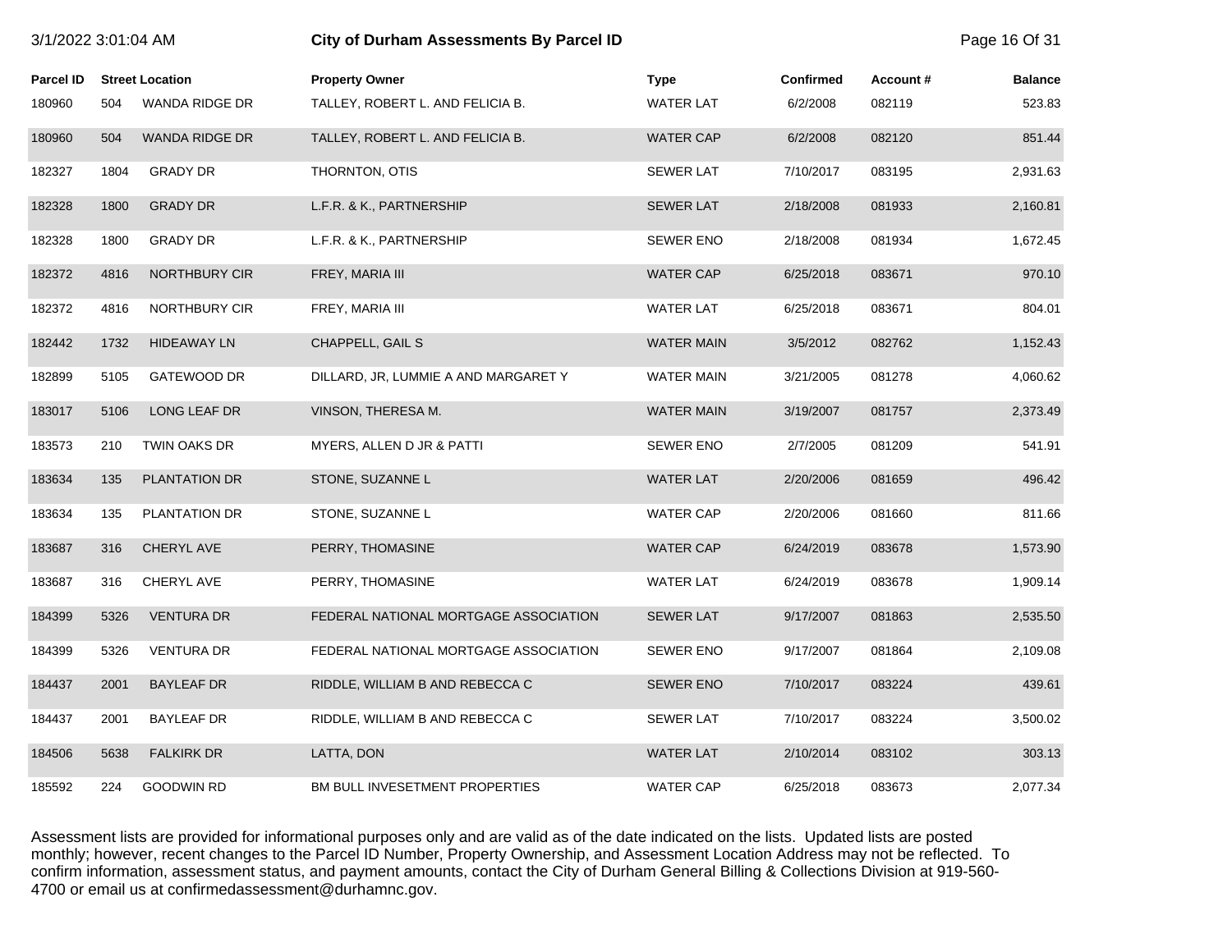| 3/1/2022 3:01:04 AM |      |                        | City of Durham Assessments By Parcel ID |                   |                  |          | Page 16 Of 31  |
|---------------------|------|------------------------|-----------------------------------------|-------------------|------------------|----------|----------------|
| <b>Parcel ID</b>    |      | <b>Street Location</b> | <b>Property Owner</b>                   | <b>Type</b>       | <b>Confirmed</b> | Account# | <b>Balance</b> |
| 180960              | 504  | WANDA RIDGE DR         | TALLEY, ROBERT L. AND FELICIA B.        | <b>WATER LAT</b>  | 6/2/2008         | 082119   | 523.83         |
| 180960              | 504  | WANDA RIDGE DR         | TALLEY, ROBERT L. AND FELICIA B.        | <b>WATER CAP</b>  | 6/2/2008         | 082120   | 851.44         |
| 182327              | 1804 | <b>GRADY DR</b>        | THORNTON, OTIS                          | <b>SEWER LAT</b>  | 7/10/2017        | 083195   | 2,931.63       |
| 182328              | 1800 | <b>GRADY DR</b>        | L.F.R. & K., PARTNERSHIP                | <b>SEWER LAT</b>  | 2/18/2008        | 081933   | 2,160.81       |
| 182328              | 1800 | <b>GRADY DR</b>        | L.F.R. & K., PARTNERSHIP                | <b>SEWER ENO</b>  | 2/18/2008        | 081934   | 1,672.45       |
| 182372              | 4816 | NORTHBURY CIR          | FREY, MARIA III                         | <b>WATER CAP</b>  | 6/25/2018        | 083671   | 970.10         |
| 182372              | 4816 | NORTHBURY CIR          | FREY, MARIA III                         | <b>WATER LAT</b>  | 6/25/2018        | 083671   | 804.01         |
| 182442              | 1732 | <b>HIDEAWAY LN</b>     | CHAPPELL, GAIL S                        | <b>WATER MAIN</b> | 3/5/2012         | 082762   | 1,152.43       |
| 182899              | 5105 | GATEWOOD DR            | DILLARD, JR, LUMMIE A AND MARGARET Y    | <b>WATER MAIN</b> | 3/21/2005        | 081278   | 4,060.62       |
| 183017              | 5106 | LONG LEAF DR           | VINSON, THERESA M.                      | <b>WATER MAIN</b> | 3/19/2007        | 081757   | 2,373.49       |
| 183573              | 210  | <b>TWIN OAKS DR</b>    | MYERS, ALLEN D JR & PATTI               | <b>SEWER ENO</b>  | 2/7/2005         | 081209   | 541.91         |
| 183634              | 135  | <b>PLANTATION DR</b>   | STONE, SUZANNE L                        | <b>WATER LAT</b>  | 2/20/2006        | 081659   | 496.42         |
| 183634              | 135  | PLANTATION DR          | STONE, SUZANNE L                        | <b>WATER CAP</b>  | 2/20/2006        | 081660   | 811.66         |
| 183687              | 316  | <b>CHERYL AVE</b>      | PERRY, THOMASINE                        | <b>WATER CAP</b>  | 6/24/2019        | 083678   | 1,573.90       |
| 183687              | 316  | CHERYL AVE             | PERRY, THOMASINE                        | <b>WATER LAT</b>  | 6/24/2019        | 083678   | 1,909.14       |
| 184399              | 5326 | <b>VENTURA DR</b>      | FEDERAL NATIONAL MORTGAGE ASSOCIATION   | <b>SEWER LAT</b>  | 9/17/2007        | 081863   | 2,535.50       |
| 184399              | 5326 | <b>VENTURA DR</b>      | FEDERAL NATIONAL MORTGAGE ASSOCIATION   | <b>SEWER ENO</b>  | 9/17/2007        | 081864   | 2,109.08       |
| 184437              | 2001 | <b>BAYLEAF DR</b>      | RIDDLE, WILLIAM B AND REBECCA C         | <b>SEWER ENO</b>  | 7/10/2017        | 083224   | 439.61         |
| 184437              | 2001 | <b>BAYLEAF DR</b>      | RIDDLE, WILLIAM B AND REBECCA C         | <b>SEWER LAT</b>  | 7/10/2017        | 083224   | 3,500.02       |
| 184506              | 5638 | <b>FALKIRK DR</b>      | LATTA, DON                              | <b>WATER LAT</b>  | 2/10/2014        | 083102   | 303.13         |
| 185592              | 224  | <b>GOODWIN RD</b>      | BM BULL INVESETMENT PROPERTIES          | <b>WATER CAP</b>  | 6/25/2018        | 083673   | 2,077.34       |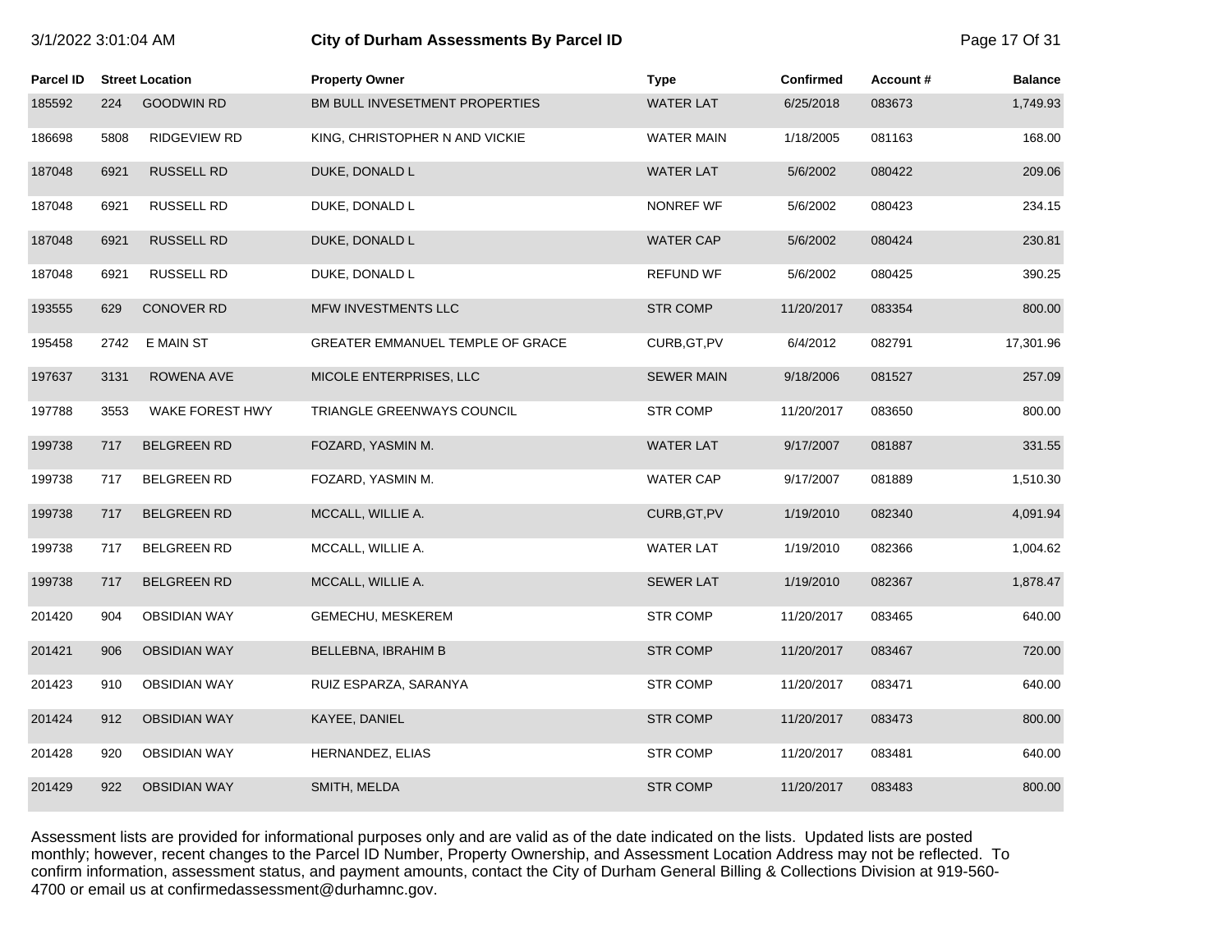| 3/1/2022 3:01:04 AM |      |                        | City of Durham Assessments By Parcel ID |                   |                  |          | Page 17 Of 31  |
|---------------------|------|------------------------|-----------------------------------------|-------------------|------------------|----------|----------------|
| <b>Parcel ID</b>    |      | <b>Street Location</b> | <b>Property Owner</b>                   | <b>Type</b>       | <b>Confirmed</b> | Account# | <b>Balance</b> |
| 185592              | 224  | <b>GOODWIN RD</b>      | BM BULL INVESETMENT PROPERTIES          | <b>WATER LAT</b>  | 6/25/2018        | 083673   | 1,749.93       |
| 186698              | 5808 | RIDGEVIEW RD           | KING, CHRISTOPHER N AND VICKIE          | <b>WATER MAIN</b> | 1/18/2005        | 081163   | 168.00         |
| 187048              | 6921 | <b>RUSSELL RD</b>      | DUKE, DONALD L                          | <b>WATER LAT</b>  | 5/6/2002         | 080422   | 209.06         |
| 187048              | 6921 | RUSSELL RD             | DUKE, DONALD L                          | <b>NONREF WF</b>  | 5/6/2002         | 080423   | 234.15         |
| 187048              | 6921 | <b>RUSSELL RD</b>      | DUKE, DONALD L                          | <b>WATER CAP</b>  | 5/6/2002         | 080424   | 230.81         |
| 187048              | 6921 | <b>RUSSELL RD</b>      | DUKE, DONALD L                          | <b>REFUND WF</b>  | 5/6/2002         | 080425   | 390.25         |
| 193555              | 629  | <b>CONOVER RD</b>      | MFW INVESTMENTS LLC                     | <b>STR COMP</b>   | 11/20/2017       | 083354   | 800.00         |
| 195458              | 2742 | E MAIN ST              | GREATER EMMANUEL TEMPLE OF GRACE        | CURB, GT, PV      | 6/4/2012         | 082791   | 17,301.96      |
| 197637              | 3131 | ROWENA AVE             | MICOLE ENTERPRISES, LLC                 | <b>SEWER MAIN</b> | 9/18/2006        | 081527   | 257.09         |
| 197788              | 3553 | WAKE FOREST HWY        | TRIANGLE GREENWAYS COUNCIL              | <b>STR COMP</b>   | 11/20/2017       | 083650   | 800.00         |
| 199738              | 717  | <b>BELGREEN RD</b>     | FOZARD, YASMIN M.                       | <b>WATER LAT</b>  | 9/17/2007        | 081887   | 331.55         |
| 199738              | 717  | <b>BELGREEN RD</b>     | FOZARD, YASMIN M.                       | <b>WATER CAP</b>  | 9/17/2007        | 081889   | 1,510.30       |
| 199738              | 717  | <b>BELGREEN RD</b>     | MCCALL, WILLIE A.                       | CURB, GT, PV      | 1/19/2010        | 082340   | 4,091.94       |
| 199738              | 717  | <b>BELGREEN RD</b>     | MCCALL, WILLIE A.                       | <b>WATER LAT</b>  | 1/19/2010        | 082366   | 1,004.62       |
| 199738              | 717  | <b>BELGREEN RD</b>     | MCCALL, WILLIE A.                       | <b>SEWER LAT</b>  | 1/19/2010        | 082367   | 1,878.47       |
| 201420              | 904  | <b>OBSIDIAN WAY</b>    | GEMECHU, MESKEREM                       | <b>STR COMP</b>   | 11/20/2017       | 083465   | 640.00         |
| 201421              | 906  | <b>OBSIDIAN WAY</b>    | BELLEBNA, IBRAHIM B                     | <b>STR COMP</b>   | 11/20/2017       | 083467   | 720.00         |
| 201423              | 910  | <b>OBSIDIAN WAY</b>    | RUIZ ESPARZA, SARANYA                   | STR COMP          | 11/20/2017       | 083471   | 640.00         |
| 201424              | 912  | <b>OBSIDIAN WAY</b>    | KAYEE, DANIEL                           | <b>STR COMP</b>   | 11/20/2017       | 083473   | 800.00         |
| 201428              | 920  | <b>OBSIDIAN WAY</b>    | HERNANDEZ, ELIAS                        | <b>STR COMP</b>   | 11/20/2017       | 083481   | 640.00         |
| 201429              | 922  | <b>OBSIDIAN WAY</b>    | SMITH, MELDA                            | <b>STR COMP</b>   | 11/20/2017       | 083483   | 800.00         |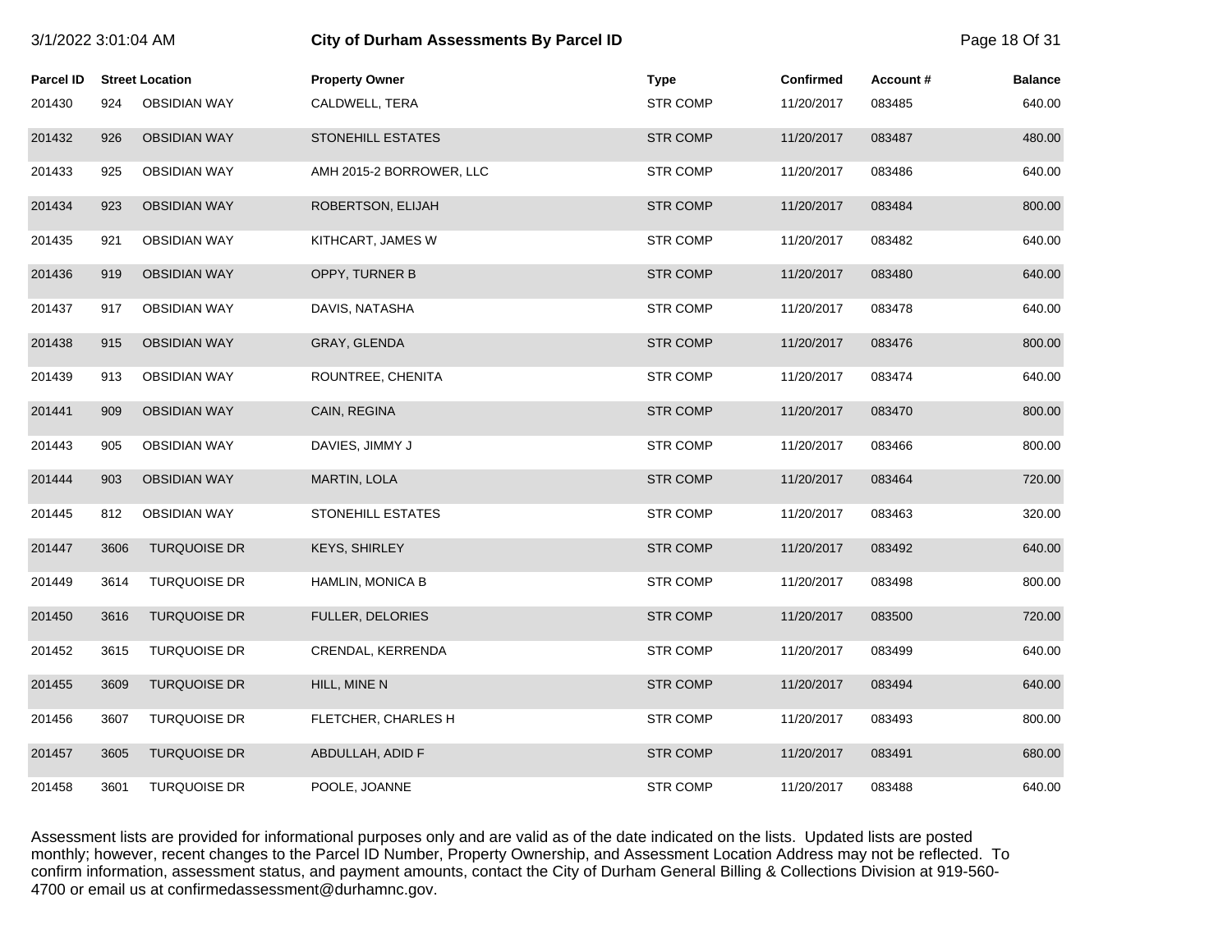| 3/1/2022 3:01:04 AM |      |                        | <b>City of Durham Assessments By Parcel ID</b> |                 |                  |          | Page 18 Of 31  |
|---------------------|------|------------------------|------------------------------------------------|-----------------|------------------|----------|----------------|
| <b>Parcel ID</b>    |      | <b>Street Location</b> | <b>Property Owner</b>                          | <b>Type</b>     | <b>Confirmed</b> | Account# | <b>Balance</b> |
| 201430              | 924  | <b>OBSIDIAN WAY</b>    | CALDWELL, TERA                                 | <b>STR COMP</b> | 11/20/2017       | 083485   | 640.00         |
| 201432              | 926  | <b>OBSIDIAN WAY</b>    | <b>STONEHILL ESTATES</b>                       | <b>STR COMP</b> | 11/20/2017       | 083487   | 480.00         |
| 201433              | 925  | <b>OBSIDIAN WAY</b>    | AMH 2015-2 BORROWER, LLC                       | <b>STR COMP</b> | 11/20/2017       | 083486   | 640.00         |
| 201434              | 923  | <b>OBSIDIAN WAY</b>    | ROBERTSON, ELIJAH                              | <b>STR COMP</b> | 11/20/2017       | 083484   | 800.00         |
| 201435              | 921  | <b>OBSIDIAN WAY</b>    | KITHCART, JAMES W                              | <b>STR COMP</b> | 11/20/2017       | 083482   | 640.00         |
| 201436              | 919  | <b>OBSIDIAN WAY</b>    | OPPY, TURNER B                                 | <b>STR COMP</b> | 11/20/2017       | 083480   | 640.00         |
| 201437              | 917  | <b>OBSIDIAN WAY</b>    | DAVIS, NATASHA                                 | <b>STR COMP</b> | 11/20/2017       | 083478   | 640.00         |
| 201438              | 915  | <b>OBSIDIAN WAY</b>    | GRAY, GLENDA                                   | <b>STR COMP</b> | 11/20/2017       | 083476   | 800.00         |
| 201439              | 913  | <b>OBSIDIAN WAY</b>    | ROUNTREE, CHENITA                              | <b>STR COMP</b> | 11/20/2017       | 083474   | 640.00         |
| 201441              | 909  | <b>OBSIDIAN WAY</b>    | CAIN, REGINA                                   | <b>STR COMP</b> | 11/20/2017       | 083470   | 800.00         |
| 201443              | 905  | <b>OBSIDIAN WAY</b>    | DAVIES, JIMMY J                                | <b>STR COMP</b> | 11/20/2017       | 083466   | 800.00         |
| 201444              | 903  | <b>OBSIDIAN WAY</b>    | MARTIN, LOLA                                   | <b>STR COMP</b> | 11/20/2017       | 083464   | 720.00         |
| 201445              | 812  | <b>OBSIDIAN WAY</b>    | STONEHILL ESTATES                              | <b>STR COMP</b> | 11/20/2017       | 083463   | 320.00         |
| 201447              | 3606 | <b>TURQUOISE DR</b>    | <b>KEYS, SHIRLEY</b>                           | <b>STR COMP</b> | 11/20/2017       | 083492   | 640.00         |
| 201449              | 3614 | TURQUOISE DR           | HAMLIN, MONICA B                               | <b>STR COMP</b> | 11/20/2017       | 083498   | 800.00         |
| 201450              | 3616 | <b>TURQUOISE DR</b>    | <b>FULLER, DELORIES</b>                        | <b>STR COMP</b> | 11/20/2017       | 083500   | 720.00         |
| 201452              | 3615 | <b>TURQUOISE DR</b>    | CRENDAL, KERRENDA                              | <b>STR COMP</b> | 11/20/2017       | 083499   | 640.00         |
| 201455              | 3609 | <b>TURQUOISE DR</b>    | HILL, MINE N                                   | <b>STR COMP</b> | 11/20/2017       | 083494   | 640.00         |
| 201456              | 3607 | <b>TURQUOISE DR</b>    | FLETCHER, CHARLES H                            | <b>STR COMP</b> | 11/20/2017       | 083493   | 800.00         |
| 201457              | 3605 | <b>TURQUOISE DR</b>    | ABDULLAH, ADID F                               | <b>STR COMP</b> | 11/20/2017       | 083491   | 680.00         |
| 201458              | 3601 | <b>TURQUOISE DR</b>    | POOLE, JOANNE                                  | <b>STR COMP</b> | 11/20/2017       | 083488   | 640.00         |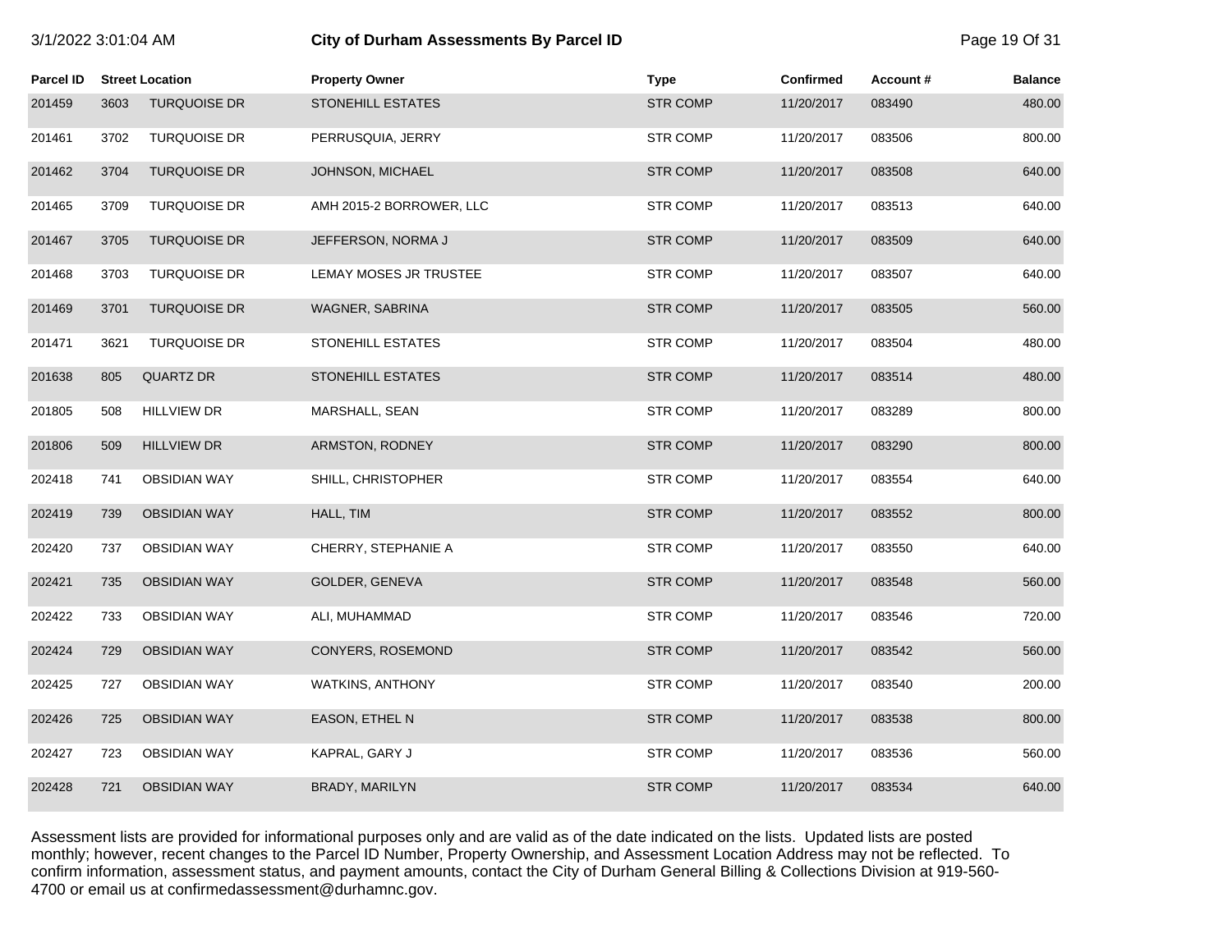# 3/1/2022 3:01:04 AM **City of Durham Assessments By Parcel ID** Page 19 Of 31

| Parcel ID |      | <b>Street Location</b> | <b>Property Owner</b>    | <b>Type</b>     | Confirmed  | Account# | <b>Balance</b> |
|-----------|------|------------------------|--------------------------|-----------------|------------|----------|----------------|
| 201459    | 3603 | <b>TURQUOISE DR</b>    | <b>STONEHILL ESTATES</b> | <b>STR COMP</b> | 11/20/2017 | 083490   | 480.00         |
| 201461    | 3702 | <b>TURQUOISE DR</b>    | PERRUSQUIA, JERRY        | <b>STR COMP</b> | 11/20/2017 | 083506   | 800.00         |
| 201462    | 3704 | <b>TURQUOISE DR</b>    | JOHNSON, MICHAEL         | <b>STR COMP</b> | 11/20/2017 | 083508   | 640.00         |
| 201465    | 3709 | <b>TURQUOISE DR</b>    | AMH 2015-2 BORROWER, LLC | <b>STR COMP</b> | 11/20/2017 | 083513   | 640.00         |
| 201467    | 3705 | <b>TURQUOISE DR</b>    | JEFFERSON, NORMA J       | <b>STR COMP</b> | 11/20/2017 | 083509   | 640.00         |
| 201468    | 3703 | <b>TURQUOISE DR</b>    | LEMAY MOSES JR TRUSTEE   | <b>STR COMP</b> | 11/20/2017 | 083507   | 640.00         |
| 201469    | 3701 | <b>TURQUOISE DR</b>    | WAGNER, SABRINA          | <b>STR COMP</b> | 11/20/2017 | 083505   | 560.00         |
| 201471    | 3621 | <b>TURQUOISE DR</b>    | STONEHILL ESTATES        | <b>STR COMP</b> | 11/20/2017 | 083504   | 480.00         |
| 201638    | 805  | <b>QUARTZ DR</b>       | STONEHILL ESTATES        | <b>STR COMP</b> | 11/20/2017 | 083514   | 480.00         |
| 201805    | 508  | <b>HILLVIEW DR</b>     | MARSHALL, SEAN           | <b>STR COMP</b> | 11/20/2017 | 083289   | 800.00         |
| 201806    | 509  | <b>HILLVIEW DR</b>     | ARMSTON, RODNEY          | <b>STR COMP</b> | 11/20/2017 | 083290   | 800.00         |
| 202418    | 741  | <b>OBSIDIAN WAY</b>    | SHILL, CHRISTOPHER       | <b>STR COMP</b> | 11/20/2017 | 083554   | 640.00         |
| 202419    | 739  | <b>OBSIDIAN WAY</b>    | HALL, TIM                | <b>STR COMP</b> | 11/20/2017 | 083552   | 800.00         |
| 202420    | 737  | <b>OBSIDIAN WAY</b>    | CHERRY, STEPHANIE A      | <b>STR COMP</b> | 11/20/2017 | 083550   | 640.00         |
| 202421    | 735  | <b>OBSIDIAN WAY</b>    | GOLDER, GENEVA           | <b>STR COMP</b> | 11/20/2017 | 083548   | 560.00         |
| 202422    | 733  | <b>OBSIDIAN WAY</b>    | ALI, MUHAMMAD            | <b>STR COMP</b> | 11/20/2017 | 083546   | 720.00         |
| 202424    | 729  | <b>OBSIDIAN WAY</b>    | CONYERS, ROSEMOND        | <b>STR COMP</b> | 11/20/2017 | 083542   | 560.00         |
| 202425    | 727  | <b>OBSIDIAN WAY</b>    | WATKINS, ANTHONY         | <b>STR COMP</b> | 11/20/2017 | 083540   | 200.00         |
| 202426    | 725  | <b>OBSIDIAN WAY</b>    | EASON, ETHEL N           | <b>STR COMP</b> | 11/20/2017 | 083538   | 800.00         |
| 202427    | 723  | <b>OBSIDIAN WAY</b>    | KAPRAL, GARY J           | <b>STR COMP</b> | 11/20/2017 | 083536   | 560.00         |
| 202428    | 721  | <b>OBSIDIAN WAY</b>    | BRADY, MARILYN           | <b>STR COMP</b> | 11/20/2017 | 083534   | 640.00         |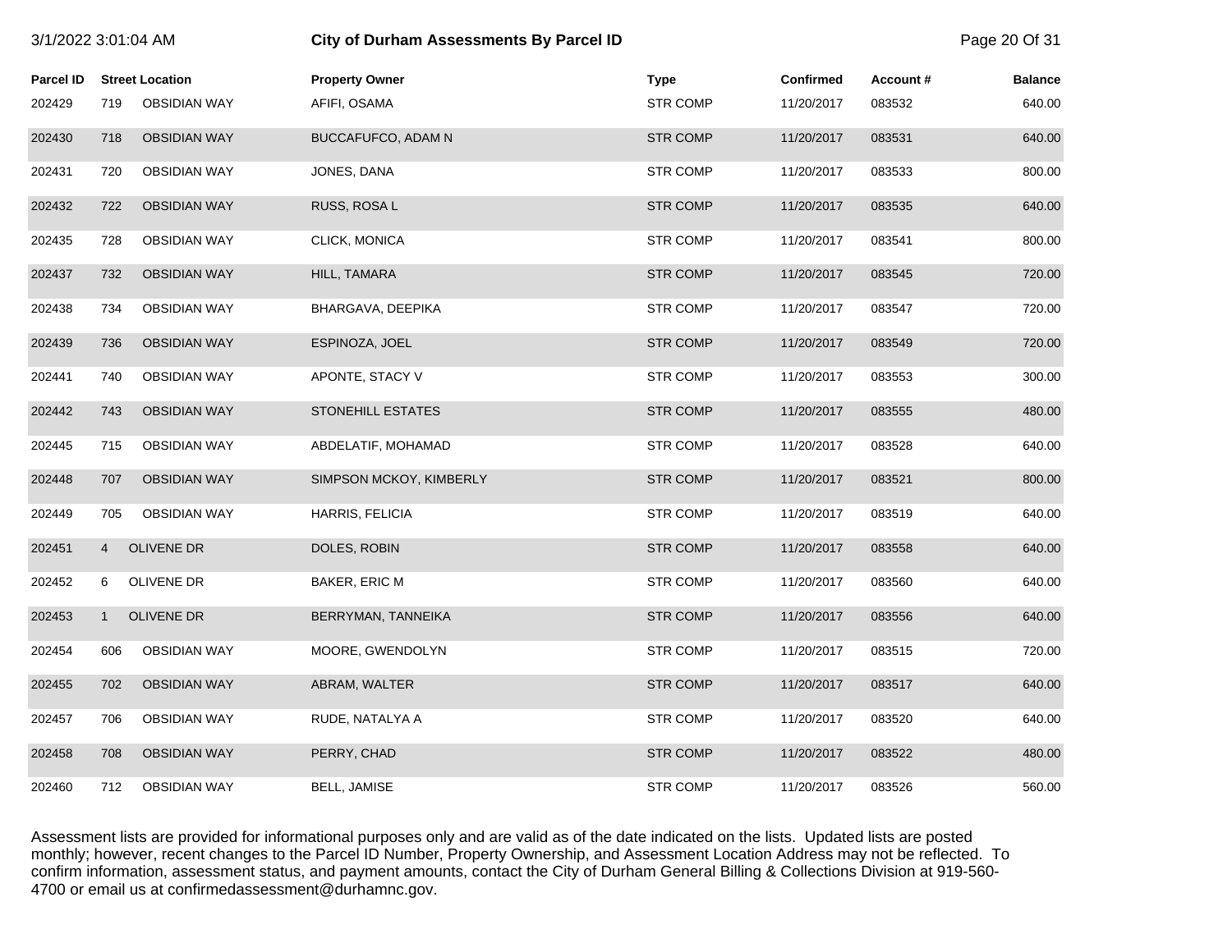| 3/1/2022 3:01:04 AM |                |                        | City of Durham Assessments By Parcel ID |                 |            |          | Page 20 Of 31  |
|---------------------|----------------|------------------------|-----------------------------------------|-----------------|------------|----------|----------------|
| <b>Parcel ID</b>    |                | <b>Street Location</b> | <b>Property Owner</b>                   | <b>Type</b>     | Confirmed  | Account# | <b>Balance</b> |
| 202429              | 719            | <b>OBSIDIAN WAY</b>    | AFIFI, OSAMA                            | <b>STR COMP</b> | 11/20/2017 | 083532   | 640.00         |
| 202430              | 718            | <b>OBSIDIAN WAY</b>    | BUCCAFUFCO, ADAM N                      | <b>STR COMP</b> | 11/20/2017 | 083531   | 640.00         |
| 202431              | 720            | <b>OBSIDIAN WAY</b>    | JONES, DANA                             | <b>STR COMP</b> | 11/20/2017 | 083533   | 800.00         |
| 202432              | 722            | <b>OBSIDIAN WAY</b>    | RUSS, ROSA L                            | <b>STR COMP</b> | 11/20/2017 | 083535   | 640.00         |
| 202435              | 728            | <b>OBSIDIAN WAY</b>    | CLICK, MONICA                           | <b>STR COMP</b> | 11/20/2017 | 083541   | 800.00         |
| 202437              | 732            | <b>OBSIDIAN WAY</b>    | HILL, TAMARA                            | <b>STR COMP</b> | 11/20/2017 | 083545   | 720.00         |
| 202438              | 734            | <b>OBSIDIAN WAY</b>    | BHARGAVA, DEEPIKA                       | <b>STR COMP</b> | 11/20/2017 | 083547   | 720.00         |
| 202439              | 736            | <b>OBSIDIAN WAY</b>    | ESPINOZA, JOEL                          | <b>STR COMP</b> | 11/20/2017 | 083549   | 720.00         |
| 202441              | 740            | <b>OBSIDIAN WAY</b>    | APONTE, STACY V                         | <b>STR COMP</b> | 11/20/2017 | 083553   | 300.00         |
| 202442              | 743            | <b>OBSIDIAN WAY</b>    | <b>STONEHILL ESTATES</b>                | <b>STR COMP</b> | 11/20/2017 | 083555   | 480.00         |
| 202445              | 715            | <b>OBSIDIAN WAY</b>    | ABDELATIF, MOHAMAD                      | <b>STR COMP</b> | 11/20/2017 | 083528   | 640.00         |
| 202448              | 707            | <b>OBSIDIAN WAY</b>    | SIMPSON MCKOY, KIMBERLY                 | <b>STR COMP</b> | 11/20/2017 | 083521   | 800.00         |
| 202449              | 705            | <b>OBSIDIAN WAY</b>    | HARRIS, FELICIA                         | <b>STR COMP</b> | 11/20/2017 | 083519   | 640.00         |
| 202451              | $\overline{4}$ | <b>OLIVENE DR</b>      | DOLES, ROBIN                            | <b>STR COMP</b> | 11/20/2017 | 083558   | 640.00         |
| 202452              | 6              | <b>OLIVENE DR</b>      | BAKER, ERIC M                           | <b>STR COMP</b> | 11/20/2017 | 083560   | 640.00         |
| 202453              | $\mathbf{1}$   | <b>OLIVENE DR</b>      | BERRYMAN, TANNEIKA                      | <b>STR COMP</b> | 11/20/2017 | 083556   | 640.00         |
| 202454              | 606            | <b>OBSIDIAN WAY</b>    | MOORE, GWENDOLYN                        | <b>STR COMP</b> | 11/20/2017 | 083515   | 720.00         |
| 202455              | 702            | <b>OBSIDIAN WAY</b>    | ABRAM, WALTER                           | <b>STR COMP</b> | 11/20/2017 | 083517   | 640.00         |
| 202457              | 706            | <b>OBSIDIAN WAY</b>    | RUDE, NATALYA A                         | <b>STR COMP</b> | 11/20/2017 | 083520   | 640.00         |
| 202458              | 708            | <b>OBSIDIAN WAY</b>    | PERRY, CHAD                             | <b>STR COMP</b> | 11/20/2017 | 083522   | 480.00         |
| 202460              | 712            | <b>OBSIDIAN WAY</b>    | <b>BELL, JAMISE</b>                     | <b>STR COMP</b> | 11/20/2017 | 083526   | 560.00         |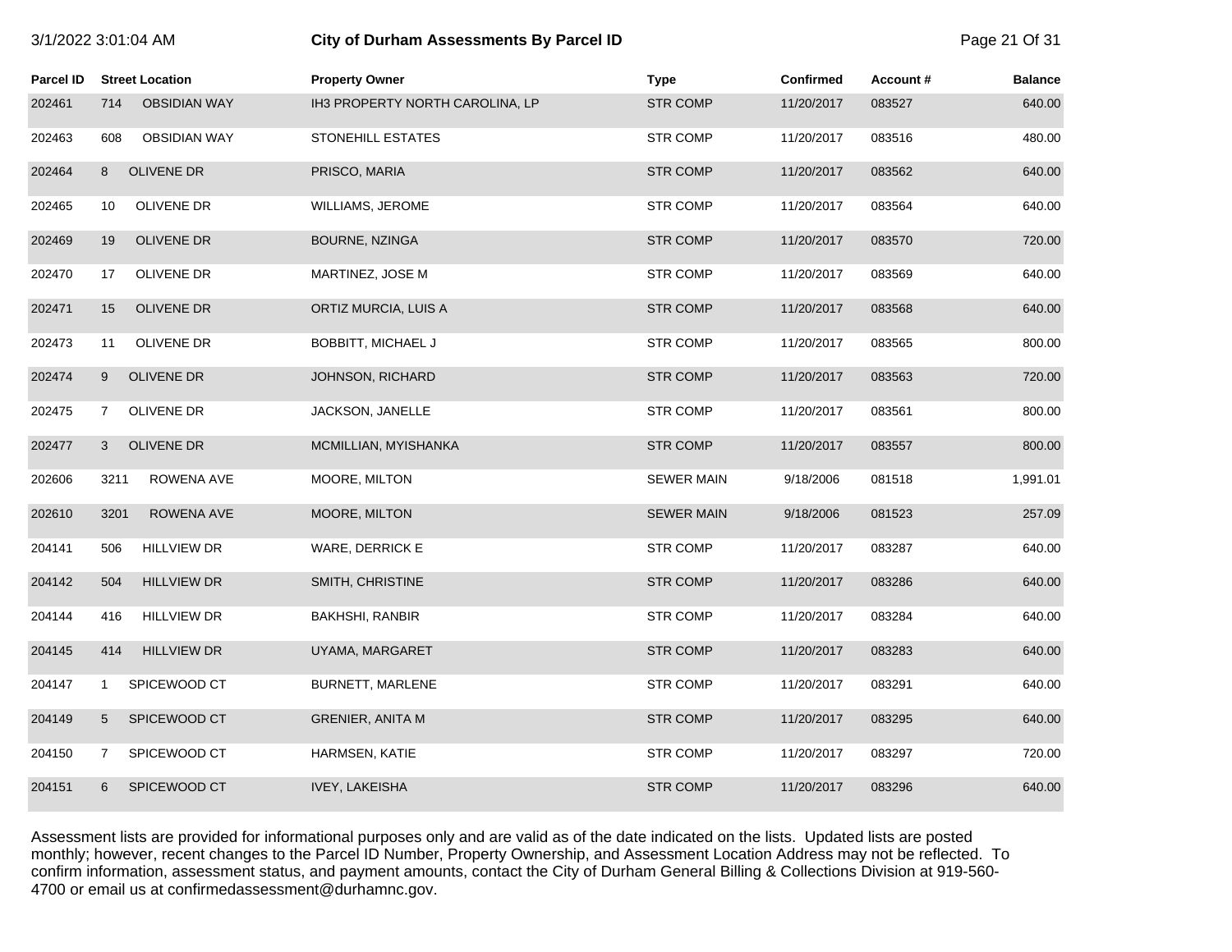|           |                |                        | ony or Burnam Assessments By Fareer in |                   |                  |          | $1$ ugu $21$ UI UI |
|-----------|----------------|------------------------|----------------------------------------|-------------------|------------------|----------|--------------------|
| Parcel ID |                | <b>Street Location</b> | <b>Property Owner</b>                  | <b>Type</b>       | <b>Confirmed</b> | Account# | <b>Balance</b>     |
| 202461    | 714            | <b>OBSIDIAN WAY</b>    | IH3 PROPERTY NORTH CAROLINA, LP        | <b>STR COMP</b>   | 11/20/2017       | 083527   | 640.00             |
| 202463    | 608            | <b>OBSIDIAN WAY</b>    | STONEHILL ESTATES                      | STR COMP          | 11/20/2017       | 083516   | 480.00             |
| 202464    | 8              | OLIVENE DR             | PRISCO, MARIA                          | <b>STR COMP</b>   | 11/20/2017       | 083562   | 640.00             |
| 202465    | 10             | OLIVENE DR             | WILLIAMS, JEROME                       | <b>STR COMP</b>   | 11/20/2017       | 083564   | 640.00             |
| 202469    | 19             | OLIVENE DR             | BOURNE, NZINGA                         | <b>STR COMP</b>   | 11/20/2017       | 083570   | 720.00             |
| 202470    | 17             | OLIVENE DR             | MARTINEZ, JOSE M                       | <b>STR COMP</b>   | 11/20/2017       | 083569   | 640.00             |
| 202471    | 15             | OLIVENE DR             | ORTIZ MURCIA, LUIS A                   | <b>STR COMP</b>   | 11/20/2017       | 083568   | 640.00             |
| 202473    | 11             | OLIVENE DR             | <b>BOBBITT, MICHAEL J</b>              | <b>STR COMP</b>   | 11/20/2017       | 083565   | 800.00             |
| 202474    | 9              | OLIVENE DR             | JOHNSON, RICHARD                       | <b>STR COMP</b>   | 11/20/2017       | 083563   | 720.00             |
| 202475    | $\mathbf{7}$   | OLIVENE DR             | JACKSON, JANELLE                       | <b>STR COMP</b>   | 11/20/2017       | 083561   | 800.00             |
| 202477    | 3              | OLIVENE DR             | MCMILLIAN, MYISHANKA                   | <b>STR COMP</b>   | 11/20/2017       | 083557   | 800.00             |
| 202606    | 3211           | ROWENA AVE             | MOORE, MILTON                          | <b>SEWER MAIN</b> | 9/18/2006        | 081518   | 1,991.01           |
| 202610    | 3201           | ROWENA AVE             | MOORE, MILTON                          | <b>SEWER MAIN</b> | 9/18/2006        | 081523   | 257.09             |
| 204141    | 506            | <b>HILLVIEW DR</b>     | WARE, DERRICK E                        | <b>STR COMP</b>   | 11/20/2017       | 083287   | 640.00             |
| 204142    | 504            | <b>HILLVIEW DR</b>     | SMITH, CHRISTINE                       | <b>STR COMP</b>   | 11/20/2017       | 083286   | 640.00             |
| 204144    | 416            | <b>HILLVIEW DR</b>     | <b>BAKHSHI, RANBIR</b>                 | <b>STR COMP</b>   | 11/20/2017       | 083284   | 640.00             |
| 204145    | 414            | <b>HILLVIEW DR</b>     | UYAMA, MARGARET                        | <b>STR COMP</b>   | 11/20/2017       | 083283   | 640.00             |
| 204147    | $\mathbf{1}$   | SPICEWOOD CT           | BURNETT, MARLENE                       | <b>STR COMP</b>   | 11/20/2017       | 083291   | 640.00             |
| 204149    | 5              | SPICEWOOD CT           | <b>GRENIER, ANITA M</b>                | <b>STR COMP</b>   | 11/20/2017       | 083295   | 640.00             |
| 204150    | $\overline{7}$ | SPICEWOOD CT           | HARMSEN, KATIE                         | <b>STR COMP</b>   | 11/20/2017       | 083297   | 720.00             |
| 204151    | 6              | SPICEWOOD CT           | <b>IVEY, LAKEISHA</b>                  | <b>STR COMP</b>   | 11/20/2017       | 083296   | 640.00             |

3/1/2022 3:01:04 AM **City of Durham Assessments By Parcel ID** Page 21 Of 31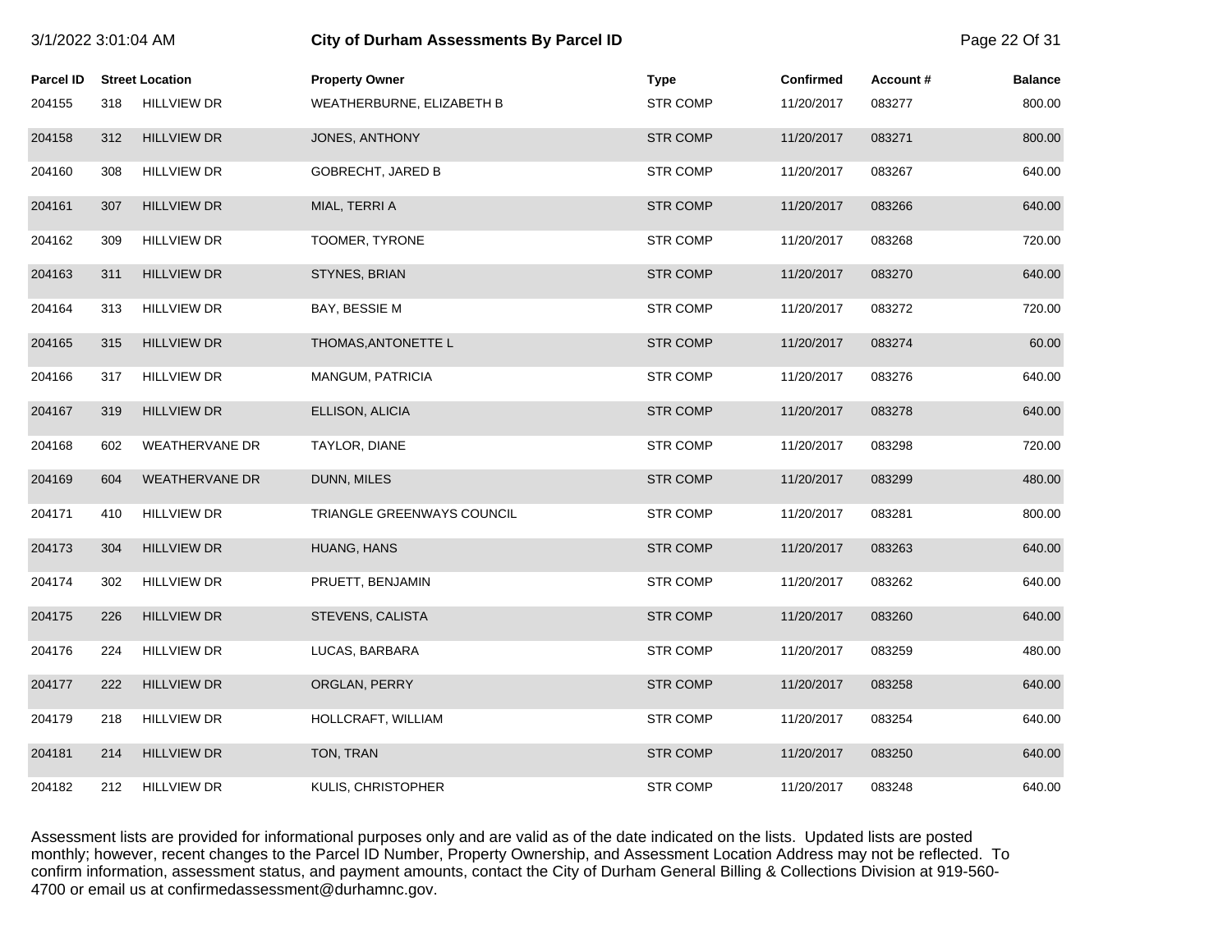| 3/1/2022 3:01:04 AM |     |                        | City of Durham Assessments By Parcel ID |                 |            |          | Page 22 Of 31  |
|---------------------|-----|------------------------|-----------------------------------------|-----------------|------------|----------|----------------|
| <b>Parcel ID</b>    |     | <b>Street Location</b> | <b>Property Owner</b>                   | <b>Type</b>     | Confirmed  | Account# | <b>Balance</b> |
| 204155              | 318 | <b>HILLVIEW DR</b>     | WEATHERBURNE, ELIZABETH B               | <b>STR COMP</b> | 11/20/2017 | 083277   | 800.00         |
| 204158              | 312 | <b>HILLVIEW DR</b>     | JONES, ANTHONY                          | <b>STR COMP</b> | 11/20/2017 | 083271   | 800.00         |
| 204160              | 308 | <b>HILLVIEW DR</b>     | <b>GOBRECHT, JARED B</b>                | <b>STR COMP</b> | 11/20/2017 | 083267   | 640.00         |
| 204161              | 307 | <b>HILLVIEW DR</b>     | MIAL, TERRI A                           | <b>STR COMP</b> | 11/20/2017 | 083266   | 640.00         |
| 204162              | 309 | <b>HILLVIEW DR</b>     | TOOMER, TYRONE                          | <b>STR COMP</b> | 11/20/2017 | 083268   | 720.00         |
| 204163              | 311 | <b>HILLVIEW DR</b>     | STYNES, BRIAN                           | <b>STR COMP</b> | 11/20/2017 | 083270   | 640.00         |
| 204164              | 313 | <b>HILLVIEW DR</b>     | BAY, BESSIE M                           | <b>STR COMP</b> | 11/20/2017 | 083272   | 720.00         |
| 204165              | 315 | <b>HILLVIEW DR</b>     | THOMAS, ANTONETTE L                     | <b>STR COMP</b> | 11/20/2017 | 083274   | 60.00          |
| 204166              | 317 | <b>HILLVIEW DR</b>     | MANGUM, PATRICIA                        | <b>STR COMP</b> | 11/20/2017 | 083276   | 640.00         |
| 204167              | 319 | <b>HILLVIEW DR</b>     | ELLISON, ALICIA                         | <b>STR COMP</b> | 11/20/2017 | 083278   | 640.00         |
| 204168              | 602 | <b>WEATHERVANE DR</b>  | TAYLOR, DIANE                           | <b>STR COMP</b> | 11/20/2017 | 083298   | 720.00         |
| 204169              | 604 | <b>WEATHERVANE DR</b>  | DUNN, MILES                             | <b>STR COMP</b> | 11/20/2017 | 083299   | 480.00         |
| 204171              | 410 | <b>HILLVIEW DR</b>     | TRIANGLE GREENWAYS COUNCIL              | <b>STR COMP</b> | 11/20/2017 | 083281   | 800.00         |
| 204173              | 304 | <b>HILLVIEW DR</b>     | HUANG, HANS                             | <b>STR COMP</b> | 11/20/2017 | 083263   | 640.00         |
| 204174              | 302 | <b>HILLVIEW DR</b>     | PRUETT, BENJAMIN                        | <b>STR COMP</b> | 11/20/2017 | 083262   | 640.00         |
| 204175              | 226 | <b>HILLVIEW DR</b>     | STEVENS, CALISTA                        | <b>STR COMP</b> | 11/20/2017 | 083260   | 640.00         |
| 204176              | 224 | <b>HILLVIEW DR</b>     | LUCAS, BARBARA                          | <b>STR COMP</b> | 11/20/2017 | 083259   | 480.00         |
| 204177              | 222 | <b>HILLVIEW DR</b>     | ORGLAN, PERRY                           | <b>STR COMP</b> | 11/20/2017 | 083258   | 640.00         |
| 204179              | 218 | <b>HILLVIEW DR</b>     | HOLLCRAFT, WILLIAM                      | <b>STR COMP</b> | 11/20/2017 | 083254   | 640.00         |
| 204181              | 214 | <b>HILLVIEW DR</b>     | TON, TRAN                               | <b>STR COMP</b> | 11/20/2017 | 083250   | 640.00         |
| 204182              | 212 | <b>HILLVIEW DR</b>     | KULIS, CHRISTOPHER                      | <b>STR COMP</b> | 11/20/2017 | 083248   | 640.00         |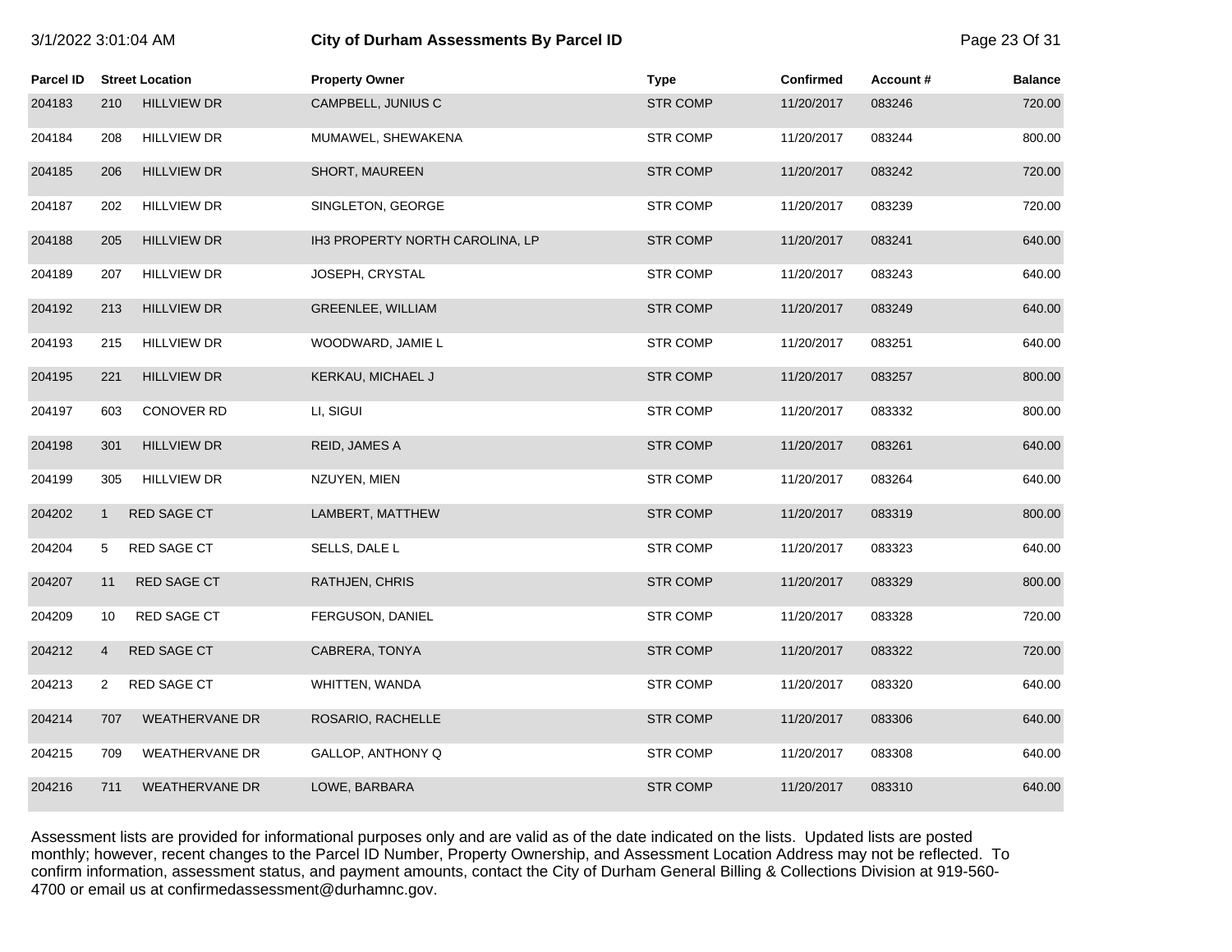| 3/1/2022 3:01:04 AM |  |
|---------------------|--|
|                     |  |

# 3/1/2022 3:01:04 AM **City of Durham Assessments By Parcel ID** Page 23 Of 31

| <b>Parcel ID</b> |                | <b>Street Location</b> | <b>Property Owner</b>           | <b>Type</b>     | <b>Confirmed</b> | Account# | <b>Balance</b> |
|------------------|----------------|------------------------|---------------------------------|-----------------|------------------|----------|----------------|
| 204183           | 210            | <b>HILLVIEW DR</b>     | CAMPBELL, JUNIUS C              | <b>STR COMP</b> | 11/20/2017       | 083246   | 720.00         |
| 204184           | 208            | <b>HILLVIEW DR</b>     | MUMAWEL, SHEWAKENA              | <b>STR COMP</b> | 11/20/2017       | 083244   | 800.00         |
| 204185           | 206            | <b>HILLVIEW DR</b>     | SHORT, MAUREEN                  | <b>STR COMP</b> | 11/20/2017       | 083242   | 720.00         |
| 204187           | 202            | <b>HILLVIEW DR</b>     | SINGLETON, GEORGE               | <b>STR COMP</b> | 11/20/2017       | 083239   | 720.00         |
| 204188           | 205            | <b>HILLVIEW DR</b>     | IH3 PROPERTY NORTH CAROLINA, LP | <b>STR COMP</b> | 11/20/2017       | 083241   | 640.00         |
| 204189           | 207            | <b>HILLVIEW DR</b>     | JOSEPH, CRYSTAL                 | <b>STR COMP</b> | 11/20/2017       | 083243   | 640.00         |
| 204192           | 213            | <b>HILLVIEW DR</b>     | GREENLEE, WILLIAM               | <b>STR COMP</b> | 11/20/2017       | 083249   | 640.00         |
| 204193           | 215            | <b>HILLVIEW DR</b>     | WOODWARD, JAMIE L               | <b>STR COMP</b> | 11/20/2017       | 083251   | 640.00         |
| 204195           | 221            | <b>HILLVIEW DR</b>     | KERKAU, MICHAEL J               | <b>STR COMP</b> | 11/20/2017       | 083257   | 800.00         |
| 204197           | 603            | <b>CONOVER RD</b>      | LI, SIGUI                       | <b>STR COMP</b> | 11/20/2017       | 083332   | 800.00         |
| 204198           | 301            | <b>HILLVIEW DR</b>     | REID, JAMES A                   | <b>STR COMP</b> | 11/20/2017       | 083261   | 640.00         |
| 204199           | 305            | <b>HILLVIEW DR</b>     | NZUYEN, MIEN                    | <b>STR COMP</b> | 11/20/2017       | 083264   | 640.00         |
| 204202           | $\mathbf{1}$   | RED SAGE CT            | LAMBERT, MATTHEW                | <b>STR COMP</b> | 11/20/2017       | 083319   | 800.00         |
| 204204           | 5              | RED SAGE CT            | SELLS, DALE L                   | <b>STR COMP</b> | 11/20/2017       | 083323   | 640.00         |
| 204207           | 11             | RED SAGE CT            | RATHJEN, CHRIS                  | <b>STR COMP</b> | 11/20/2017       | 083329   | 800.00         |
| 204209           | 10             | RED SAGE CT            | FERGUSON, DANIEL                | <b>STR COMP</b> | 11/20/2017       | 083328   | 720.00         |
| 204212           | $\overline{4}$ | RED SAGE CT            | CABRERA, TONYA                  | <b>STR COMP</b> | 11/20/2017       | 083322   | 720.00         |
| 204213           | 2              | RED SAGE CT            | WHITTEN, WANDA                  | <b>STR COMP</b> | 11/20/2017       | 083320   | 640.00         |
| 204214           | 707            | <b>WEATHERVANE DR</b>  | ROSARIO, RACHELLE               | <b>STR COMP</b> | 11/20/2017       | 083306   | 640.00         |
| 204215           | 709            | WEATHERVANE DR         | GALLOP, ANTHONY Q               | <b>STR COMP</b> | 11/20/2017       | 083308   | 640.00         |
| 204216           | 711            | <b>WEATHERVANE DR</b>  | LOWE, BARBARA                   | <b>STR COMP</b> | 11/20/2017       | 083310   | 640.00         |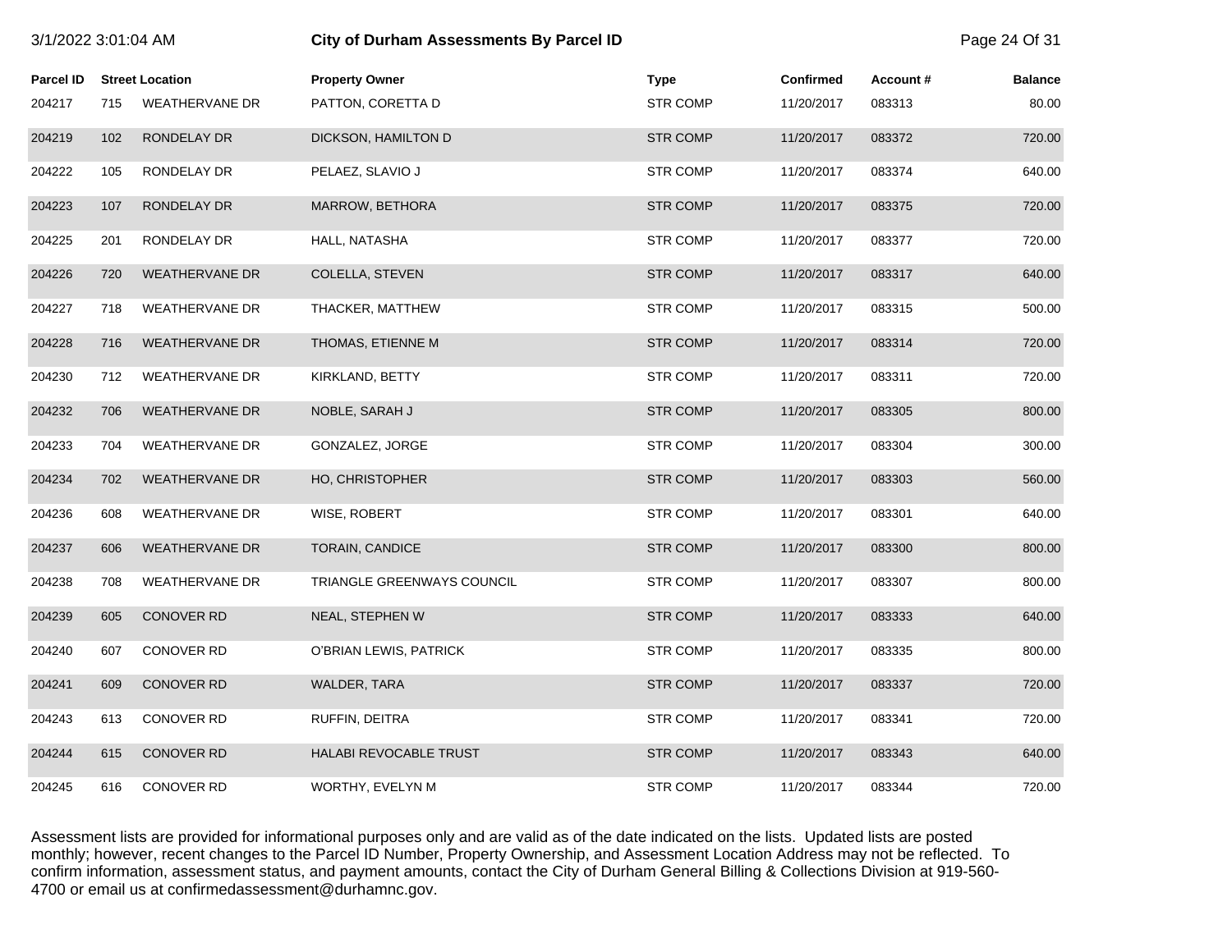| 3/1/2022 3:01:04 AM |     |                        | <b>City of Durham Assessments By Parcel ID</b> |                 |                  |          | Page 24 Of 31  |
|---------------------|-----|------------------------|------------------------------------------------|-----------------|------------------|----------|----------------|
| <b>Parcel ID</b>    |     | <b>Street Location</b> | <b>Property Owner</b>                          | <b>Type</b>     | <b>Confirmed</b> | Account# | <b>Balance</b> |
| 204217              | 715 | <b>WEATHERVANE DR</b>  | PATTON, CORETTA D                              | <b>STR COMP</b> | 11/20/2017       | 083313   | 80.00          |
| 204219              | 102 | RONDELAY DR            | DICKSON, HAMILTON D                            | <b>STR COMP</b> | 11/20/2017       | 083372   | 720.00         |
| 204222              | 105 | RONDELAY DR            | PELAEZ, SLAVIO J                               | <b>STR COMP</b> | 11/20/2017       | 083374   | 640.00         |
| 204223              | 107 | RONDELAY DR            | MARROW, BETHORA                                | <b>STR COMP</b> | 11/20/2017       | 083375   | 720.00         |
| 204225              | 201 | RONDELAY DR            | HALL, NATASHA                                  | <b>STR COMP</b> | 11/20/2017       | 083377   | 720.00         |
| 204226              | 720 | <b>WEATHERVANE DR</b>  | COLELLA, STEVEN                                | <b>STR COMP</b> | 11/20/2017       | 083317   | 640.00         |
| 204227              | 718 | <b>WEATHERVANE DR</b>  | THACKER, MATTHEW                               | <b>STR COMP</b> | 11/20/2017       | 083315   | 500.00         |
| 204228              | 716 | <b>WEATHERVANE DR</b>  | THOMAS, ETIENNE M                              | <b>STR COMP</b> | 11/20/2017       | 083314   | 720.00         |
| 204230              | 712 | <b>WEATHERVANE DR</b>  | KIRKLAND, BETTY                                | <b>STR COMP</b> | 11/20/2017       | 083311   | 720.00         |
| 204232              | 706 | <b>WEATHERVANE DR</b>  | NOBLE, SARAH J                                 | <b>STR COMP</b> | 11/20/2017       | 083305   | 800.00         |
| 204233              | 704 | <b>WEATHERVANE DR</b>  | GONZALEZ, JORGE                                | <b>STR COMP</b> | 11/20/2017       | 083304   | 300.00         |
| 204234              | 702 | <b>WEATHERVANE DR</b>  | HO, CHRISTOPHER                                | <b>STR COMP</b> | 11/20/2017       | 083303   | 560.00         |
| 204236              | 608 | <b>WEATHERVANE DR</b>  | WISE, ROBERT                                   | <b>STR COMP</b> | 11/20/2017       | 083301   | 640.00         |
| 204237              | 606 | <b>WEATHERVANE DR</b>  | <b>TORAIN, CANDICE</b>                         | <b>STR COMP</b> | 11/20/2017       | 083300   | 800.00         |
| 204238              | 708 | <b>WEATHERVANE DR</b>  | TRIANGLE GREENWAYS COUNCIL                     | <b>STR COMP</b> | 11/20/2017       | 083307   | 800.00         |
| 204239              | 605 | CONOVER RD             | NEAL, STEPHEN W                                | <b>STR COMP</b> | 11/20/2017       | 083333   | 640.00         |
| 204240              | 607 | <b>CONOVER RD</b>      | O'BRIAN LEWIS, PATRICK                         | <b>STR COMP</b> | 11/20/2017       | 083335   | 800.00         |
| 204241              | 609 | <b>CONOVER RD</b>      | <b>WALDER, TARA</b>                            | <b>STR COMP</b> | 11/20/2017       | 083337   | 720.00         |
| 204243              | 613 | CONOVER RD             | RUFFIN, DEITRA                                 | <b>STR COMP</b> | 11/20/2017       | 083341   | 720.00         |
| 204244              | 615 | <b>CONOVER RD</b>      | HALABI REVOCABLE TRUST                         | <b>STR COMP</b> | 11/20/2017       | 083343   | 640.00         |
| 204245              | 616 | <b>CONOVER RD</b>      | WORTHY, EVELYN M                               | <b>STR COMP</b> | 11/20/2017       | 083344   | 720.00         |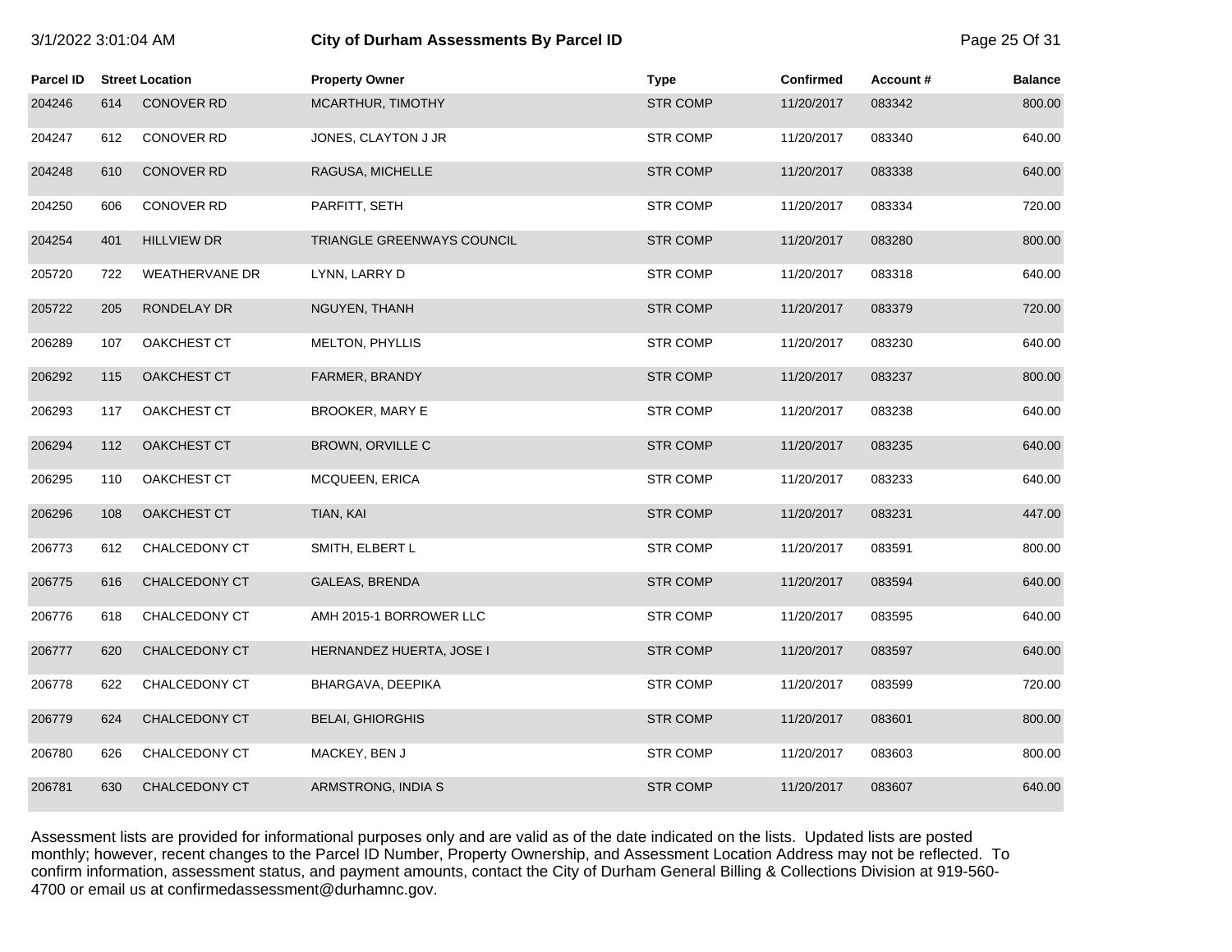| 3/1/2022 3:01:04 AM              |                      |  | City of Durham        |
|----------------------------------|----------------------|--|-----------------------|
| <b>Parcel ID</b> Street Location |                      |  | <b>Property Owner</b> |
|                                  | $\sim$ $\sim$ $\sim$ |  |                       |

| <b>Parcel ID</b> |     | <b>Street Location</b> | <b>Property Owner</b>      | <b>Type</b>     | <b>Confirmed</b> | Account# | <b>Balance</b> |
|------------------|-----|------------------------|----------------------------|-----------------|------------------|----------|----------------|
| 204246           | 614 | <b>CONOVER RD</b>      | MCARTHUR, TIMOTHY          | <b>STR COMP</b> | 11/20/2017       | 083342   | 800.00         |
| 204247           | 612 | CONOVER RD             | JONES, CLAYTON J JR        | <b>STR COMP</b> | 11/20/2017       | 083340   | 640.00         |
| 204248           | 610 | <b>CONOVER RD</b>      | RAGUSA, MICHELLE           | <b>STR COMP</b> | 11/20/2017       | 083338   | 640.00         |
| 204250           | 606 | CONOVER RD             | PARFITT, SETH              | <b>STR COMP</b> | 11/20/2017       | 083334   | 720.00         |
| 204254           | 401 | <b>HILLVIEW DR</b>     | TRIANGLE GREENWAYS COUNCIL | <b>STR COMP</b> | 11/20/2017       | 083280   | 800.00         |
| 205720           | 722 | <b>WEATHERVANE DR</b>  | LYNN, LARRY D              | <b>STR COMP</b> | 11/20/2017       | 083318   | 640.00         |
| 205722           | 205 | RONDELAY DR            | NGUYEN, THANH              | <b>STR COMP</b> | 11/20/2017       | 083379   | 720.00         |
| 206289           | 107 | OAKCHEST CT            | MELTON, PHYLLIS            | <b>STR COMP</b> | 11/20/2017       | 083230   | 640.00         |
| 206292           | 115 | OAKCHEST CT            | FARMER, BRANDY             | <b>STR COMP</b> | 11/20/2017       | 083237   | 800.00         |
| 206293           | 117 | OAKCHEST CT            | <b>BROOKER, MARY E</b>     | <b>STR COMP</b> | 11/20/2017       | 083238   | 640.00         |
| 206294           | 112 | OAKCHEST CT            | BROWN, ORVILLE C           | <b>STR COMP</b> | 11/20/2017       | 083235   | 640.00         |
| 206295           | 110 | OAKCHEST CT            | MCQUEEN, ERICA             | <b>STR COMP</b> | 11/20/2017       | 083233   | 640.00         |
| 206296           | 108 | OAKCHEST CT            | TIAN, KAI                  | <b>STR COMP</b> | 11/20/2017       | 083231   | 447.00         |
| 206773           | 612 | CHALCEDONY CT          | SMITH, ELBERT L            | <b>STR COMP</b> | 11/20/2017       | 083591   | 800.00         |
| 206775           | 616 | CHALCEDONY CT          | <b>GALEAS, BRENDA</b>      | <b>STR COMP</b> | 11/20/2017       | 083594   | 640.00         |
| 206776           | 618 | CHALCEDONY CT          | AMH 2015-1 BORROWER LLC    | <b>STR COMP</b> | 11/20/2017       | 083595   | 640.00         |
| 206777           | 620 | <b>CHALCEDONY CT</b>   | HERNANDEZ HUERTA, JOSE I   | <b>STR COMP</b> | 11/20/2017       | 083597   | 640.00         |
| 206778           | 622 | <b>CHALCEDONY CT</b>   | BHARGAVA, DEEPIKA          | <b>STR COMP</b> | 11/20/2017       | 083599   | 720.00         |
| 206779           | 624 | CHALCEDONY CT          | <b>BELAI, GHIORGHIS</b>    | <b>STR COMP</b> | 11/20/2017       | 083601   | 800.00         |
| 206780           | 626 | CHALCEDONY CT          | MACKEY, BEN J              | <b>STR COMP</b> | 11/20/2017       | 083603   | 800.00         |
| 206781           | 630 | <b>CHALCEDONY CT</b>   | ARMSTRONG, INDIA S         | <b>STR COMP</b> | 11/20/2017       | 083607   | 640.00         |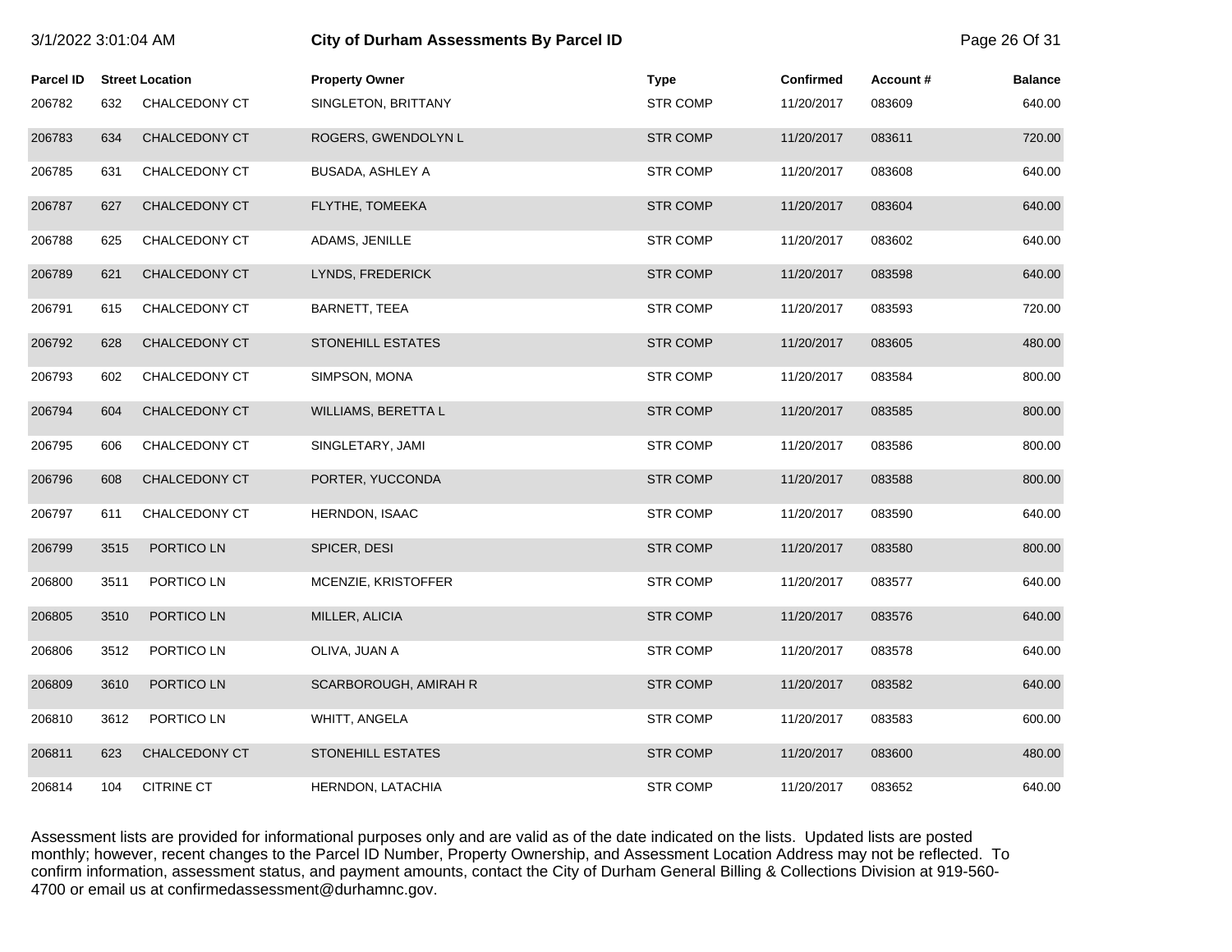| 3/1/2022 3:01:04 AM |      |                        | <b>City of Durham Assessments By Parcel ID</b> |                 |                  |          | Page 26 Of 31  |
|---------------------|------|------------------------|------------------------------------------------|-----------------|------------------|----------|----------------|
| <b>Parcel ID</b>    |      | <b>Street Location</b> | <b>Property Owner</b>                          | <b>Type</b>     | <b>Confirmed</b> | Account# | <b>Balance</b> |
| 206782              | 632  | CHALCEDONY CT          | SINGLETON, BRITTANY                            | <b>STR COMP</b> | 11/20/2017       | 083609   | 640.00         |
| 206783              | 634  | CHALCEDONY CT          | ROGERS, GWENDOLYN L                            | <b>STR COMP</b> | 11/20/2017       | 083611   | 720.00         |
| 206785              | 631  | CHALCEDONY CT          | <b>BUSADA, ASHLEY A</b>                        | <b>STR COMP</b> | 11/20/2017       | 083608   | 640.00         |
| 206787              | 627  | CHALCEDONY CT          | FLYTHE, TOMEEKA                                | <b>STR COMP</b> | 11/20/2017       | 083604   | 640.00         |
| 206788              | 625  | CHALCEDONY CT          | ADAMS, JENILLE                                 | <b>STR COMP</b> | 11/20/2017       | 083602   | 640.00         |
| 206789              | 621  | CHALCEDONY CT          | LYNDS, FREDERICK                               | <b>STR COMP</b> | 11/20/2017       | 083598   | 640.00         |
| 206791              | 615  | CHALCEDONY CT          | BARNETT, TEEA                                  | <b>STR COMP</b> | 11/20/2017       | 083593   | 720.00         |
| 206792              | 628  | CHALCEDONY CT          | <b>STONEHILL ESTATES</b>                       | <b>STR COMP</b> | 11/20/2017       | 083605   | 480.00         |
| 206793              | 602  | CHALCEDONY CT          | SIMPSON, MONA                                  | <b>STR COMP</b> | 11/20/2017       | 083584   | 800.00         |
| 206794              | 604  | CHALCEDONY CT          | WILLIAMS, BERETTA L                            | <b>STR COMP</b> | 11/20/2017       | 083585   | 800.00         |
| 206795              | 606  | CHALCEDONY CT          | SINGLETARY, JAMI                               | <b>STR COMP</b> | 11/20/2017       | 083586   | 800.00         |
| 206796              | 608  | CHALCEDONY CT          | PORTER, YUCCONDA                               | <b>STR COMP</b> | 11/20/2017       | 083588   | 800.00         |
| 206797              | 611  | CHALCEDONY CT          | HERNDON, ISAAC                                 | <b>STR COMP</b> | 11/20/2017       | 083590   | 640.00         |
| 206799              | 3515 | PORTICO LN             | SPICER, DESI                                   | <b>STR COMP</b> | 11/20/2017       | 083580   | 800.00         |
| 206800              | 3511 | PORTICO LN             | MCENZIE, KRISTOFFER                            | <b>STR COMP</b> | 11/20/2017       | 083577   | 640.00         |
| 206805              | 3510 | PORTICO LN             | MILLER, ALICIA                                 | <b>STR COMP</b> | 11/20/2017       | 083576   | 640.00         |
| 206806              | 3512 | PORTICO LN             | OLIVA, JUAN A                                  | <b>STR COMP</b> | 11/20/2017       | 083578   | 640.00         |
| 206809              | 3610 | PORTICO LN             | SCARBOROUGH, AMIRAH R                          | <b>STR COMP</b> | 11/20/2017       | 083582   | 640.00         |
| 206810              | 3612 | PORTICO LN             | WHITT, ANGELA                                  | <b>STR COMP</b> | 11/20/2017       | 083583   | 600.00         |
| 206811              | 623  | CHALCEDONY CT          | <b>STONEHILL ESTATES</b>                       | <b>STR COMP</b> | 11/20/2017       | 083600   | 480.00         |
| 206814              | 104  | <b>CITRINE CT</b>      | HERNDON, LATACHIA                              | <b>STR COMP</b> | 11/20/2017       | 083652   | 640.00         |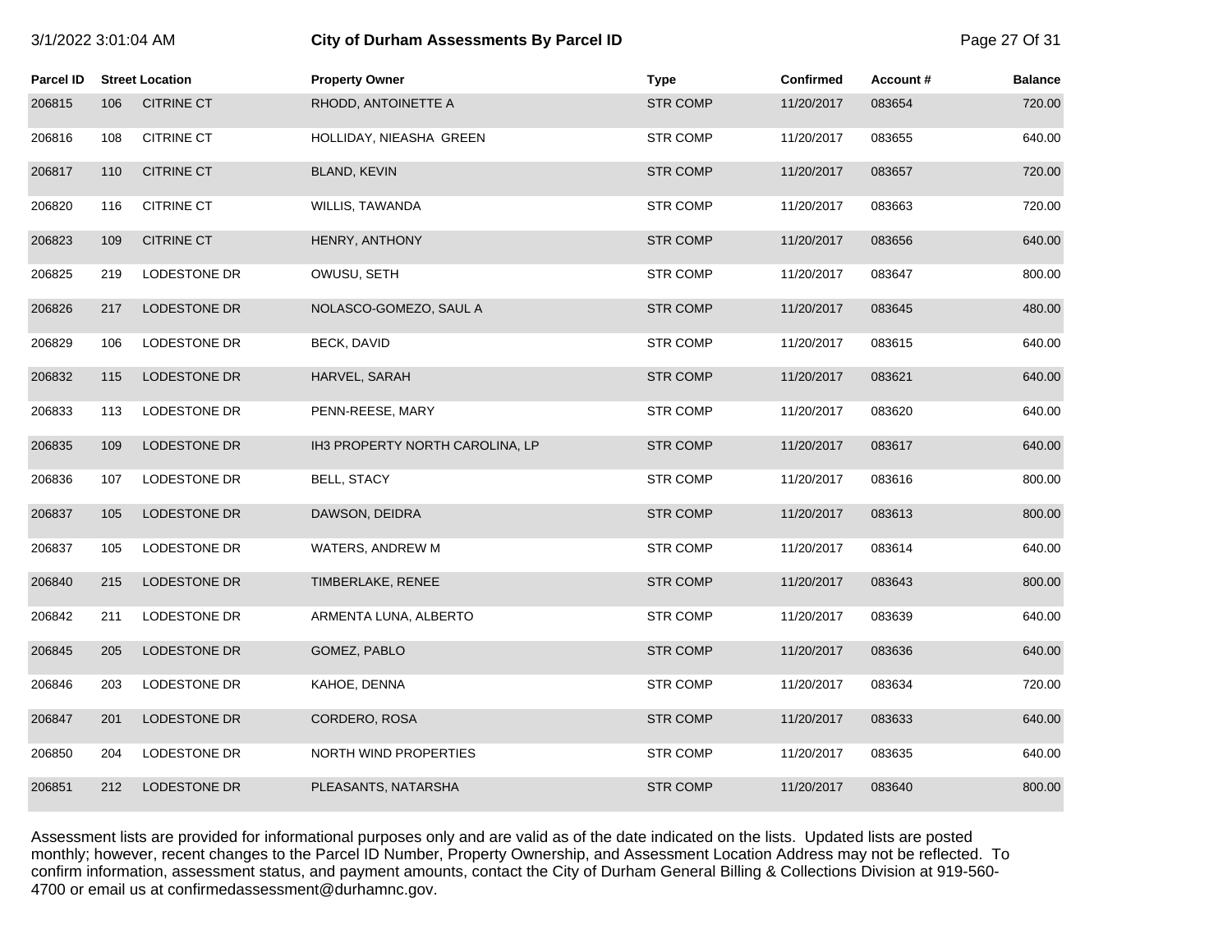| 3/1/2022 3:01:04 AM |     |                        | <b>City of Durham Assessments By Parcel ID</b> |                 |                  |          |                |
|---------------------|-----|------------------------|------------------------------------------------|-----------------|------------------|----------|----------------|
| Parcel ID           |     | <b>Street Location</b> | <b>Property Owner</b>                          | <b>Type</b>     | <b>Confirmed</b> | Account# | <b>Balance</b> |
| 206815              | 106 | <b>CITRINE CT</b>      | RHODD, ANTOINETTE A                            | <b>STR COMP</b> | 11/20/2017       | 083654   | 720.00         |
| 206816              | 108 | <b>CITRINE CT</b>      | HOLLIDAY, NIEASHA GREEN                        | <b>STR COMP</b> | 11/20/2017       | 083655   | 640.00         |
| 206817              | 110 | <b>CITRINE CT</b>      | <b>BLAND, KEVIN</b>                            | <b>STR COMP</b> | 11/20/2017       | 083657   | 720.00         |
| 206820              | 116 | <b>CITRINE CT</b>      | WILLIS, TAWANDA                                | <b>STR COMP</b> | 11/20/2017       | 083663   | 720.00         |
| 206823              | 109 | <b>CITRINE CT</b>      | HENRY, ANTHONY                                 | <b>STR COMP</b> | 11/20/2017       | 083656   | 640.00         |
| 206825              | 219 | LODESTONE DR           | OWUSU, SETH                                    | <b>STR COMP</b> | 11/20/2017       | 083647   | 800.00         |
| 206826              | 217 | <b>LODESTONE DR</b>    | NOLASCO-GOMEZO, SAUL A                         | <b>STR COMP</b> | 11/20/2017       | 083645   | 480.00         |
| 206829              | 106 | LODESTONE DR           | BECK, DAVID                                    | <b>STR COMP</b> | 11/20/2017       | 083615   | 640.00         |
| 206832              | 115 | <b>LODESTONE DR</b>    | HARVEL, SARAH                                  | <b>STR COMP</b> | 11/20/2017       | 083621   | 640.00         |
| 206833              | 113 | LODESTONE DR           | PENN-REESE, MARY                               | <b>STR COMP</b> | 11/20/2017       | 083620   | 640.00         |
| 206835              | 109 | LODESTONE DR           | IH3 PROPERTY NORTH CAROLINA, LP                | <b>STR COMP</b> | 11/20/2017       | 083617   | 640.00         |
| 206836              | 107 | LODESTONE DR           | <b>BELL, STACY</b>                             | <b>STR COMP</b> | 11/20/2017       | 083616   | 800.00         |
| 206837              | 105 | LODESTONE DR           | DAWSON, DEIDRA                                 | <b>STR COMP</b> | 11/20/2017       | 083613   | 800.00         |
| 206837              | 105 | LODESTONE DR           | WATERS, ANDREW M                               | <b>STR COMP</b> | 11/20/2017       | 083614   | 640.00         |
| 206840              | 215 | <b>LODESTONE DR</b>    | TIMBERLAKE, RENEE                              | <b>STR COMP</b> | 11/20/2017       | 083643   | 800.00         |
| 206842              | 211 | LODESTONE DR           | ARMENTA LUNA, ALBERTO                          | <b>STR COMP</b> | 11/20/2017       | 083639   | 640.00         |
| 206845              | 205 | LODESTONE DR           | GOMEZ, PABLO                                   | <b>STR COMP</b> | 11/20/2017       | 083636   | 640.00         |
| 206846              | 203 | LODESTONE DR           | KAHOE, DENNA                                   | <b>STR COMP</b> | 11/20/2017       | 083634   | 720.00         |
| 206847              | 201 | LODESTONE DR           | CORDERO, ROSA                                  | <b>STR COMP</b> | 11/20/2017       | 083633   | 640.00         |
| 206850              | 204 | LODESTONE DR           | NORTH WIND PROPERTIES                          | <b>STR COMP</b> | 11/20/2017       | 083635   | 640.00         |
| 206851              | 212 | <b>LODESTONE DR</b>    | PLEASANTS, NATARSHA                            | <b>STR COMP</b> | 11/20/2017       | 083640   | 800.00         |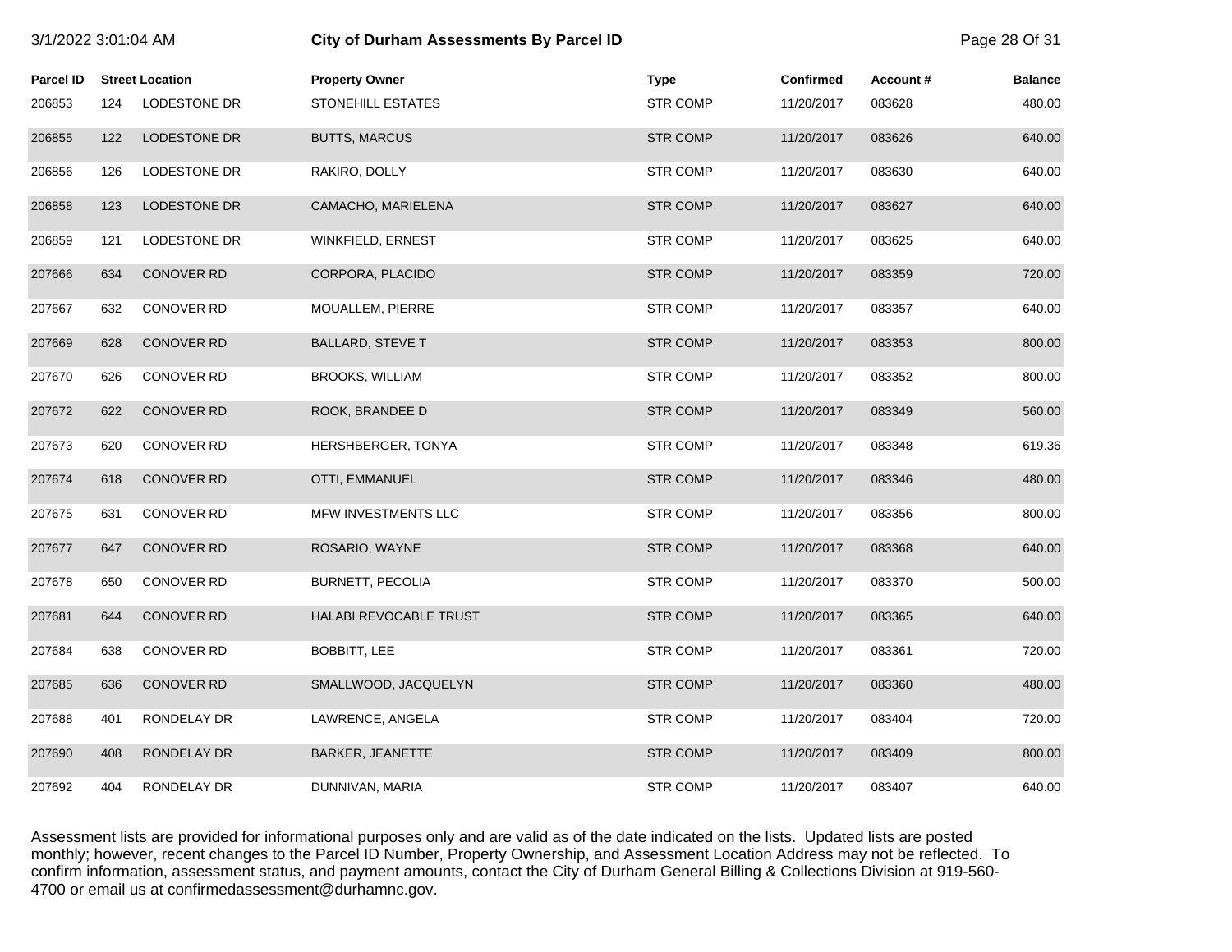| 3/1/2022 3:01:04 AM |     |                        | <b>City of Durham Assessments By Parcel ID</b> |                 |                  |          | Page 28 Of 31  |
|---------------------|-----|------------------------|------------------------------------------------|-----------------|------------------|----------|----------------|
| <b>Parcel ID</b>    |     | <b>Street Location</b> | <b>Property Owner</b>                          | Type            | <b>Confirmed</b> | Account# | <b>Balance</b> |
| 206853              | 124 | LODESTONE DR           | STONEHILL ESTATES                              | <b>STR COMP</b> | 11/20/2017       | 083628   | 480.00         |
| 206855              | 122 | LODESTONE DR           | <b>BUTTS, MARCUS</b>                           | <b>STR COMP</b> | 11/20/2017       | 083626   | 640.00         |
| 206856              | 126 | LODESTONE DR           | RAKIRO, DOLLY                                  | <b>STR COMP</b> | 11/20/2017       | 083630   | 640.00         |
| 206858              | 123 | LODESTONE DR           | CAMACHO, MARIELENA                             | <b>STR COMP</b> | 11/20/2017       | 083627   | 640.00         |
| 206859              | 121 | LODESTONE DR           | WINKFIELD, ERNEST                              | <b>STR COMP</b> | 11/20/2017       | 083625   | 640.00         |
| 207666              | 634 | <b>CONOVER RD</b>      | CORPORA, PLACIDO                               | <b>STR COMP</b> | 11/20/2017       | 083359   | 720.00         |
| 207667              | 632 | <b>CONOVER RD</b>      | MOUALLEM, PIERRE                               | <b>STR COMP</b> | 11/20/2017       | 083357   | 640.00         |
| 207669              | 628 | <b>CONOVER RD</b>      | <b>BALLARD, STEVE T</b>                        | <b>STR COMP</b> | 11/20/2017       | 083353   | 800.00         |
| 207670              | 626 | <b>CONOVER RD</b>      | <b>BROOKS, WILLIAM</b>                         | <b>STR COMP</b> | 11/20/2017       | 083352   | 800.00         |
| 207672              | 622 | <b>CONOVER RD</b>      | ROOK, BRANDEE D                                | <b>STR COMP</b> | 11/20/2017       | 083349   | 560.00         |
| 207673              | 620 | <b>CONOVER RD</b>      | HERSHBERGER, TONYA                             | <b>STR COMP</b> | 11/20/2017       | 083348   | 619.36         |
| 207674              | 618 | <b>CONOVER RD</b>      | OTTI, EMMANUEL                                 | <b>STR COMP</b> | 11/20/2017       | 083346   | 480.00         |
| 207675              | 631 | <b>CONOVER RD</b>      | MFW INVESTMENTS LLC                            | <b>STR COMP</b> | 11/20/2017       | 083356   | 800.00         |
| 207677              | 647 | <b>CONOVER RD</b>      | ROSARIO, WAYNE                                 | <b>STR COMP</b> | 11/20/2017       | 083368   | 640.00         |
| 207678              | 650 | <b>CONOVER RD</b>      | <b>BURNETT, PECOLIA</b>                        | <b>STR COMP</b> | 11/20/2017       | 083370   | 500.00         |
| 207681              | 644 | <b>CONOVER RD</b>      | HALABI REVOCABLE TRUST                         | <b>STR COMP</b> | 11/20/2017       | 083365   | 640.00         |
| 207684              | 638 | <b>CONOVER RD</b>      | BOBBITT, LEE                                   | <b>STR COMP</b> | 11/20/2017       | 083361   | 720.00         |
| 207685              | 636 | <b>CONOVER RD</b>      | SMALLWOOD, JACQUELYN                           | <b>STR COMP</b> | 11/20/2017       | 083360   | 480.00         |
| 207688              | 401 | RONDELAY DR            | LAWRENCE, ANGELA                               | <b>STR COMP</b> | 11/20/2017       | 083404   | 720.00         |
| 207690              | 408 | RONDELAY DR            | BARKER, JEANETTE                               | <b>STR COMP</b> | 11/20/2017       | 083409   | 800.00         |
| 207692              | 404 | RONDELAY DR            | DUNNIVAN, MARIA                                | <b>STR COMP</b> | 11/20/2017       | 083407   | 640.00         |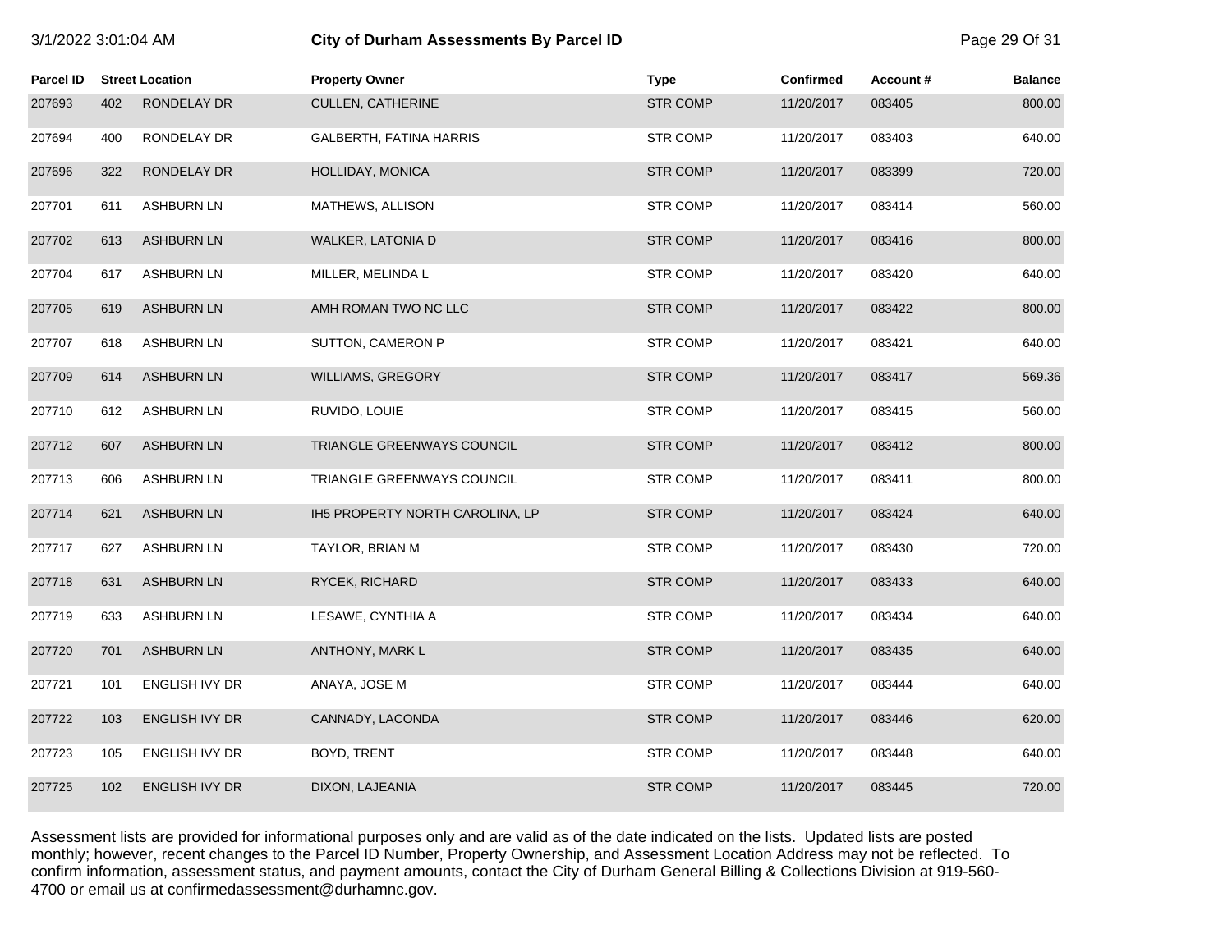| 3/1/2022 3:01:04 AM |     |                        | City of Durham Assessments By Parcel ID | Page 29 Of 31   |            |          |                |
|---------------------|-----|------------------------|-----------------------------------------|-----------------|------------|----------|----------------|
| Parcel ID           |     | <b>Street Location</b> | <b>Property Owner</b>                   | <b>Type</b>     | Confirmed  | Account# | <b>Balance</b> |
| 207693              | 402 | RONDELAY DR            | <b>CULLEN, CATHERINE</b>                | <b>STR COMP</b> | 11/20/2017 | 083405   | 800.00         |
| 207694              | 400 | RONDELAY DR            | GALBERTH, FATINA HARRIS                 | <b>STR COMP</b> | 11/20/2017 | 083403   | 640.00         |
| 207696              | 322 | RONDELAY DR            | HOLLIDAY, MONICA                        | <b>STR COMP</b> | 11/20/2017 | 083399   | 720.00         |
| 207701              | 611 | <b>ASHBURN LN</b>      | MATHEWS, ALLISON                        | <b>STR COMP</b> | 11/20/2017 | 083414   | 560.00         |
| 207702              | 613 | <b>ASHBURN LN</b>      | <b>WALKER, LATONIA D</b>                | <b>STR COMP</b> | 11/20/2017 | 083416   | 800.00         |
| 207704              | 617 | <b>ASHBURN LN</b>      | MILLER, MELINDA L                       | <b>STR COMP</b> | 11/20/2017 | 083420   | 640.00         |
| 207705              | 619 | <b>ASHBURN LN</b>      | AMH ROMAN TWO NC LLC                    | <b>STR COMP</b> | 11/20/2017 | 083422   | 800.00         |
| 207707              | 618 | <b>ASHBURN LN</b>      | SUTTON, CAMERON P                       | <b>STR COMP</b> | 11/20/2017 | 083421   | 640.00         |
| 207709              | 614 | <b>ASHBURN LN</b>      | <b>WILLIAMS, GREGORY</b>                | <b>STR COMP</b> | 11/20/2017 | 083417   | 569.36         |
| 207710              | 612 | <b>ASHBURN LN</b>      | RUVIDO, LOUIE                           | <b>STR COMP</b> | 11/20/2017 | 083415   | 560.00         |
| 207712              | 607 | <b>ASHBURN LN</b>      | TRIANGLE GREENWAYS COUNCIL              | <b>STR COMP</b> | 11/20/2017 | 083412   | 800.00         |
| 207713              | 606 | <b>ASHBURN LN</b>      | TRIANGLE GREENWAYS COUNCIL              | <b>STR COMP</b> | 11/20/2017 | 083411   | 800.00         |
| 207714              | 621 | <b>ASHBURN LN</b>      | IH5 PROPERTY NORTH CAROLINA, LP         | <b>STR COMP</b> | 11/20/2017 | 083424   | 640.00         |
| 207717              | 627 | <b>ASHBURN LN</b>      | TAYLOR, BRIAN M                         | <b>STR COMP</b> | 11/20/2017 | 083430   | 720.00         |
| 207718              | 631 | <b>ASHBURN LN</b>      | RYCEK, RICHARD                          | <b>STR COMP</b> | 11/20/2017 | 083433   | 640.00         |
| 207719              | 633 | <b>ASHBURN LN</b>      | LESAWE, CYNTHIA A                       | <b>STR COMP</b> | 11/20/2017 | 083434   | 640.00         |
| 207720              | 701 | <b>ASHBURN LN</b>      | ANTHONY, MARK L                         | <b>STR COMP</b> | 11/20/2017 | 083435   | 640.00         |
| 207721              | 101 | <b>ENGLISH IVY DR</b>  | ANAYA, JOSE M                           | <b>STR COMP</b> | 11/20/2017 | 083444   | 640.00         |
| 207722              | 103 | ENGLISH IVY DR         | CANNADY, LACONDA                        | <b>STR COMP</b> | 11/20/2017 | 083446   | 620.00         |
| 207723              | 105 | ENGLISH IVY DR         | BOYD, TRENT                             | <b>STR COMP</b> | 11/20/2017 | 083448   | 640.00         |
| 207725              | 102 | <b>ENGLISH IVY DR</b>  | DIXON, LAJEANIA                         | <b>STR COMP</b> | 11/20/2017 | 083445   | 720.00         |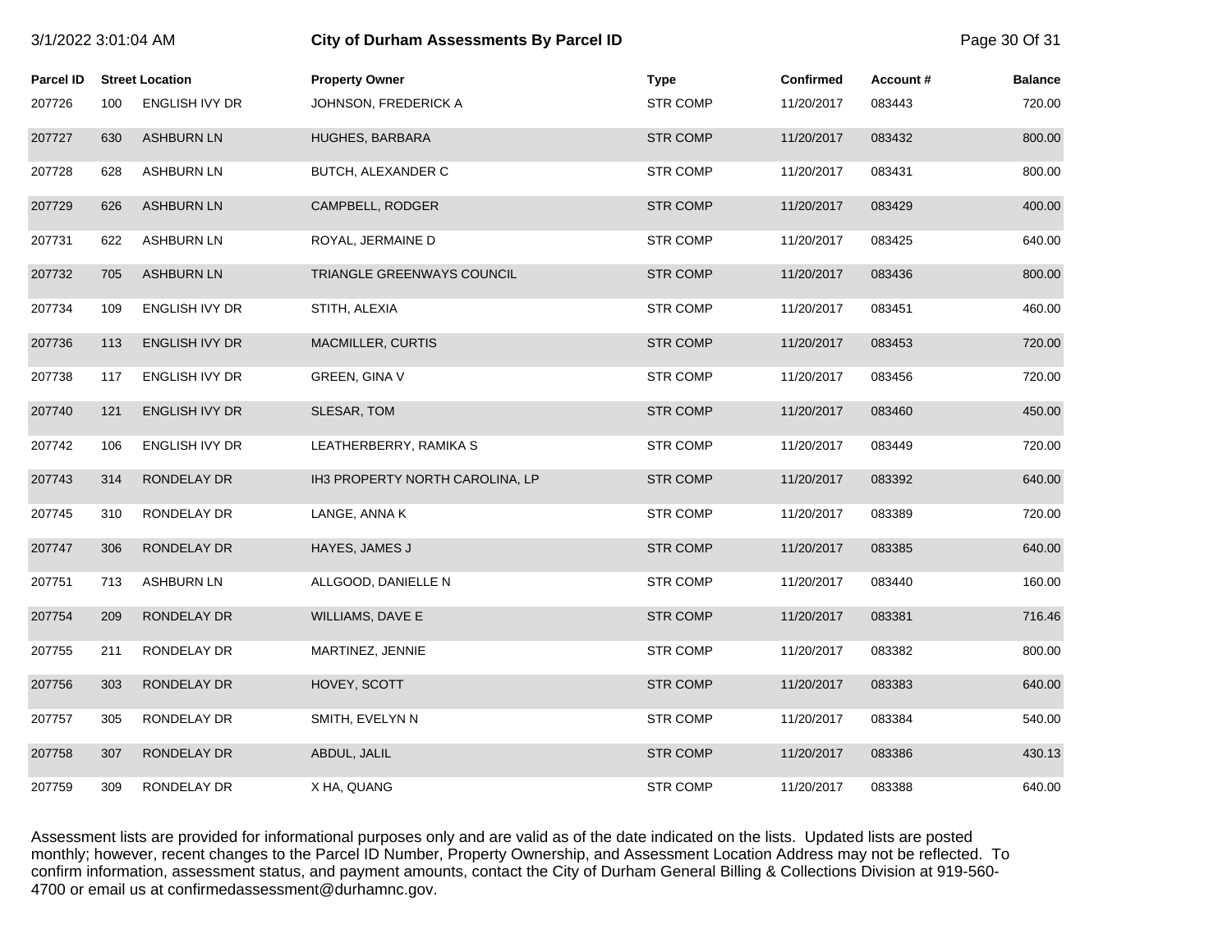| 3/1/2022 3:01:04 AM |     |                        | <b>City of Durham Assessments By Parcel ID</b> |                 |            |          | Page 30 Of 31  |
|---------------------|-----|------------------------|------------------------------------------------|-----------------|------------|----------|----------------|
| Parcel ID           |     | <b>Street Location</b> | <b>Property Owner</b>                          | <b>Type</b>     | Confirmed  | Account# | <b>Balance</b> |
| 207726              | 100 | ENGLISH IVY DR         | JOHNSON, FREDERICK A                           | <b>STR COMP</b> | 11/20/2017 | 083443   | 720.00         |
| 207727              | 630 | <b>ASHBURN LN</b>      | HUGHES, BARBARA                                | <b>STR COMP</b> | 11/20/2017 | 083432   | 800.00         |
| 207728              | 628 | <b>ASHBURN LN</b>      | BUTCH, ALEXANDER C                             | <b>STR COMP</b> | 11/20/2017 | 083431   | 800.00         |
| 207729              | 626 | <b>ASHBURN LN</b>      | CAMPBELL, RODGER                               | <b>STR COMP</b> | 11/20/2017 | 083429   | 400.00         |
| 207731              | 622 | ASHBURN LN             | ROYAL, JERMAINE D                              | <b>STR COMP</b> | 11/20/2017 | 083425   | 640.00         |
| 207732              | 705 | <b>ASHBURN LN</b>      | TRIANGLE GREENWAYS COUNCIL                     | <b>STR COMP</b> | 11/20/2017 | 083436   | 800.00         |
| 207734              | 109 | <b>ENGLISH IVY DR</b>  | STITH, ALEXIA                                  | <b>STR COMP</b> | 11/20/2017 | 083451   | 460.00         |
| 207736              | 113 | <b>ENGLISH IVY DR</b>  | MACMILLER, CURTIS                              | <b>STR COMP</b> | 11/20/2017 | 083453   | 720.00         |
| 207738              | 117 | <b>ENGLISH IVY DR</b>  | <b>GREEN, GINA V</b>                           | <b>STR COMP</b> | 11/20/2017 | 083456   | 720.00         |
| 207740              | 121 | <b>ENGLISH IVY DR</b>  | SLESAR, TOM                                    | <b>STR COMP</b> | 11/20/2017 | 083460   | 450.00         |
| 207742              | 106 | ENGLISH IVY DR         | LEATHERBERRY, RAMIKA S                         | <b>STR COMP</b> | 11/20/2017 | 083449   | 720.00         |
| 207743              | 314 | RONDELAY DR            | IH3 PROPERTY NORTH CAROLINA, LP                | <b>STR COMP</b> | 11/20/2017 | 083392   | 640.00         |
| 207745              | 310 | RONDELAY DR            | LANGE, ANNA K                                  | <b>STR COMP</b> | 11/20/2017 | 083389   | 720.00         |
| 207747              | 306 | RONDELAY DR            | HAYES, JAMES J                                 | <b>STR COMP</b> | 11/20/2017 | 083385   | 640.00         |
| 207751              | 713 | <b>ASHBURN LN</b>      | ALLGOOD, DANIELLE N                            | <b>STR COMP</b> | 11/20/2017 | 083440   | 160.00         |
| 207754              | 209 | RONDELAY DR            | WILLIAMS, DAVE E                               | <b>STR COMP</b> | 11/20/2017 | 083381   | 716.46         |
| 207755              | 211 | RONDELAY DR            | MARTINEZ, JENNIE                               | <b>STR COMP</b> | 11/20/2017 | 083382   | 800.00         |
| 207756              | 303 | RONDELAY DR            | HOVEY, SCOTT                                   | <b>STR COMP</b> | 11/20/2017 | 083383   | 640.00         |
| 207757              | 305 | RONDELAY DR            | SMITH, EVELYN N                                | <b>STR COMP</b> | 11/20/2017 | 083384   | 540.00         |
| 207758              | 307 | RONDELAY DR            | ABDUL, JALIL                                   | <b>STR COMP</b> | 11/20/2017 | 083386   | 430.13         |
| 207759              | 309 | RONDELAY DR            | X HA, QUANG                                    | <b>STR COMP</b> | 11/20/2017 | 083388   | 640.00         |